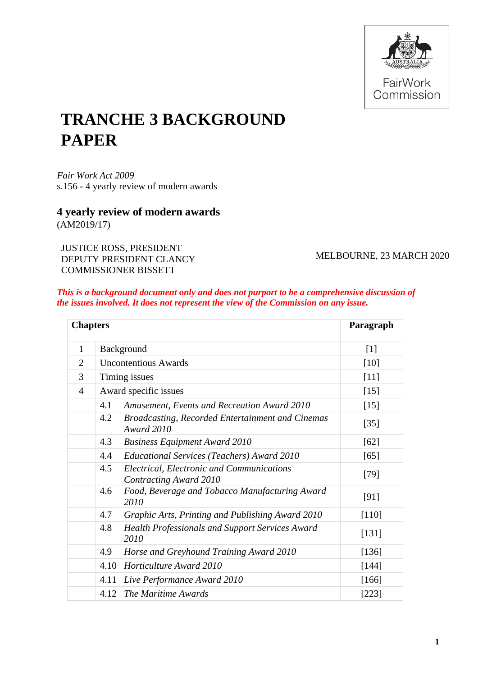

# **TRANCHE 3 BACKGROUND PAPER**

*Fair Work Act 2009*  s.156 - 4 yearly review of modern awards

# **4 yearly review of modern awards** (AM2019/17)

JUSTICE ROSS, PRESIDENT DEPUTY PRESIDENT CLANCY COMMISSIONER BISSETT

MELBOURNE, 23 MARCH 2020

# *This is a background document only and does not purport to be a comprehensive discussion of the issues involved. It does not represent the view of the Commission on any issue.*

| <b>Chapters</b> |                             |                                                                              | Paragraph |
|-----------------|-----------------------------|------------------------------------------------------------------------------|-----------|
| 1               | Background                  |                                                                              | $[1]$     |
| $\overline{2}$  | <b>Uncontentious Awards</b> |                                                                              | [10]      |
| 3               | Timing issues               |                                                                              | $[11]$    |
| 4               | Award specific issues       |                                                                              | [15]      |
|                 | 4.1                         | Amusement, Events and Recreation Award 2010                                  | $[15]$    |
|                 | 4.2                         | <b>Broadcasting, Recorded Entertainment and Cinemas</b><br><b>Award 2010</b> | $[35]$    |
|                 | 4.3                         | <b>Business Equipment Award 2010</b>                                         | [62]      |
|                 | 4.4                         | Educational Services (Teachers) Award 2010                                   | [65]      |
|                 | 4.5                         | Electrical, Electronic and Communications<br><b>Contracting Award 2010</b>   | $[79]$    |
|                 | 4.6                         | Food, Beverage and Tobacco Manufacturing Award<br>2010                       | [91]      |
|                 | 4.7                         | Graphic Arts, Printing and Publishing Award 2010                             | [110]     |
|                 | 4.8                         | <b>Health Professionals and Support Services Award</b><br>2010               | [131]     |
|                 | 4.9                         | Horse and Greyhound Training Award 2010                                      | [136]     |
|                 | 4.10                        | <b>Horticulture Award 2010</b>                                               | [144]     |
|                 | 4.11                        | Live Performance Award 2010                                                  | [166]     |
|                 |                             | 4.12 The Maritime Awards                                                     | [223]     |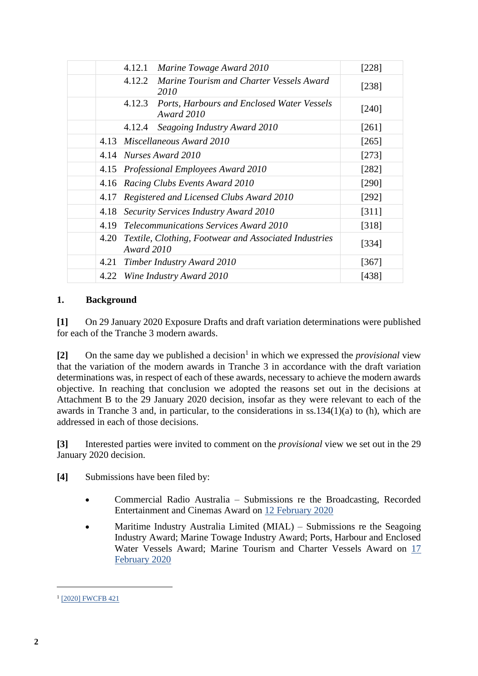|      | 4.12.1<br>Marine Towage Award 2010                                               | [228]   |
|------|----------------------------------------------------------------------------------|---------|
|      | 4.12.2<br>Marine Tourism and Charter Vessels Award<br>2010                       | [238]   |
|      | 4.12.3<br><b>Ports, Harbours and Enclosed Water Vessels</b><br><b>Award 2010</b> | $[240]$ |
|      | 4.12.4<br>Seagoing Industry Award 2010                                           | [261]   |
|      | 4.13 Miscellaneous Award 2010                                                    | [265]   |
|      | 4.14 Nurses Award 2010                                                           | $[273]$ |
|      | 4.15 Professional Employees Award 2010                                           | $[282]$ |
|      | 4.16 Racing Clubs Events Award 2010                                              | [290]   |
| 4.17 | Registered and Licensed Clubs Award 2010                                         | $[292]$ |
| 4.18 | Security Services Industry Award 2010                                            | [311]   |
|      | 4.19 Telecommunications Services Award 2010                                      | [318]   |
| 4.20 | Textile, Clothing, Footwear and Associated Industries<br><b>Award 2010</b>       | [334]   |
| 4.21 | Timber Industry Award 2010                                                       | $[367]$ |
|      | 4.22 Wine Industry Award 2010                                                    | [438]   |

# **1. Background**

<span id="page-1-0"></span>**[1]** On 29 January 2020 Exposure Drafts and draft variation determinations were published for each of the Tranche 3 modern awards.

[2] On the same day we published a decision<sup>1</sup> in which we expressed the *provisional* view that the variation of the modern awards in Tranche 3 in accordance with the draft variation determinations was, in respect of each of these awards, necessary to achieve the modern awards objective. In reaching that conclusion we adopted the reasons set out in the decisions at Attachment B to the 29 January 2020 decision, insofar as they were relevant to each of the awards in Tranche 3 and, in particular, to the considerations in ss.134(1)(a) to (h), which are addressed in each of those decisions.

**[3]** Interested parties were invited to comment on the *provisional* view we set out in the 29 January 2020 decision.

**[4]** Submissions have been filed by:

- Commercial Radio Australia Submissions re the Broadcasting, Recorded Entertainment and Cinemas Award on [12 February 2020](https://www.fwc.gov.au/sites/awardsmodernfouryr/am201817-sub-cra-120220.pdf)
- Maritime Industry Australia Limited (MIAL) Submissions re the Seagoing Industry Award; Marine Towage Industry Award; Ports, Harbour and Enclosed Water Vessels Award; Marine Tourism and Charter Vessels Award on [17](https://www.fwc.gov.au/sites/awardsmodernfouryr/am201917-243-sub-mial-170220.pdf)  [February 2020](https://www.fwc.gov.au/sites/awardsmodernfouryr/am201917-243-sub-mial-170220.pdf)

<sup>&</sup>lt;sup>1</sup> [\[2020\] FWCFB 421](https://www.fwc.gov.au/documents/sites/awardsmodernfouryr/2020fwcfb421.pdf)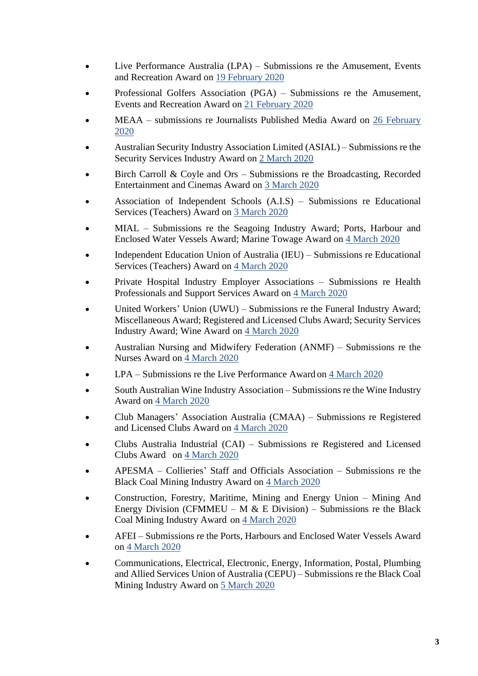- Live Performance Australia (LPA) Submissions re the Amusement, Events and Recreation Award on [19 February 2020](https://www.fwc.gov.au/documents/sites/awardsmodernfouryr/am201917-256-sub-lpa-190220.pdf)
- Professional Golfers Association (PGA) Submissions re the Amusement, Events and Recreation Award on [21 February 2020](https://www.fwc.gov.au/sites/awardsmodernfouryr/am201917-256-sub-pga-200220.pdf)
- MEAA submissions re Journalists Published Media Award on [26 February](https://www.fwc.gov.au/documents/sites/awardsmodernfouryr/am2014275-sub-meaa-260220.pdf)  [2020](https://www.fwc.gov.au/documents/sites/awardsmodernfouryr/am2014275-sub-meaa-260220.pdf)
- Australian Security Industry Association Limited (ASIAL) Submissions re the Security Services Industry Award on [2 March 2020](https://www.fwc.gov.au/sites/awardsmodernfouryr/am201489-sub-asial-040320.pdf)
- Birch Carroll & Coyle and Ors Submissions re the Broadcasting, Recorded Entertainment and Cinemas Award on [3 March 2020](https://www.fwc.gov.au/sites/awardsmodernfouryr/am2014259-sub-birchandors-030320.pdf)
- Association of Independent Schools (A.I.S) Submissions re Educational Services (Teachers) Award on [3 March 2020](https://www.fwc.gov.au/sites/awardsmodernfouryr/am2014266-sub-ais-040320.pdf)
- MIAL Submissions re the Seagoing Industry Award; Ports, Harbour and Enclosed Water Vessels Award; Marine Towage Award on [4 March 2020](https://www.fwc.gov.au/documents/sites/awardsmodernfouryr/am201917-sub-mial-040320.pdf)
- Independent Education Union of Australia (IEU) Submissions re Educational Services (Teachers) Award on [4 March 2020](https://www.fwc.gov.au/documents/sites/awardsmodernfouryr/am201917-266-sub-ieu-040320.pdf)
- Private Hospital Industry Employer Associations Submissions re Health Professionals and Support Services Award on [4 March 2020](https://www.fwc.gov.au/documents/sites/awardsmodernfouryr/am2014204-sub-phiea-040320.pdf)
- United Workers' Union (UWU) Submissions re the Funeral Industry Award; Miscellaneous Award; Registered and Licensed Clubs Award; Security Services Industry Award; Wine Award on [4 March 2020](https://www.fwc.gov.au/documents/sites/awardsmodernfouryr/am201917-89-sub-uwu-040320.pdf)
- Australian Nursing and Midwifery Federation (ANMF) Submissions re the Nurses Award on [4 March 2020](https://www.fwc.gov.au/documents/sites/awardsmodernfouryr/am201917-sub-anmf-040320.pdf)
- LPA Submissions re the Live Performance Award on [4 March 2020](https://www.fwc.gov.au/documents/sites/awardsmodernfouryr/am2014276-sub-lpa-040320.pdf)
- South Australian Wine Industry Association Submissions re the Wine Industry Award on [4 March 2020](https://www.fwc.gov.au/sites/awardsmodernfouryr/am201917-249-sub-sawia-040320.pdf)
- Club Managers' Association Australia (CMAA) Submissions re Registered and Licensed Clubs Award on [4 March 2020](https://www.fwc.gov.au/sites/awardsmodernfouryr/am2014283-sub-cmaa-040320.pdf)
- Clubs Australia Industrial (CAI) Submissions re Registered and Licensed Clubs Award on [4 March 2020](https://www.fwc.gov.au/sites/awardsmodernfouryr/am2014283-sub-cai-040320.pdf)
- APESMA Collieries' Staff and Officials Association Submissions re the Black Coal Mining Industry Award on [4 March 2020](https://www.fwc.gov.au/documents/sites/awardsmodernfouryr/am201917-67-sub-apesma-040320.pdf)
- Construction, Forestry, Maritime, Mining and Energy Union Mining And Energy Division (CFMMEU – M  $&$  E Division) – Submissions re the Black Coal Mining Industry Award on [4 March 2020](https://www.fwc.gov.au/documents/sites/awardsmodernfouryr/am201917-67-sub-cfmmeu-040320.pdf)
- AFEI Submissions re the Ports, Harbours and Enclosed Water Vessels Award on [4 March 2020](https://www.fwc.gov.au/sites/awardsmodernfouryr/am2014241-sub-afei-040320.pdf)
- Communications, Electrical, Electronic, Energy, Information, Postal, Plumbing and Allied Services Union of Australia (CEPU) – Submissions re the Black Coal Mining Industry Award on [5 March 2020](https://www.fwc.gov.au/documents/sites/awardsmodernfouryr/am201917-67-sub-cepu-050320.pdf)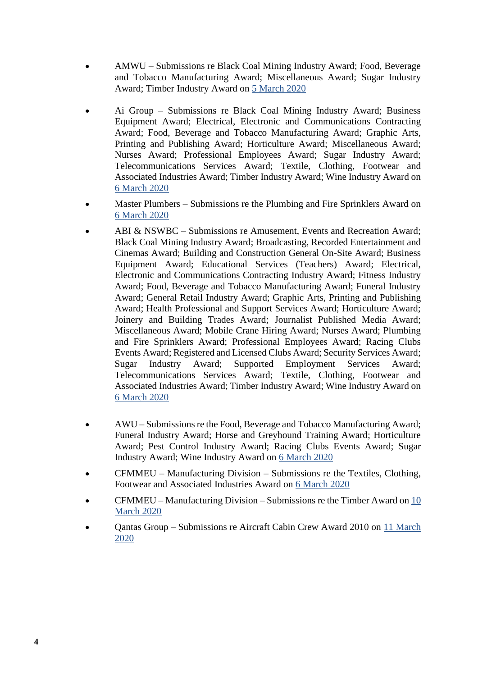- AMWU Submissions re Black Coal Mining Industry Award; Food, Beverage and Tobacco Manufacturing Award; Miscellaneous Award; Sugar Industry Award; Timber Industry Award on [5 March 2020](https://www.fwc.gov.au/documents/sites/awardsmodernfouryr/am201917-67-sub-amwu-050320.pdf)
- Ai Group Submissions re Black Coal Mining Industry Award; Business Equipment Award; Electrical, Electronic and Communications Contracting Award; Food, Beverage and Tobacco Manufacturing Award; Graphic Arts, Printing and Publishing Award; Horticulture Award; Miscellaneous Award; Nurses Award; Professional Employees Award; Sugar Industry Award; Telecommunications Services Award; Textile, Clothing, Footwear and Associated Industries Award; Timber Industry Award; Wine Industry Award on [6 March 2020](https://www.fwc.gov.au/sites/awardsmodernfouryr/am201467-sub-aig-060320.pdf)
- Master Plumbers Submissions re the Plumbing and Fire Sprinklers Award on [6 March 2020](https://www.fwc.gov.au/sites/awardsmodernfouryr/am2014280-sub-mpanz-190220.pdf)
- ABI & NSWBC Submissions re Amusement, Events and Recreation Award; Black Coal Mining Industry Award; Broadcasting, Recorded Entertainment and Cinemas Award; Building and Construction General On-Site Award; Business Equipment Award; Educational Services (Teachers) Award; Electrical, Electronic and Communications Contracting Industry Award; Fitness Industry Award; Food, Beverage and Tobacco Manufacturing Award; Funeral Industry Award; General Retail Industry Award; Graphic Arts, Printing and Publishing Award; Health Professional and Support Services Award; Horticulture Award; Joinery and Building Trades Award; Journalist Published Media Award; Miscellaneous Award; Mobile Crane Hiring Award; Nurses Award; Plumbing and Fire Sprinklers Award; Professional Employees Award; Racing Clubs Events Award; Registered and Licensed Clubs Award; Security Services Award; Sugar Industry Award; Supported Employment Services Award; Telecommunications Services Award; Textile, Clothing, Footwear and Associated Industries Award; Timber Industry Award; Wine Industry Award on [6 March 2020](https://www.fwc.gov.au/sites/awardsmodernfouryr/am201917-sub-abinswbc-060320.pdf)
- AWU Submissions re the Food, Beverage and Tobacco Manufacturing Award; Funeral Industry Award; Horse and Greyhound Training Award; Horticulture Award; Pest Control Industry Award; Racing Clubs Events Award; Sugar Industry Award; Wine Industry Award on [6 March 2020](https://www.fwc.gov.au/sites/awardsmodernfouryr/am2014205-subs-awu-060320.pdf)
- CFMMEU Manufacturing Division Submissions re the Textiles, Clothing, Footwear and Associated Industries Award on [6 March 2020](https://www.fwc.gov.au/documents/sites/awardsmodernfouryr/am201491-sub-cfmmeu-060320.pdf)
- CFMMEU Manufacturing Division Submissions re the Timber Award on [10](https://www.fwc.gov.au/documents/sites/awardsmodernfouryr/am201917-92-sub-cfmmeu-100320.pdf)  [March 2020](https://www.fwc.gov.au/documents/sites/awardsmodernfouryr/am201917-92-sub-cfmmeu-100320.pdf)
- Qantas Group Submissions re Aircraft Cabin Crew Award 2010 on [11 March](https://www.fwc.gov.au/sites/awardsmodernfouryr/am2014253-sub-qg-110320.pdf)  [2020](https://www.fwc.gov.au/sites/awardsmodernfouryr/am2014253-sub-qg-110320.pdf)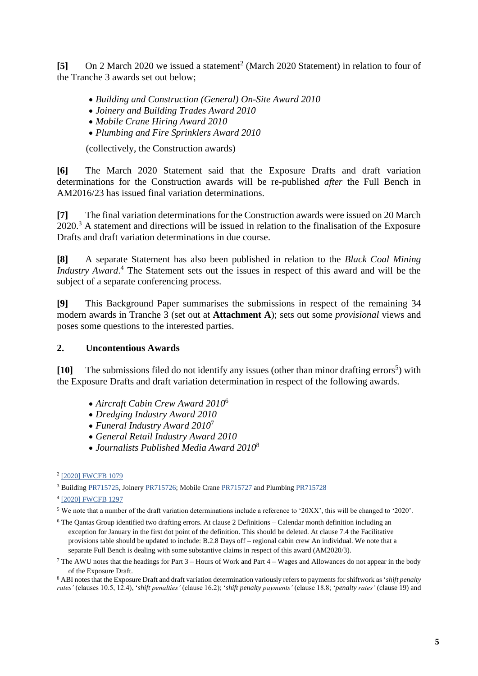[5] On 2 March 2020 we issued a statement<sup>2</sup> (March 2020 Statement) in relation to four of the Tranche 3 awards set out below;

- *Building and Construction (General) On-Site Award 2010*
- *Joinery and Building Trades Award 2010*
- *Mobile Crane Hiring Award 2010*
- *Plumbing and Fire Sprinklers Award 2010*

(collectively, the Construction awards)

**[6]** The March 2020 Statement said that the Exposure Drafts and draft variation determinations for the Construction awards will be re-published *after* the Full Bench in AM2016/23 has issued final variation determinations.

**[7]** The final variation determinations for the Construction awards were issued on 20 March 2020.<sup>3</sup> A statement and directions will be issued in relation to the finalisation of the Exposure Drafts and draft variation determinations in due course.

**[8]** A separate Statement has also been published in relation to the *Black Coal Mining Industry Award*. <sup>4</sup> The Statement sets out the issues in respect of this award and will be the subject of a separate conferencing process.

**[9]** This Background Paper summarises the submissions in respect of the remaining 34 modern awards in Tranche 3 (set out at **Attachment A**); sets out some *provisional* views and poses some questions to the interested parties.

# **2. Uncontentious Awards**

<span id="page-4-0"></span>[10] The submissions filed do not identify any issues (other than minor drafting errors<sup>5</sup>) with the Exposure Drafts and draft variation determination in respect of the following awards.

- *Aircraft Cabin Crew Award 2010*<sup>6</sup>
- *Dredging Industry Award 2010*
- *Funeral Industry Award 2010*<sup>7</sup>
- *General Retail Industry Award 2010*
- *Journalists Published Media Award 2010*<sup>8</sup>

<sup>&</sup>lt;sup>2</sup> [\[2020\] FWCFB 1079](https://www.fwc.gov.au/sites/awardsmodernfouryr/2020fwcfb1079.pdf)

<sup>&</sup>lt;sup>3</sup> Building [PR715725,](https://www.fwc.gov.au/documents/awardsandorders/html/pr715725.htm) Joinery [PR715726;](https://www.fwc.gov.au/documents/awardsandorders/html/pr715726.htm) Mobile Crane [PR715727](https://www.fwc.gov.au/documents/awardsandorders/html/pr715727.htm) and Plumbin[g PR715728](https://www.fwc.gov.au/documents/awardsandorders/html/pr715728.htm)

<sup>4</sup> [\[2020\] FWCFB 1297](https://www.fwc.gov.au/documents/sites/awardsmodernfouryr/2020fwcfb1297.pdf)

<sup>5</sup> We note that a number of the draft variation determinations include a reference to '20XX', this will be changed to '2020'.

<sup>6</sup> The Qantas Group identified two drafting errors. At clause 2 Definitions – Calendar month definition including an exception for January in the first dot point of the definition. This should be deleted. At clause 7.4 the Facilitative provisions table should be updated to include: B.2.8 Days off – regional cabin crew An individual. We note that a separate Full Bench is dealing with some substantive claims in respect of this award (AM2020/3).

<sup>&</sup>lt;sup>7</sup> The AWU notes that the headings for Part  $3$  – Hours of Work and Part  $4$  – Wages and Allowances do not appear in the body of the Exposure Draft.

<sup>8</sup> ABI notes that the Exposure Draft and draft variation determination variously refers to payments for shiftwork as '*shift penalty rates'* (clauses 10.5, 12.4), '*shift penalties'* (clause 16.2); '*shift penalty payments'* (clause 18.8; '*penalty rates'* (clause 19) and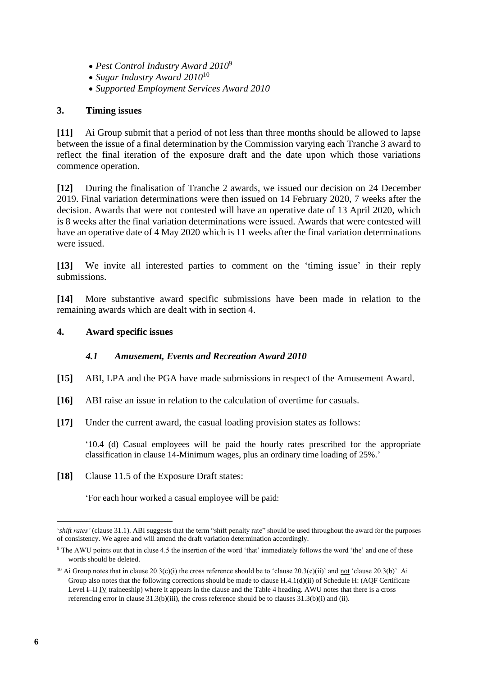- *Pest Control Industry Award 2010*<sup>9</sup>
- *Sugar Industry Award 2010*<sup>10</sup>
- *Supported Employment Services Award 2010*

# **3. Timing issues**

<span id="page-5-0"></span>**[11]** Ai Group submit that a period of not less than three months should be allowed to lapse between the issue of a final determination by the Commission varying each Tranche 3 award to reflect the final iteration of the exposure draft and the date upon which those variations commence operation.

**[12]** During the finalisation of Tranche 2 awards, we issued our decision on 24 December 2019. Final variation determinations were then issued on 14 February 2020, 7 weeks after the decision. Awards that were not contested will have an operative date of 13 April 2020, which is 8 weeks after the final variation determinations were issued. Awards that were contested will have an operative date of 4 May 2020 which is 11 weeks after the final variation determinations were issued.

**[13]** We invite all interested parties to comment on the 'timing issue' in their reply submissions.

**[14]** More substantive award specific submissions have been made in relation to the remaining awards which are dealt with in section 4.

## **4. Award specific issues**

## *4.1 Amusement, Events and Recreation Award 2010*

- <span id="page-5-1"></span>**[15]** ABI, LPA and the PGA have made submissions in respect of the Amusement Award.
- **[16]** ABI raise an issue in relation to the calculation of overtime for casuals.
- **[17]** Under the current award, the casual loading provision states as follows:

'10.4 (d) Casual employees will be paid the hourly rates prescribed for the appropriate classification in clause 14-Minimum wages, plus an ordinary time loading of 25%.'

**[18]** Clause 11.5 of the Exposure Draft states:

'For each hour worked a casual employee will be paid:

<sup>&#</sup>x27;*shift rates'* (clause 31.1). ABI suggests that the term "shift penalty rate" should be used throughout the award for the purposes of consistency. We agree and will amend the draft variation determination accordingly.

<sup>9</sup> The AWU points out that in cluse 4.5 the insertion of the word 'that' immediately follows the word 'the' and one of these words should be deleted.

<sup>&</sup>lt;sup>10</sup> Ai Group notes that in clause 20.3(c)(i) the cross reference should be to 'clause 20.3(c)(ii)' and <u>not</u> 'clause 20.3(b)'. Ai Group also notes that the following corrections should be made to clause H.4.1(d)(ii) of Schedule H: (AQF Certificate Level  $H = IV$  traineeship) where it appears in the clause and the Table 4 heading. AWU notes that there is a cross referencing error in clause 31.3(b)(iii), the cross reference should be to clauses 31.3(b)(i) and (ii).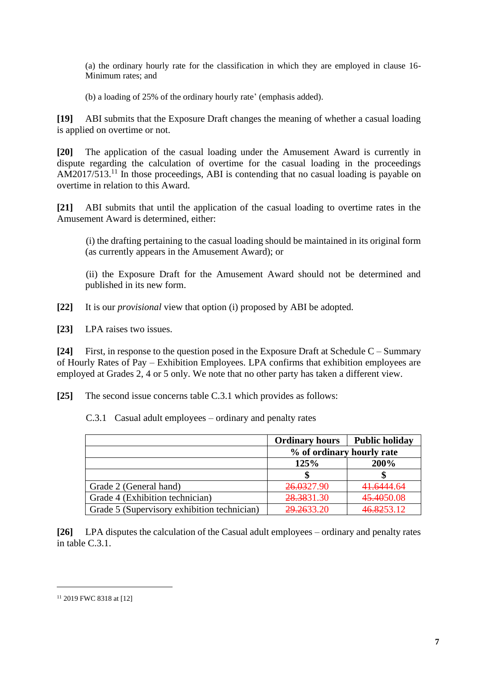(a) the ordinary hourly rate for the classification in which they are employed in clause 16- Minimum rates; and

(b) a loading of 25% of the ordinary hourly rate' (emphasis added).

**[19]** ABI submits that the Exposure Draft changes the meaning of whether a casual loading is applied on overtime or not.

**[20]** The application of the casual loading under the Amusement Award is currently in dispute regarding the calculation of overtime for the casual loading in the proceedings  $AM2017/513$ .<sup>11</sup> In those proceedings, ABI is contending that no casual loading is payable on overtime in relation to this Award.

**[21]** ABI submits that until the application of the casual loading to overtime rates in the Amusement Award is determined, either:

(i) the drafting pertaining to the casual loading should be maintained in its original form (as currently appears in the Amusement Award); or

(ii) the Exposure Draft for the Amusement Award should not be determined and published in its new form.

**[22]** It is our *provisional* view that option (i) proposed by ABI be adopted.

**[23]** LPA raises two issues.

**[24]** First, in response to the question posed in the Exposure Draft at Schedule C – Summary of Hourly Rates of Pay – Exhibition Employees. LPA confirms that exhibition employees are employed at Grades 2, 4 or 5 only. We note that no other party has taken a different view.

**[25]** The second issue concerns table C.3.1 which provides as follows:

|                                             | <b>Ordinary hours</b>     | <b>Public holiday</b> |
|---------------------------------------------|---------------------------|-----------------------|
|                                             | % of ordinary hourly rate |                       |
|                                             | 125%                      | 200%                  |
|                                             |                           |                       |
| Grade 2 (General hand)                      | 26.0327.90                | 41.6444.64            |
| Grade 4 (Exhibition technician)             | 28.3831.30                | 45.4050.08            |
| Grade 5 (Supervisory exhibition technician) | 29,2633.20                | 46.8253.12            |

C.3.1 Casual adult employees – ordinary and penalty rates

**[26]** LPA disputes the calculation of the Casual adult employees – ordinary and penalty rates in table C.3.1.

<sup>11</sup> 2019 FWC 8318 at [12]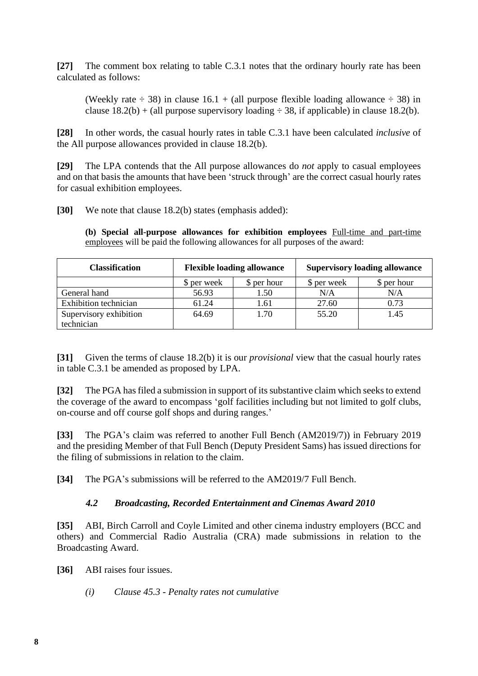**[27]** The comment box relating to table C.3.1 notes that the ordinary hourly rate has been calculated as follows:

(Weekly rate  $\div$  38) in clause 16.1 + (all purpose flexible loading allowance  $\div$  38) in clause  $18.2(b) + (all purpose supervisor loading \div 38, if applicable) in clause 18.2(b).$ 

**[28]** In other words, the casual hourly rates in table C.3.1 have been calculated *inclusive* of the All purpose allowances provided in clause 18.2(b).

**[29]** The LPA contends that the All purpose allowances do *not* apply to casual employees and on that basis the amounts that have been 'struck through' are the correct casual hourly rates for casual exhibition employees.

**[30]** We note that clause 18.2(b) states (emphasis added):

**(b) Special all-purpose allowances for exhibition employees** Full-time and part-time employees will be paid the following allowances for all purposes of the award:

| <b>Classification</b>        | <b>Flexible loading allowance</b> |             | <b>Supervisory loading allowance</b> |             |
|------------------------------|-----------------------------------|-------------|--------------------------------------|-------------|
|                              | \$ per week                       | \$ per hour | \$ per week                          | \$ per hour |
| General hand                 | 56.93                             | 1.50        | N/A                                  | N/A         |
| <b>Exhibition</b> technician | 61.24                             | 1.61        | 27.60                                | 0.73        |
| Supervisory exhibition       | 64.69                             | 1.70        | 55.20                                | 1.45        |
| technician                   |                                   |             |                                      |             |

**[31]** Given the terms of clause 18.2(b) it is our *provisional* view that the casual hourly rates in table C.3.1 be amended as proposed by LPA.

**[32]** The PGA has filed a submission in support of its substantive claim which seeks to extend the coverage of the award to encompass 'golf facilities including but not limited to golf clubs, on-course and off course golf shops and during ranges.'

**[33]** The PGA's claim was referred to another Full Bench (AM2019/7)) in February 2019 and the presiding Member of that Full Bench (Deputy President Sams) has issued directions for the filing of submissions in relation to the claim.

**[34]** The PGA's submissions will be referred to the AM2019/7 Full Bench.

# *4.2 Broadcasting, Recorded Entertainment and Cinemas Award 2010*

<span id="page-7-0"></span>**[35]** ABI, Birch Carroll and Coyle Limited and other cinema industry employers (BCC and others) and Commercial Radio Australia (CRA) made submissions in relation to the Broadcasting Award.

**[36]** ABI raises four issues.

*(i) Clause 45.3 - Penalty rates not cumulative*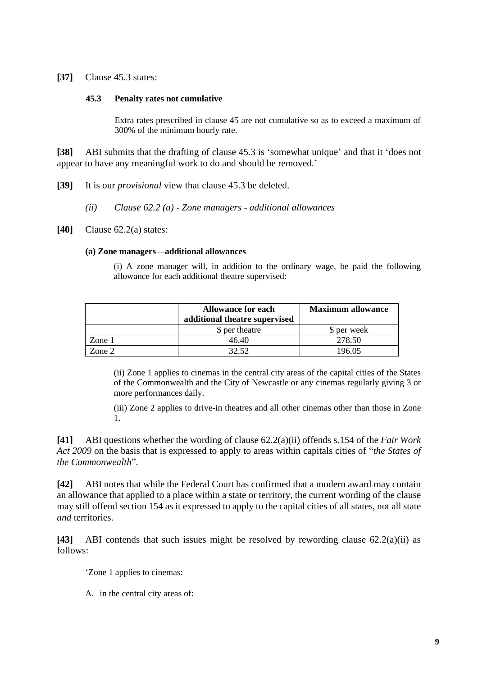**[37]** Clause 45.3 states:

#### **45.3 Penalty rates not cumulative**

Extra rates prescribed in clause 45 are not cumulative so as to exceed a maximum of 300% of the minimum hourly rate.

**[38]** ABI submits that the drafting of clause 45.3 is 'somewhat unique' and that it 'does not appear to have any meaningful work to do and should be removed.'

**[39]** It is our *provisional* view that clause 45.3 be deleted.

- *(ii) Clause 62.2 (a) - Zone managers - additional allowances*
- **[40]** Clause 62.2(a) states:

#### **(a) Zone managers—additional allowances**

(i) A zone manager will, in addition to the ordinary wage, be paid the following allowance for each additional theatre supervised:

|        | <b>Allowance for each</b><br>additional theatre supervised | <b>Maximum allowance</b> |
|--------|------------------------------------------------------------|--------------------------|
|        | \$ per theatre                                             | S per week               |
| Zone 1 | 46.40                                                      | 278.50                   |
| Zone 2 |                                                            | 196 NS                   |

(ii) Zone 1 applies to cinemas in the central city areas of the capital cities of the States of the Commonwealth and the City of Newcastle or any cinemas regularly giving 3 or more performances daily.

(iii) Zone 2 applies to drive-in theatres and all other cinemas other than those in Zone 1.

**[41]** ABI questions whether the wording of clause 62.2(a)(ii) offends s.154 of the *Fair Work Act 2009* on the basis that is expressed to apply to areas within capitals cities of "*the States of the Commonwealth*".

**[42]** ABI notes that while the Federal Court has confirmed that a modern award may contain an allowance that applied to a place within a state or territory, the current wording of the clause may still offend section 154 as it expressed to apply to the capital cities of all states, not all state *and* territories.

**[43]** ABI contends that such issues might be resolved by rewording clause 62.2(a)(ii) as follows:

'Zone 1 applies to cinemas:

A. in the central city areas of: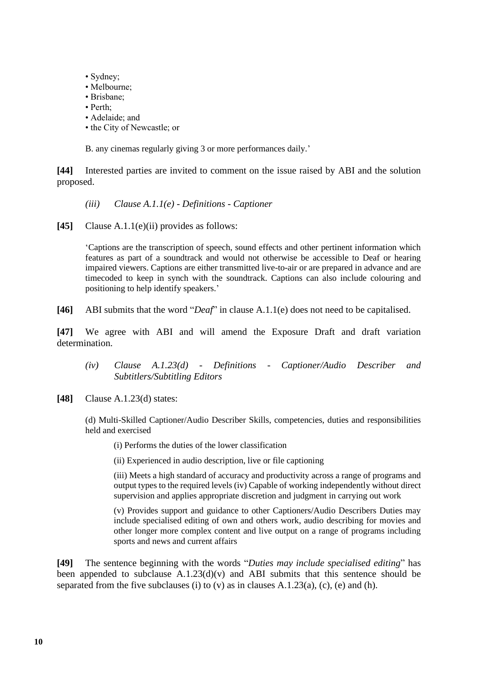- Sydney;
- Melbourne;
- Brisbane;
- Perth;
- Adelaide; and
- the City of Newcastle; or

B. any cinemas regularly giving 3 or more performances daily.'

**[44]** Interested parties are invited to comment on the issue raised by ABI and the solution proposed.

- *(iii) Clause A.1.1(e) - Definitions - Captioner*
- **[45]** Clause A.1.1(e)(ii) provides as follows:

'Captions are the transcription of speech, sound effects and other pertinent information which features as part of a soundtrack and would not otherwise be accessible to Deaf or hearing impaired viewers. Captions are either transmitted live-to-air or are prepared in advance and are timecoded to keep in synch with the soundtrack. Captions can also include colouring and positioning to help identify speakers.'

**[46]** ABI submits that the word "*Deaf*" in clause A.1.1(e) does not need to be capitalised.

**[47]** We agree with ABI and will amend the Exposure Draft and draft variation determination.

- *(iv) Clause A.1.23(d) - Definitions - Captioner/Audio Describer and Subtitlers/Subtitling Editors*
- **[48]** Clause A.1.23(d) states:

(d) Multi-Skilled Captioner/Audio Describer Skills, competencies, duties and responsibilities held and exercised

- (i) Performs the duties of the lower classification
- (ii) Experienced in audio description, live or file captioning

(iii) Meets a high standard of accuracy and productivity across a range of programs and output types to the required levels (iv) Capable of working independently without direct supervision and applies appropriate discretion and judgment in carrying out work

(v) Provides support and guidance to other Captioners/Audio Describers Duties may include specialised editing of own and others work, audio describing for movies and other longer more complex content and live output on a range of programs including sports and news and current affairs

**[49]** The sentence beginning with the words "*Duties may include specialised editing*" has been appended to subclause A.1.23(d)(v) and ABI submits that this sentence should be separated from the five subclauses (i) to (v) as in clauses  $A.1.23(a)$ , (c), (e) and (h).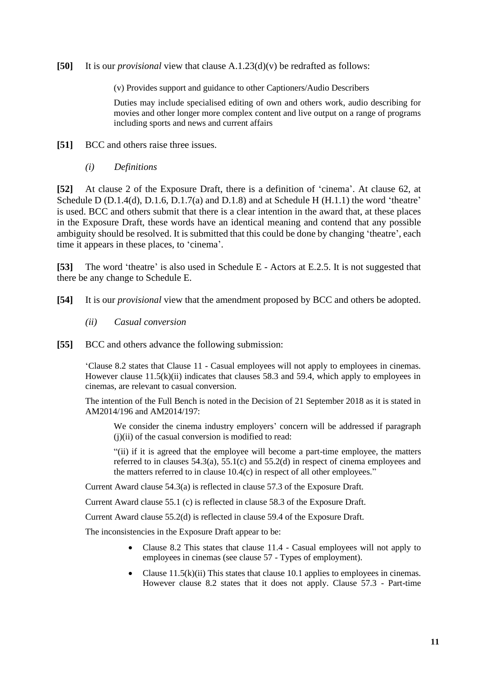**[50]** It is our *provisional* view that clause A.1.23(d)(v) be redrafted as follows:

(v) Provides support and guidance to other Captioners/Audio Describers

Duties may include specialised editing of own and others work, audio describing for movies and other longer more complex content and live output on a range of programs including sports and news and current affairs

**[51]** BCC and others raise three issues.

*(i) Definitions*

**[52]** At clause 2 of the Exposure Draft, there is a definition of 'cinema'. At clause 62, at Schedule D  $(D.1.4(d), D.1.6, D.1.7(a)$  and D.1.8) and at Schedule H  $(H.1.1)$  the word 'theatre' is used. BCC and others submit that there is a clear intention in the award that, at these places in the Exposure Draft, these words have an identical meaning and contend that any possible ambiguity should be resolved. It is submitted that this could be done by changing 'theatre', each time it appears in these places, to 'cinema'.

**[53]** The word 'theatre' is also used in Schedule E - Actors at E.2.5. It is not suggested that there be any change to Schedule E.

**[54]** It is our *provisional* view that the amendment proposed by BCC and others be adopted.

- *(ii) Casual conversion*
- **[55]** BCC and others advance the following submission:

'Clause 8.2 states that Clause 11 - Casual employees will not apply to employees in cinemas. However clause 11.5(k)(ii) indicates that clauses 58.3 and 59.4, which apply to employees in cinemas, are relevant to casual conversion.

The intention of the Full Bench is noted in the Decision of 21 September 2018 as it is stated in AM2014/196 and AM2014/197:

We consider the cinema industry employers' concern will be addressed if paragraph (j)(ii) of the casual conversion is modified to read:

"(ii) if it is agreed that the employee will become a part-time employee, the matters referred to in clauses 54.3(a), 55.1(c) and 55.2(d) in respect of cinema employees and the matters referred to in clause 10.4(c) in respect of all other employees."

Current Award clause 54.3(a) is reflected in clause 57.3 of the Exposure Draft.

Current Award clause 55.1 (c) is reflected in clause 58.3 of the Exposure Draft.

Current Award clause 55.2(d) is reflected in clause 59.4 of the Exposure Draft.

The inconsistencies in the Exposure Draft appear to be:

- Clause 8.2 This states that clause 11.4 Casual employees will not apply to employees in cinemas (see clause 57 - Types of employment).
- Clause  $11.5(k)(ii)$  This states that clause 10.1 applies to employees in cinemas. However clause 8.2 states that it does not apply. Clause 57.3 - Part-time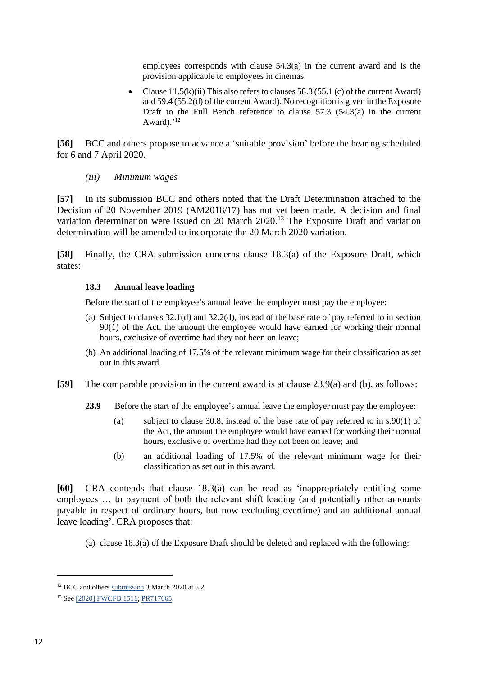employees corresponds with clause 54.3(a) in the current award and is the provision applicable to employees in cinemas.

• Clause  $11.5(k)(ii)$  This also refers to clauses 58.3 (55.1 (c) of the current Award) and 59.4 (55.2(d) of the current Award). No recognition is given in the Exposure Draft to the Full Bench reference to clause  $57.3$   $(54.3(a)$  in the current Award).'<sup>12</sup>

**[56]** BCC and others propose to advance a 'suitable provision' before the hearing scheduled for 6 and 7 April 2020.

*(iii) Minimum wages*

**[57]** In its submission BCC and others noted that the Draft Determination attached to the Decision of 20 November 2019 (AM2018/17) has not yet been made. A decision and final variation determination were issued on 20 March 2020.<sup>13</sup> The Exposure Draft and variation determination will be amended to incorporate the 20 March 2020 variation.

**[58]** Finally, the CRA submission concerns clause 18.3(a) of the Exposure Draft, which states:

# **18.3 Annual leave loading**

Before the start of the employee's annual leave the employer must pay the employee:

- (a) Subject to clauses 32.1(d) and 32.2(d), instead of the base rate of pay referred to in section 90(1) of the Act, the amount the employee would have earned for working their normal hours, exclusive of overtime had they not been on leave;
- (b) An additional loading of 17.5% of the relevant minimum wage for their classification as set out in this award.
- **[59]** The comparable provision in the current award is at clause 23.9(a) and (b), as follows:
	- **23.9** Before the start of the employee's annual leave the employer must pay the employee:
		- (a) subject to clause 30.8, instead of the base rate of pay referred to in s.90(1) of the Act, the amount the employee would have earned for working their normal hours, exclusive of overtime had they not been on leave; and
		- (b) an additional loading of 17.5% of the relevant minimum wage for their classification as set out in this award.

**[60]** CRA contends that clause 18.3(a) can be read as 'inappropriately entitling some employees … to payment of both the relevant shift loading (and potentially other amounts payable in respect of ordinary hours, but now excluding overtime) and an additional annual leave loading'. CRA proposes that:

(a) clause 18.3(a) of the Exposure Draft should be deleted and replaced with the following:

<sup>&</sup>lt;sup>12</sup> BCC and others [submission](https://www.fwc.gov.au/documents/sites/awardsmodernfouryr/am2014259-sub-birchandors-030320.pdf) 3 March 2020 at 5.2

<sup>&</sup>lt;sup>13</sup> Se[e \[2020\] FWCFB 1511;](https://www.fwc.gov.au/documents/decisionssigned/html/2020fwcfb1511.htm) [PR717665](https://www.fwc.gov.au/documents/sites/awardsmodernfouryr/pr717665.pdf)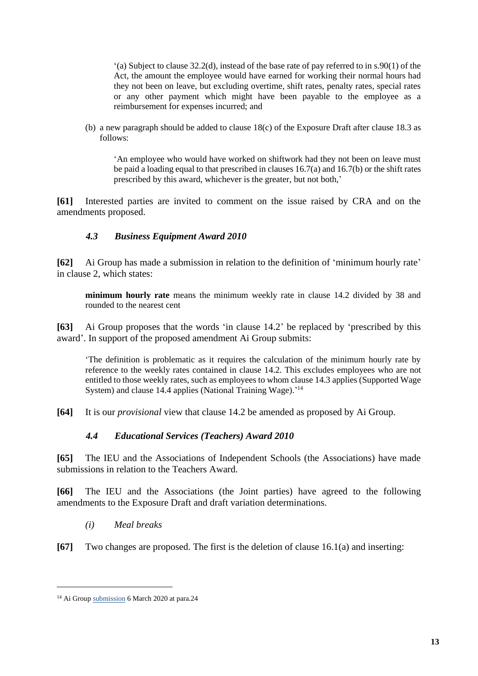'(a) Subject to clause 32.2(d), instead of the base rate of pay referred to in s.90(1) of the Act, the amount the employee would have earned for working their normal hours had they not been on leave, but excluding overtime, shift rates, penalty rates, special rates or any other payment which might have been payable to the employee as a reimbursement for expenses incurred; and

(b) a new paragraph should be added to clause 18(c) of the Exposure Draft after clause 18.3 as follows:

'An employee who would have worked on shiftwork had they not been on leave must be paid a loading equal to that prescribed in clauses 16.7(a) and 16.7(b) or the shift rates prescribed by this award, whichever is the greater, but not both,'

**[61]** Interested parties are invited to comment on the issue raised by CRA and on the amendments proposed.

# *4.3 Business Equipment Award 2010*

<span id="page-12-0"></span>**[62]** Ai Group has made a submission in relation to the definition of 'minimum hourly rate' in clause 2, which states:

**minimum hourly rate** means the minimum weekly rate in clause 14.2 divided by 38 and rounded to the nearest cent

**[63]** Ai Group proposes that the words 'in clause 14.2' be replaced by 'prescribed by this award'. In support of the proposed amendment Ai Group submits:

'The definition is problematic as it requires the calculation of the minimum hourly rate by reference to the weekly rates contained in clause 14.2. This excludes employees who are not entitled to those weekly rates, such as employees to whom clause 14.3 applies (Supported Wage System) and clause 14.4 applies (National Training Wage).' 14

**[64]** It is our *provisional* view that clause 14.2 be amended as proposed by Ai Group.

## *4.4 Educational Services (Teachers) Award 2010*

<span id="page-12-1"></span>**[65]** The IEU and the Associations of Independent Schools (the Associations) have made submissions in relation to the Teachers Award.

**[66]** The IEU and the Associations (the Joint parties) have agreed to the following amendments to the Exposure Draft and draft variation determinations.

*(i) Meal breaks*

**[67]** Two changes are proposed. The first is the deletion of clause 16.1(a) and inserting:

<sup>&</sup>lt;sup>14</sup> Ai Grou[p submission](https://www.fwc.gov.au/documents/sites/awardsmodernfouryr/am201467-sub-aig-060320.pdf) 6 March 2020 at para.24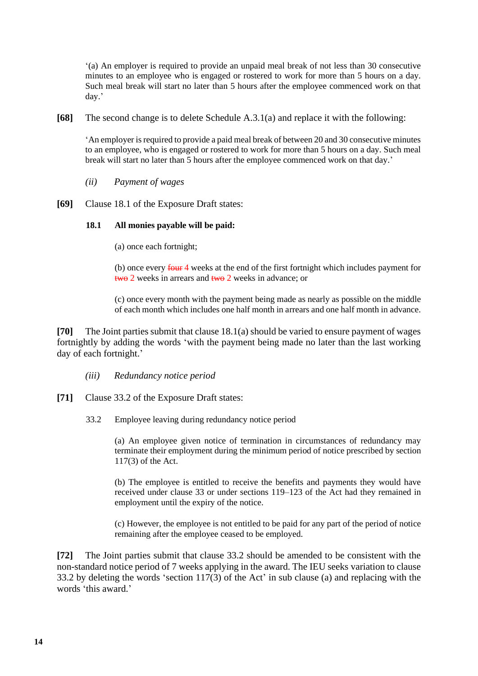'(a) An employer is required to provide an unpaid meal break of not less than 30 consecutive minutes to an employee who is engaged or rostered to work for more than 5 hours on a day. Such meal break will start no later than 5 hours after the employee commenced work on that day.'

**[68]** The second change is to delete Schedule A.3.1(a) and replace it with the following:

'An employer is required to provide a paid meal break of between 20 and 30 consecutive minutes to an employee, who is engaged or rostered to work for more than 5 hours on a day. Such meal break will start no later than 5 hours after the employee commenced work on that day.'

- *(ii) Payment of wages*
- **[69]** Clause 18.1 of the Exposure Draft states:

## **18.1 All monies payable will be paid:**

(a) once each fortnight;

(b) once every four 4 weeks at the end of the first fortnight which includes payment for two 2 weeks in arrears and two 2 weeks in advance; or

(c) once every month with the payment being made as nearly as possible on the middle of each month which includes one half month in arrears and one half month in advance.

**[70]** The Joint parties submit that clause 18.1(a) should be varied to ensure payment of wages fortnightly by adding the words 'with the payment being made no later than the last working day of each fortnight.'

- *(iii) Redundancy notice period*
- **[71]** Clause 33.2 of the Exposure Draft states:
	- 33.2 Employee leaving during redundancy notice period

(a) An employee given notice of termination in circumstances of redundancy may terminate their employment during the minimum period of notice prescribed by section 117(3) of the Act.

(b) The employee is entitled to receive the benefits and payments they would have received under clause 33 or under sections 119–123 of the Act had they remained in employment until the expiry of the notice.

(c) However, the employee is not entitled to be paid for any part of the period of notice remaining after the employee ceased to be employed.

**[72]** The Joint parties submit that clause 33.2 should be amended to be consistent with the non-standard notice period of 7 weeks applying in the award. The IEU seeks variation to clause 33.2 by deleting the words 'section 117(3) of the Act' in sub clause (a) and replacing with the words 'this award.'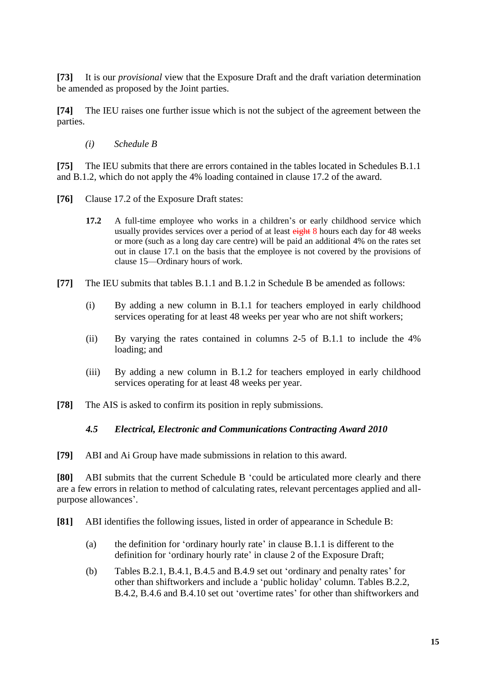**[73]** It is our *provisional* view that the Exposure Draft and the draft variation determination be amended as proposed by the Joint parties.

**[74]** The IEU raises one further issue which is not the subject of the agreement between the parties.

*(i) Schedule B*

**[75]** The IEU submits that there are errors contained in the tables located in Schedules B.1.1 and B.1.2, which do not apply the 4% loading contained in clause 17.2 of the award.

- **[76]** Clause 17.2 of the Exposure Draft states:
	- **17.2** A full-time employee who works in a children's or early childhood service which usually provides services over a period of at least eight 8 hours each day for 48 weeks or more (such as a long day care centre) will be paid an additional 4% on the rates set out in clause 17.1 on the basis that the employee is not covered by the provisions of clause 15—Ordinary hours of work.
- **[77]** The IEU submits that tables B.1.1 and B.1.2 in Schedule B be amended as follows:
	- (i) By adding a new column in B.1.1 for teachers employed in early childhood services operating for at least 48 weeks per year who are not shift workers;
	- (ii) By varying the rates contained in columns 2-5 of B.1.1 to include the 4% loading; and
	- (iii) By adding a new column in B.1.2 for teachers employed in early childhood services operating for at least 48 weeks per year.
- **[78]** The AIS is asked to confirm its position in reply submissions.

## *4.5 Electrical, Electronic and Communications Contracting Award 2010*

<span id="page-14-0"></span>**[79]** ABI and Ai Group have made submissions in relation to this award.

**[80]** ABI submits that the current Schedule B 'could be articulated more clearly and there are a few errors in relation to method of calculating rates, relevant percentages applied and allpurpose allowances'.

- **[81]** ABI identifies the following issues, listed in order of appearance in Schedule B:
	- (a) the definition for 'ordinary hourly rate' in clause B.1.1 is different to the definition for 'ordinary hourly rate' in clause 2 of the Exposure Draft;
	- (b) Tables B.2.1, B.4.1, B.4.5 and B.4.9 set out 'ordinary and penalty rates' for other than shiftworkers and include a 'public holiday' column. Tables B.2.2, B.4.2, B.4.6 and B.4.10 set out 'overtime rates' for other than shiftworkers and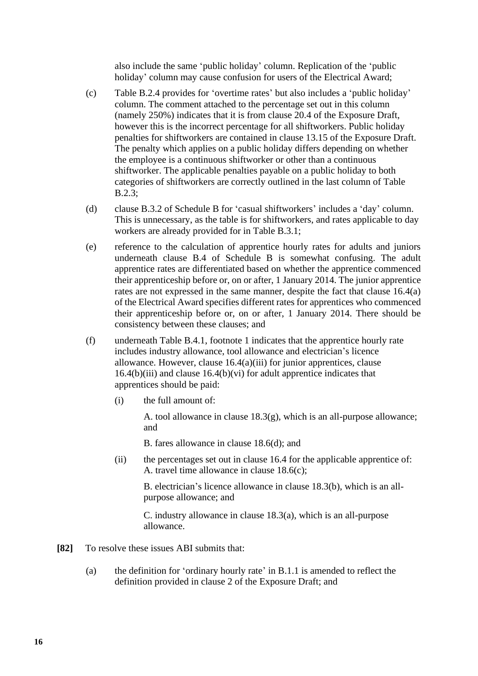also include the same 'public holiday' column. Replication of the 'public holiday' column may cause confusion for users of the Electrical Award;

- (c) Table B.2.4 provides for 'overtime rates' but also includes a 'public holiday' column. The comment attached to the percentage set out in this column (namely 250%) indicates that it is from clause 20.4 of the Exposure Draft, however this is the incorrect percentage for all shiftworkers. Public holiday penalties for shiftworkers are contained in clause 13.15 of the Exposure Draft. The penalty which applies on a public holiday differs depending on whether the employee is a continuous shiftworker or other than a continuous shiftworker. The applicable penalties payable on a public holiday to both categories of shiftworkers are correctly outlined in the last column of Table B.2.3;
- (d) clause B.3.2 of Schedule B for 'casual shiftworkers' includes a 'day' column. This is unnecessary, as the table is for shiftworkers, and rates applicable to day workers are already provided for in Table B.3.1;
- (e) reference to the calculation of apprentice hourly rates for adults and juniors underneath clause B.4 of Schedule B is somewhat confusing. The adult apprentice rates are differentiated based on whether the apprentice commenced their apprenticeship before or, on or after, 1 January 2014. The junior apprentice rates are not expressed in the same manner, despite the fact that clause 16.4(a) of the Electrical Award specifies different rates for apprentices who commenced their apprenticeship before or, on or after, 1 January 2014. There should be consistency between these clauses; and
- (f) underneath Table B.4.1, footnote 1 indicates that the apprentice hourly rate includes industry allowance, tool allowance and electrician's licence allowance. However, clause 16.4(a)(iii) for junior apprentices, clause  $16.4(b)(iii)$  and clause  $16.4(b)(vi)$  for adult apprentice indicates that apprentices should be paid:
	- (i) the full amount of:

A. tool allowance in clause 18.3(g), which is an all-purpose allowance; and

B. fares allowance in clause 18.6(d); and

(ii) the percentages set out in clause 16.4 for the applicable apprentice of: A. travel time allowance in clause 18.6(c);

B. electrician's licence allowance in clause 18.3(b), which is an allpurpose allowance; and

C. industry allowance in clause 18.3(a), which is an all-purpose allowance.

- **[82]** To resolve these issues ABI submits that:
	- (a) the definition for 'ordinary hourly rate' in B.1.1 is amended to reflect the definition provided in clause 2 of the Exposure Draft; and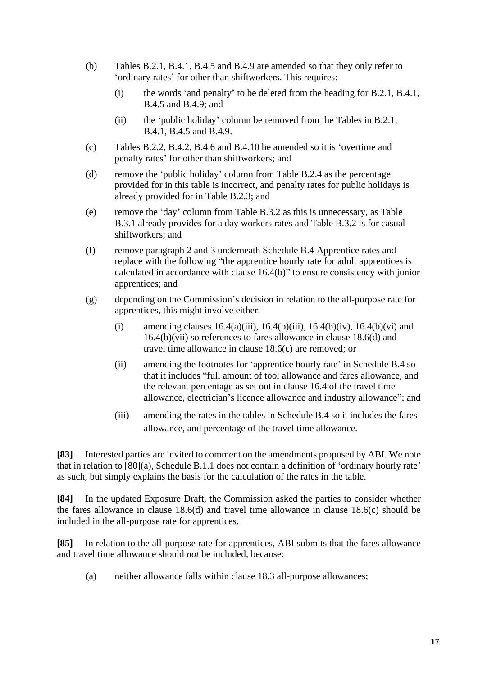- (b) Tables B.2.1, B.4.1, B.4.5 and B.4.9 are amended so that they only refer to 'ordinary rates' for other than shiftworkers. This requires:
	- (i) the words 'and penalty' to be deleted from the heading for B.2.1, B.4.1, B.4.5 and B.4.9; and
	- (ii) the 'public holiday' column be removed from the Tables in B.2.1, B.4.1, B.4.5 and B.4.9.
- (c) Tables B.2.2, B.4.2, B.4.6 and B.4.10 be amended so it is 'overtime and penalty rates' for other than shiftworkers; and
- (d) remove the 'public holiday' column from Table B.2.4 as the percentage provided for in this table is incorrect, and penalty rates for public holidays is already provided for in Table B.2.3; and
- (e) remove the 'day' column from Table B.3.2 as this is unnecessary, as Table B.3.1 already provides for a day workers rates and Table B.3.2 is for casual shiftworkers; and
- (f) remove paragraph 2 and 3 underneath Schedule B.4 Apprentice rates and replace with the following "the apprentice hourly rate for adult apprentices is calculated in accordance with clause 16.4(b)" to ensure consistency with junior apprentices; and
- (g) depending on the Commission's decision in relation to the all-purpose rate for apprentices, this might involve either:
	- (i) amending clauses  $16.4(a)(iii)$ ,  $16.4(b)(iii)$ ,  $16.4(b)(iv)$ ,  $16.4(b)(vi)$  and 16.4(b)(vii) so references to fares allowance in clause 18.6(d) and travel time allowance in clause 18.6(c) are removed; or
	- (ii) amending the footnotes for 'apprentice hourly rate' in Schedule B.4 so that it includes "full amount of tool allowance and fares allowance, and the relevant percentage as set out in clause 16.4 of the travel time allowance, electrician's licence allowance and industry allowance"; and
	- (iii) amending the rates in the tables in Schedule B.4 so it includes the fares allowance, and percentage of the travel time allowance.

**[83]** Interested parties are invited to comment on the amendments proposed by ABI. We note that in relation to [80](a), Schedule B.1.1 does not contain a definition of 'ordinary hourly rate' as such, but simply explains the basis for the calculation of the rates in the table.

**[84]** In the updated Exposure Draft, the Commission asked the parties to consider whether the fares allowance in clause 18.6(d) and travel time allowance in clause 18.6(c) should be included in the all-purpose rate for apprentices.

**[85]** In relation to the all-purpose rate for apprentices, ABI submits that the fares allowance and travel time allowance should *not* be included, because:

(a) neither allowance falls within clause 18.3 all-purpose allowances;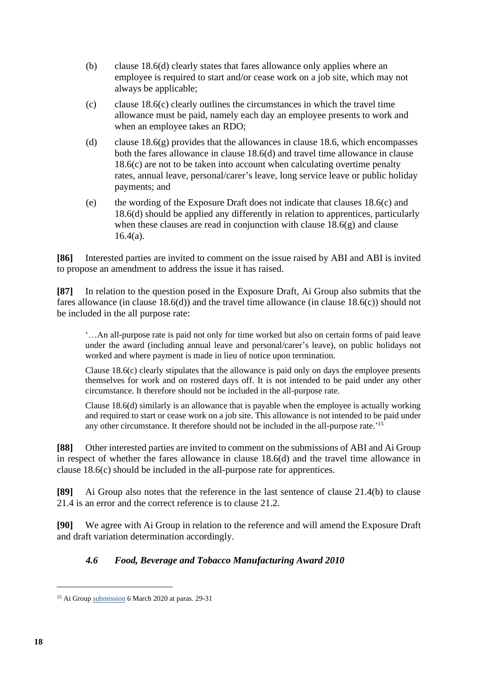- (b) clause 18.6(d) clearly states that fares allowance only applies where an employee is required to start and/or cease work on a job site, which may not always be applicable;
- (c) clause  $18.6(c)$  clearly outlines the circumstances in which the travel time allowance must be paid, namely each day an employee presents to work and when an employee takes an RDO;
- (d) clause 18.6(g) provides that the allowances in clause 18.6, which encompasses both the fares allowance in clause 18.6(d) and travel time allowance in clause 18.6(c) are not to be taken into account when calculating overtime penalty rates, annual leave, personal/carer's leave, long service leave or public holiday payments; and
- (e) the wording of the Exposure Draft does not indicate that clauses 18.6(c) and 18.6(d) should be applied any differently in relation to apprentices, particularly when these clauses are read in conjunction with clause  $18.6(g)$  and clause 16.4(a).

**[86]** Interested parties are invited to comment on the issue raised by ABI and ABI is invited to propose an amendment to address the issue it has raised.

**[87]** In relation to the question posed in the Exposure Draft, Ai Group also submits that the fares allowance (in clause 18.6(d)) and the travel time allowance (in clause 18.6(c)) should not be included in the all purpose rate:

'…An all-purpose rate is paid not only for time worked but also on certain forms of paid leave under the award (including annual leave and personal/carer's leave), on public holidays not worked and where payment is made in lieu of notice upon termination.

Clause 18.6(c) clearly stipulates that the allowance is paid only on days the employee presents themselves for work and on rostered days off. It is not intended to be paid under any other circumstance. It therefore should not be included in the all-purpose rate.

Clause 18.6(d) similarly is an allowance that is payable when the employee is actually working and required to start or cease work on a job site. This allowance is not intended to be paid under any other circumstance. It therefore should not be included in the all-purpose rate.' 15

**[88]** Other interested parties are invited to comment on the submissions of ABI and Ai Group in respect of whether the fares allowance in clause 18.6(d) and the travel time allowance in clause 18.6(c) should be included in the all-purpose rate for apprentices.

**[89]** Ai Group also notes that the reference in the last sentence of clause 21.4(b) to clause 21.4 is an error and the correct reference is to clause 21.2.

**[90]** We agree with Ai Group in relation to the reference and will amend the Exposure Draft and draft variation determination accordingly.

# *4.6 Food, Beverage and Tobacco Manufacturing Award 2010*

<sup>&</sup>lt;sup>15</sup> Ai Grou[p submission](https://www.fwc.gov.au/documents/sites/awardsmodernfouryr/am201467-sub-aig-060320.pdf) 6 March 2020 at paras. 29-31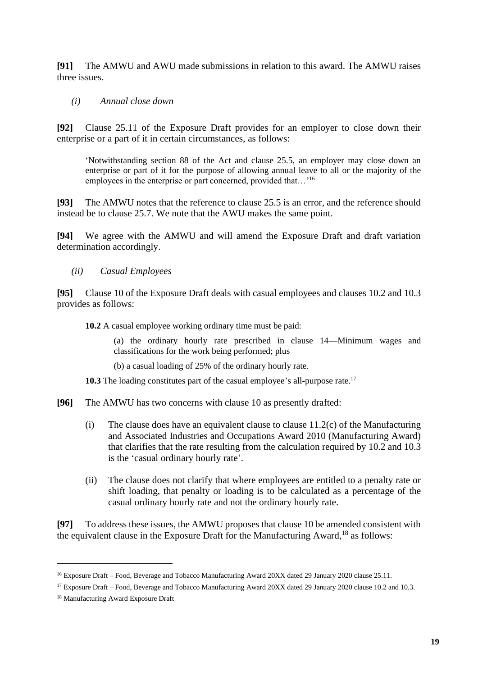<span id="page-18-0"></span>**[91]** The AMWU and AWU made submissions in relation to this award. The AMWU raises three issues.

*(i) Annual close down*

**[92]** Clause 25.11 of the Exposure Draft provides for an employer to close down their enterprise or a part of it in certain circumstances, as follows:

'Notwithstanding section 88 of the Act and clause 25.5, an employer may close down an enterprise or part of it for the purpose of allowing annual leave to all or the majority of the employees in the enterprise or part concerned, provided that...'<sup>16</sup>

**[93]** The AMWU notes that the reference to clause 25.5 is an error, and the reference should instead be to clause 25.7. We note that the AWU makes the same point.

**[94]** We agree with the AMWU and will amend the Exposure Draft and draft variation determination accordingly.

*(ii) Casual Employees* 

**[95]** Clause 10 of the Exposure Draft deals with casual employees and clauses 10.2 and 10.3 provides as follows:

**10.2** A casual employee working ordinary time must be paid:

(a) the ordinary hourly rate prescribed in clause 14—Minimum wages and classifications for the work being performed; plus

(b) a casual loading of 25% of the ordinary hourly rate.

**10.3** The loading constitutes part of the casual employee's all-purpose rate.<sup>17</sup>

- **[96]** The AMWU has two concerns with clause 10 as presently drafted:
	- (i) The clause does have an equivalent clause to clause 11.2(c) of the Manufacturing and Associated Industries and Occupations Award 2010 (Manufacturing Award) that clarifies that the rate resulting from the calculation required by 10.2 and 10.3 is the 'casual ordinary hourly rate'.
	- (ii) The clause does not clarify that where employees are entitled to a penalty rate or shift loading, that penalty or loading is to be calculated as a percentage of the casual ordinary hourly rate and not the ordinary hourly rate.

**[97]** To address these issues, the AMWU proposes that clause 10 be amended consistent with the equivalent clause in the Exposure Draft for the Manufacturing Award,  $18$  as follows:

<sup>&</sup>lt;sup>16</sup> Exposure Draft – Food, Beverage and Tobacco Manufacturing Award 20XX dated 29 January 2020 clause 25.11.

<sup>&</sup>lt;sup>17</sup> Exposure Draft – Food, Beverage and Tobacco Manufacturing Award 20XX dated 29 January 2020 clause 10.2 and 10.3.

<sup>18</sup> Manufacturing Award Exposure Draft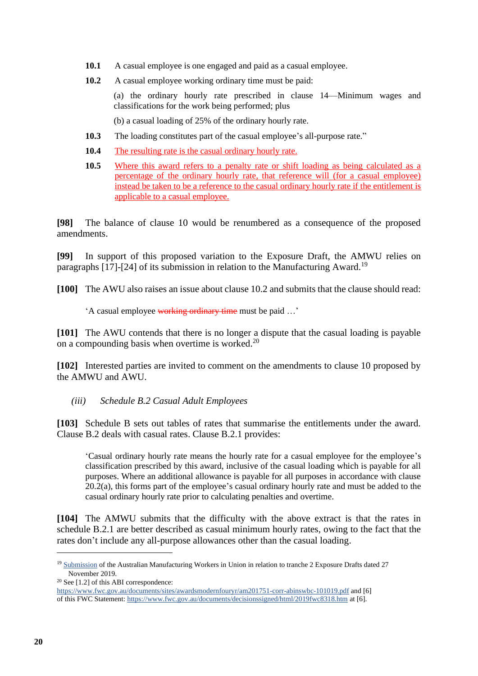- **10.1** A casual employee is one engaged and paid as a casual employee.
- **10.2** A casual employee working ordinary time must be paid:

(a) the ordinary hourly rate prescribed in clause 14—Minimum wages and classifications for the work being performed; plus

(b) a casual loading of 25% of the ordinary hourly rate.

- **10.3** The loading constitutes part of the casual employee's all-purpose rate."
- **10.4** The resulting rate is the casual ordinary hourly rate.
- **10.5** Where this award refers to a penalty rate or shift loading as being calculated as a percentage of the ordinary hourly rate, that reference will (for a casual employee) instead be taken to be a reference to the casual ordinary hourly rate if the entitlement is applicable to a casual employee.

**[98]** The balance of clause 10 would be renumbered as a consequence of the proposed amendments.

**[99]** In support of this proposed variation to the Exposure Draft, the AMWU relies on paragraphs [17]-[24] of its submission in relation to the Manufacturing Award.<sup>19</sup>

**[100]** The AWU also raises an issue about clause 10.2 and submits that the clause should read:

A casual employee working ordinary time must be paid ...'

**[101]** The AWU contends that there is no longer a dispute that the casual loading is payable on a compounding basis when overtime is worked.<sup>20</sup>

**[102]** Interested parties are invited to comment on the amendments to clause 10 proposed by the AMWU and AWU.

*(iii) Schedule B.2 Casual Adult Employees* 

**[103]** Schedule B sets out tables of rates that summarise the entitlements under the award. Clause B.2 deals with casual rates. Clause B.2.1 provides:

'Casual ordinary hourly rate means the hourly rate for a casual employee for the employee's classification prescribed by this award, inclusive of the casual loading which is payable for all purposes. Where an additional allowance is payable for all purposes in accordance with clause 20.2(a), this forms part of the employee's casual ordinary hourly rate and must be added to the casual ordinary hourly rate prior to calculating penalties and overtime.

**[104]** The AMWU submits that the difficulty with the above extract is that the rates in schedule B.2.1 are better described as casual minimum hourly rates, owing to the fact that the rates don't include any all-purpose allowances other than the casual loading.

<sup>&</sup>lt;sup>19</sup> [Submission](https://www.fwc.gov.au/documents/sites/awardsmodernfouryr/am201917-sub-amwu-271119.pdf) of the Australian Manufacturing Workers in Union in relation to tranche 2 Exposure Drafts dated 27 November 2019.

<sup>20</sup> See [1.2] of this ABI correspondence:

<https://www.fwc.gov.au/documents/sites/awardsmodernfouryr/am201751-corr-abinswbc-101019.pdf> and [6] of this FWC Statement[: https://www.fwc.gov.au/documents/decisionssigned/html/2019fwc8318.htm](https://www.fwc.gov.au/documents/decisionssigned/html/2019fwc8318.htm) at [6].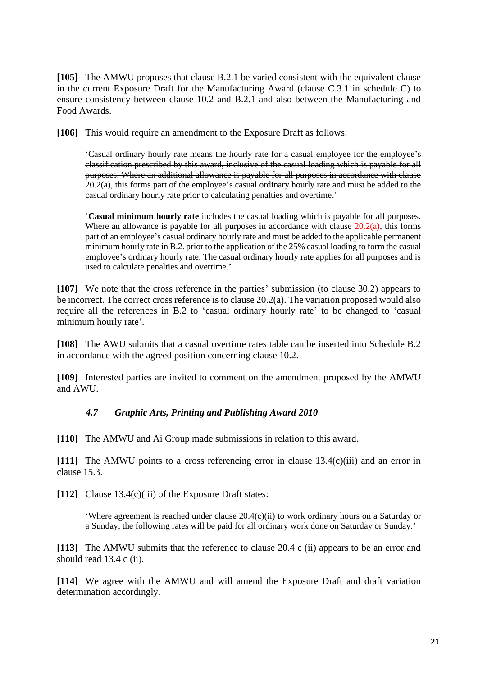**[105]** The AMWU proposes that clause B.2.1 be varied consistent with the equivalent clause in the current Exposure Draft for the Manufacturing Award (clause C.3.1 in schedule C) to ensure consistency between clause 10.2 and B.2.1 and also between the Manufacturing and Food Awards.

**[106]** This would require an amendment to the Exposure Draft as follows:

'Casual ordinary hourly rate means the hourly rate for a casual employee for the employee's classification prescribed by this award, inclusive of the casual loading which is payable for all purposes. Where an additional allowance is payable for all purposes in accordance with clause  $20.2(a)$ , this forms part of the employee's casual ordinary hourly rate and must be added to the casual ordinary hourly rate prior to calculating penalties and overtime.'

'**Casual minimum hourly rate** includes the casual loading which is payable for all purposes. Where an allowance is payable for all purposes in accordance with clause  $20.2(a)$ , this forms part of an employee's casual ordinary hourly rate and must be added to the applicable permanent minimum hourly rate in B.2. prior to the application of the 25% casual loading to form the casual employee's ordinary hourly rate. The casual ordinary hourly rate applies for all purposes and is used to calculate penalties and overtime.'

**[107]** We note that the cross reference in the parties' submission (to clause 30.2) appears to be incorrect. The correct cross reference is to clause 20.2(a). The variation proposed would also require all the references in B.2 to 'casual ordinary hourly rate' to be changed to 'casual minimum hourly rate'.

**[108]** The AWU submits that a casual overtime rates table can be inserted into Schedule B.2 in accordance with the agreed position concerning clause 10.2.

**[109]** Interested parties are invited to comment on the amendment proposed by the AMWU and AWU.

# *4.7 Graphic Arts, Printing and Publishing Award 2010*

<span id="page-20-0"></span>**[110]** The AMWU and Ai Group made submissions in relation to this award.

**[111]** The AMWU points to a cross referencing error in clause 13.4(c)(iii) and an error in clause 15.3.

**[112]** Clause 13.4(c)(iii) of the Exposure Draft states:

'Where agreement is reached under clause 20.4(c)(ii) to work ordinary hours on a Saturday or a Sunday, the following rates will be paid for all ordinary work done on Saturday or Sunday.'

**[113]** The AMWU submits that the reference to clause 20.4 c (ii) appears to be an error and should read 13.4 c (ii).

**[114]** We agree with the AMWU and will amend the Exposure Draft and draft variation determination accordingly.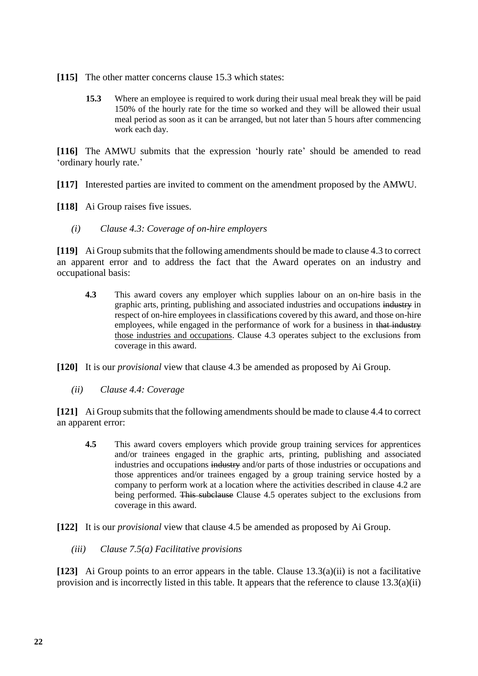- **[115]** The other matter concerns clause 15.3 which states:
	- **15.3** Where an employee is required to work during their usual meal break they will be paid 150% of the hourly rate for the time so worked and they will be allowed their usual meal period as soon as it can be arranged, but not later than 5 hours after commencing work each day.

**[116]** The AMWU submits that the expression 'hourly rate' should be amended to read 'ordinary hourly rate.'

**[117]** Interested parties are invited to comment on the amendment proposed by the AMWU.

- [118] Ai Group raises five issues.
	- *(i) Clause 4.3: Coverage of on-hire employers*

**[119]** Ai Group submits that the following amendments should be made to clause 4.3 to correct an apparent error and to address the fact that the Award operates on an industry and occupational basis:

**4.3** This award covers any employer which supplies labour on an on-hire basis in the graphic arts, printing, publishing and associated industries and occupations industry in respect of on-hire employees in classifications covered by this award, and those on-hire employees, while engaged in the performance of work for a business in that industry those industries and occupations. Clause 4.3 operates subject to the exclusions from coverage in this award.

**[120]** It is our *provisional* view that clause 4.3 be amended as proposed by Ai Group.

*(ii) Clause 4.4: Coverage*

**[121]** Ai Group submits that the following amendments should be made to clause 4.4 to correct an apparent error:

**4.5** This award covers employers which provide group training services for apprentices and/or trainees engaged in the graphic arts, printing, publishing and associated industries and occupations industry and/or parts of those industries or occupations and those apprentices and/or trainees engaged by a group training service hosted by a company to perform work at a location where the activities described in clause 4.2 are being performed. This subclause Clause 4.5 operates subject to the exclusions from coverage in this award.

**[122]** It is our *provisional* view that clause 4.5 be amended as proposed by Ai Group.

*(iii) Clause 7.5(a) Facilitative provisions*

**[123]** Ai Group points to an error appears in the table. Clause 13.3(a)(ii) is not a facilitative provision and is incorrectly listed in this table. It appears that the reference to clause 13.3(a)(ii)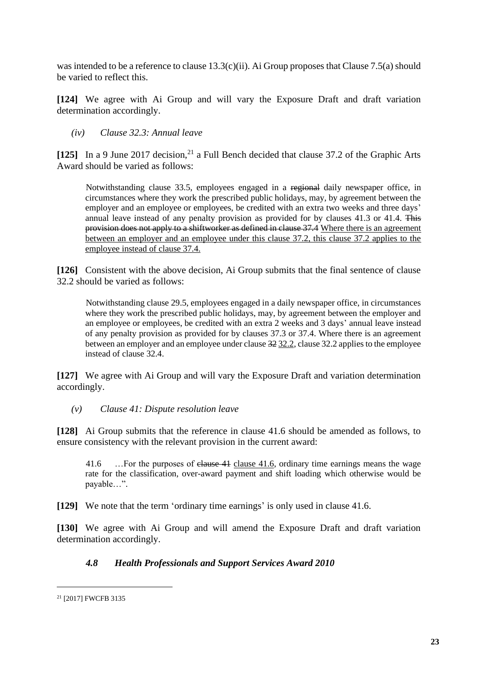was intended to be a reference to clause  $13.3(c)(ii)$ . Ai Group proposes that Clause 7.5(a) should be varied to reflect this.

**[124]** We agree with Ai Group and will vary the Exposure Draft and draft variation determination accordingly.

*(iv) Clause 32.3: Annual leave*

[125] In a 9 June 2017 decision,<sup>21</sup> a Full Bench decided that clause 37.2 of the Graphic Arts Award should be varied as follows:

Notwithstanding clause 33.5, employees engaged in a regional daily newspaper office, in circumstances where they work the prescribed public holidays, may, by agreement between the employer and an employee or employees, be credited with an extra two weeks and three days' annual leave instead of any penalty provision as provided for by clauses 41.3 or 41.4. This provision does not apply to a shiftworker as defined in clause 37.4 Where there is an agreement between an employer and an employee under this clause 37.2, this clause 37.2 applies to the employee instead of clause 37.4.

**[126]** Consistent with the above decision, Ai Group submits that the final sentence of clause 32.2 should be varied as follows:

Notwithstanding clause 29.5, employees engaged in a daily newspaper office, in circumstances where they work the prescribed public holidays, may, by agreement between the employer and an employee or employees, be credited with an extra 2 weeks and 3 days' annual leave instead of any penalty provision as provided for by clauses 37.3 or 37.4. Where there is an agreement between an employer and an employee under clause 32 32.2, clause 32.2 applies to the employee instead of clause 32.4.

**[127]** We agree with Ai Group and will vary the Exposure Draft and variation determination accordingly.

*(v) Clause 41: Dispute resolution leave*

**[128]** Ai Group submits that the reference in clause 41.6 should be amended as follows, to ensure consistency with the relevant provision in the current award:

41.6 …For the purposes of <del>clause 41</del> clause 41.6, ordinary time earnings means the wage rate for the classification, over-award payment and shift loading which otherwise would be payable…".

**[129]** We note that the term 'ordinary time earnings' is only used in clause 41.6.

**[130]** We agree with Ai Group and will amend the Exposure Draft and draft variation determination accordingly.

# *4.8 Health Professionals and Support Services Award 2010*

<sup>21</sup> [2017] FWCFB 3135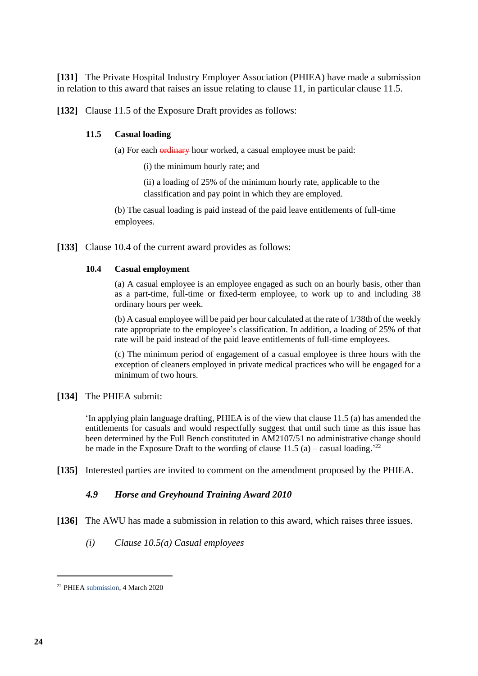<span id="page-23-0"></span>**[131]** The Private Hospital Industry Employer Association (PHIEA) have made a submission in relation to this award that raises an issue relating to clause 11, in particular clause 11.5.

**[132]** Clause 11.5 of the Exposure Draft provides as follows:

#### **11.5 Casual loading**

(a) For each **ordinary** hour worked, a casual employee must be paid:

(i) the minimum hourly rate; and

(ii) a loading of 25% of the minimum hourly rate, applicable to the classification and pay point in which they are employed.

(b) The casual loading is paid instead of the paid leave entitlements of full-time employees.

**[133]** Clause 10.4 of the current award provides as follows:

#### **10.4 Casual employment**

(a) A casual employee is an employee engaged as such on an hourly basis, other than as a part-time, full-time or fixed-term employee, to work up to and including 38 ordinary hours per week.

(b) A casual employee will be paid per hour calculated at the rate of 1/38th of the weekly rate appropriate to the employee's classification. In addition, a loading of 25% of that rate will be paid instead of the paid leave entitlements of full-time employees.

(c) The minimum period of engagement of a casual employee is three hours with the exception of cleaners employed in private medical practices who will be engaged for a minimum of two hours.

**[134]** The PHIEA submit:

'In applying plain language drafting, PHIEA is of the view that clause 11.5 (a) has amended the entitlements for casuals and would respectfully suggest that until such time as this issue has been determined by the Full Bench constituted in AM2107/51 no administrative change should be made in the Exposure Draft to the wording of clause  $11.5$  (a) – casual loading.<sup>222</sup>

**[135]** Interested parties are invited to comment on the amendment proposed by the PHIEA.

#### *4.9 Horse and Greyhound Training Award 2010*

- <span id="page-23-1"></span>**[136]** The AWU has made a submission in relation to this award, which raises three issues.
	- *(i) Clause 10.5(a) Casual employees*

<sup>22</sup> PHIEA [submission,](https://www.fwc.gov.au/documents/sites/awardsmodernfouryr/am2014204-sub-phiea-040320.pdf) 4 March 2020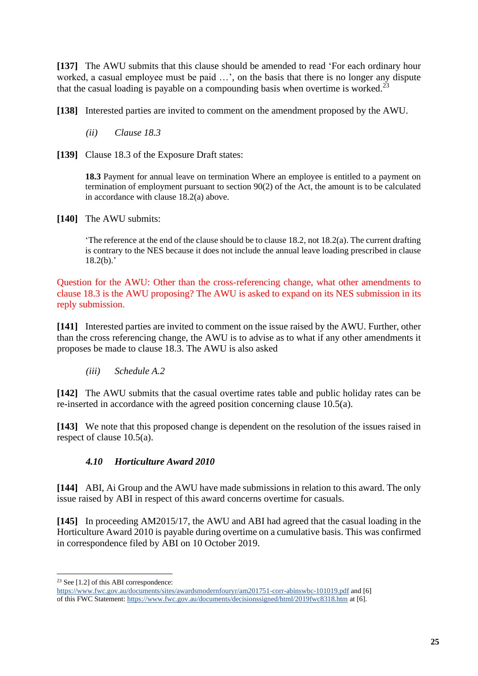**[137]** The AWU submits that this clause should be amended to read 'For each ordinary hour worked, a casual employee must be paid …', on the basis that there is no longer any dispute that the casual loading is payable on a compounding basis when overtime is worked.<sup>23</sup>

**[138]** Interested parties are invited to comment on the amendment proposed by the AWU.

*(ii) Clause 18.3*

[139] Clause 18.3 of the Exposure Draft states:

18.3 Payment for annual leave on termination Where an employee is entitled to a payment on termination of employment pursuant to section 90(2) of the Act, the amount is to be calculated in accordance with clause 18.2(a) above.

**[140]** The AWU submits:

'The reference at the end of the clause should be to clause 18.2, not 18.2(a). The current drafting is contrary to the NES because it does not include the annual leave loading prescribed in clause  $18.2(b)$ .

Question for the AWU: Other than the cross-referencing change, what other amendments to clause 18.3 is the AWU proposing? The AWU is asked to expand on its NES submission in its reply submission.

**[141]** Interested parties are invited to comment on the issue raised by the AWU. Further, other than the cross referencing change, the AWU is to advise as to what if any other amendments it proposes be made to clause 18.3. The AWU is also asked

*(iii) Schedule A.2*

**[142]** The AWU submits that the casual overtime rates table and public holiday rates can be re-inserted in accordance with the agreed position concerning clause 10.5(a).

**[143]** We note that this proposed change is dependent on the resolution of the issues raised in respect of clause 10.5(a).

# *4.10 Horticulture Award 2010*

<span id="page-24-0"></span>**[144]** ABI, Ai Group and the AWU have made submissions in relation to this award. The only issue raised by ABI in respect of this award concerns overtime for casuals.

**[145]** In proceeding AM2015/17, the AWU and ABI had agreed that the casual loading in the Horticulture Award 2010 is payable during overtime on a cumulative basis. This was confirmed in correspondence filed by ABI on 10 October 2019.

<sup>23</sup> See [1.2] of this ABI correspondence:

<https://www.fwc.gov.au/documents/sites/awardsmodernfouryr/am201751-corr-abinswbc-101019.pdf> and [6] of this FWC Statement[: https://www.fwc.gov.au/documents/decisionssigned/html/2019fwc8318.htm](https://www.fwc.gov.au/documents/decisionssigned/html/2019fwc8318.htm) at [6].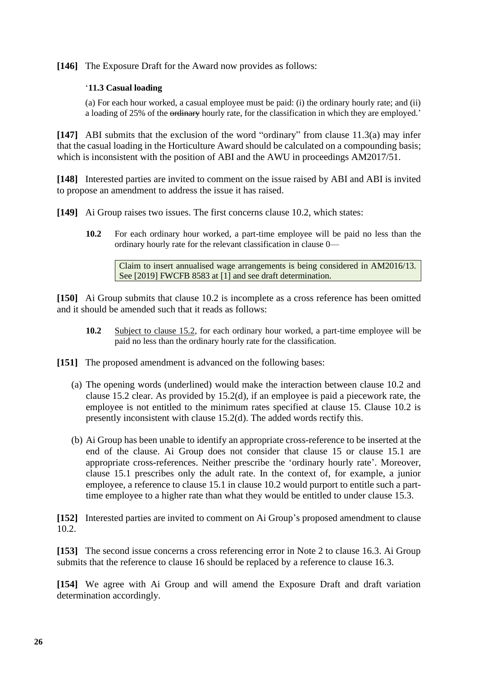**[146]** The Exposure Draft for the Award now provides as follows:

# '**11.3 Casual loading**

(a) For each hour worked, a casual employee must be paid: (i) the ordinary hourly rate; and (ii) a loading of 25% of the ordinary hourly rate, for the classification in which they are employed.'

**[147]** ABI submits that the exclusion of the word "ordinary" from clause 11.3(a) may infer that the casual loading in the Horticulture Award should be calculated on a compounding basis; which is inconsistent with the position of ABI and the AWU in proceedings AM2017/51.

**[148]** Interested parties are invited to comment on the issue raised by ABI and ABI is invited to propose an amendment to address the issue it has raised.

**[149]** Ai Group raises two issues. The first concerns clause 10.2, which states:

**10.2** For each ordinary hour worked, a part-time employee will be paid no less than the ordinary hourly rate for the relevant classification in clause 0—

Claim to insert annualised wage arrangements is being considered in AM2016/13. See [2019] FWCFB 8583 at [1] and see draft determination.

**[150]** Ai Group submits that clause 10.2 is incomplete as a cross reference has been omitted and it should be amended such that it reads as follows:

**10.2** Subject to clause 15.2, for each ordinary hour worked, a part-time employee will be paid no less than the ordinary hourly rate for the classification.

**[151]** The proposed amendment is advanced on the following bases:

- (a) The opening words (underlined) would make the interaction between clause 10.2 and clause 15.2 clear. As provided by 15.2(d), if an employee is paid a piecework rate, the employee is not entitled to the minimum rates specified at clause 15. Clause 10.2 is presently inconsistent with clause 15.2(d). The added words rectify this.
- (b) Ai Group has been unable to identify an appropriate cross-reference to be inserted at the end of the clause. Ai Group does not consider that clause 15 or clause 15.1 are appropriate cross-references. Neither prescribe the 'ordinary hourly rate'. Moreover, clause 15.1 prescribes only the adult rate. In the context of, for example, a junior employee, a reference to clause 15.1 in clause 10.2 would purport to entitle such a parttime employee to a higher rate than what they would be entitled to under clause 15.3.

**[152]** Interested parties are invited to comment on Ai Group's proposed amendment to clause 10.2.

**[153]** The second issue concerns a cross referencing error in Note 2 to clause 16.3. Ai Group submits that the reference to clause 16 should be replaced by a reference to clause 16.3.

**[154]** We agree with Ai Group and will amend the Exposure Draft and draft variation determination accordingly.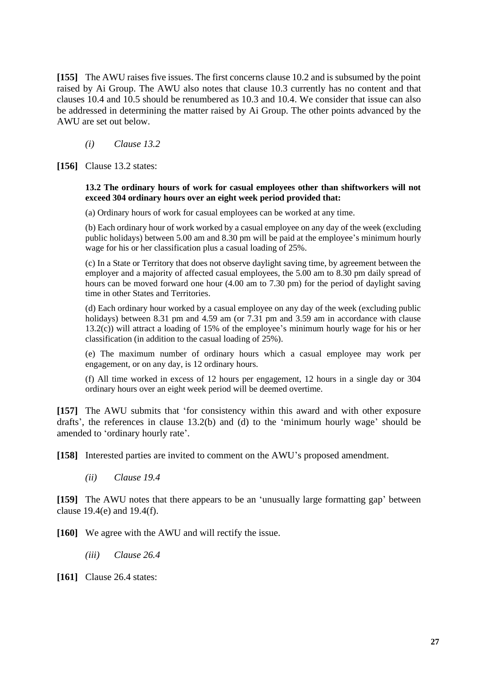**[155]** The AWU raises five issues. The first concerns clause 10.2 and is subsumed by the point raised by Ai Group. The AWU also notes that clause 10.3 currently has no content and that clauses 10.4 and 10.5 should be renumbered as 10.3 and 10.4. We consider that issue can also be addressed in determining the matter raised by Ai Group. The other points advanced by the AWU are set out below.

*(i) Clause 13.2* 

**[156]** Clause 13.2 states:

#### **13.2 The ordinary hours of work for casual employees other than shiftworkers will not exceed 304 ordinary hours over an eight week period provided that:**

(a) Ordinary hours of work for casual employees can be worked at any time.

(b) Each ordinary hour of work worked by a casual employee on any day of the week (excluding public holidays) between 5.00 am and 8.30 pm will be paid at the employee's minimum hourly wage for his or her classification plus a casual loading of 25%.

(c) In a State or Territory that does not observe daylight saving time, by agreement between the employer and a majority of affected casual employees, the 5.00 am to 8.30 pm daily spread of hours can be moved forward one hour (4.00 am to 7.30 pm) for the period of daylight saving time in other States and Territories.

(d) Each ordinary hour worked by a casual employee on any day of the week (excluding public holidays) between 8.31 pm and 4.59 am (or 7.31 pm and 3.59 am in accordance with clause 13.2(c)) will attract a loading of 15% of the employee's minimum hourly wage for his or her classification (in addition to the casual loading of 25%).

(e) The maximum number of ordinary hours which a casual employee may work per engagement, or on any day, is 12 ordinary hours.

(f) All time worked in excess of 12 hours per engagement, 12 hours in a single day or 304 ordinary hours over an eight week period will be deemed overtime.

**[157]** The AWU submits that 'for consistency within this award and with other exposure drafts', the references in clause 13.2(b) and (d) to the 'minimum hourly wage' should be amended to 'ordinary hourly rate'.

**[158]** Interested parties are invited to comment on the AWU's proposed amendment.

*(ii) Clause 19.4*

**[159]** The AWU notes that there appears to be an 'unusually large formatting gap' between clause 19.4(e) and 19.4(f).

**[160]** We agree with the AWU and will rectify the issue.

*(iii) Clause 26.4*

**[161]** Clause 26.4 states: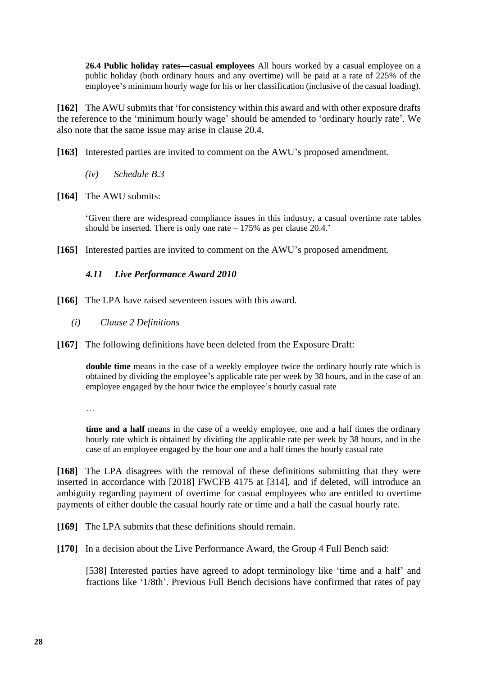**26.4 Public holiday rates—casual employees** All hours worked by a casual employee on a public holiday (both ordinary hours and any overtime) will be paid at a rate of 225% of the employee's minimum hourly wage for his or her classification (inclusive of the casual loading).

**[162]** The AWU submits that 'for consistency within this award and with other exposure drafts the reference to the 'minimum hourly wage' should be amended to 'ordinary hourly rate'. We also note that the same issue may arise in clause 20.4.

- **[163]** Interested parties are invited to comment on the AWU's proposed amendment.
	- *(iv) Schedule B.3*
- **[164]** The AWU submits:

'Given there are widespread compliance issues in this industry, a casual overtime rate tables should be inserted. There is only one rate  $-175\%$  as per clause 20.4.'

**[165]** Interested parties are invited to comment on the AWU's proposed amendment.

# *4.11 Live Performance Award 2010*

- <span id="page-27-0"></span>**[166]** The LPA have raised seventeen issues with this award.
	- *(i) Clause 2 Definitions*
- **[167]** The following definitions have been deleted from the Exposure Draft:

**double time** means in the case of a weekly employee twice the ordinary hourly rate which is obtained by dividing the employee's applicable rate per week by 38 hours, and in the case of an employee engaged by the hour twice the employee's hourly casual rate

…

**time and a half** means in the case of a weekly employee, one and a half times the ordinary hourly rate which is obtained by dividing the applicable rate per week by 38 hours, and in the case of an employee engaged by the hour one and a half times the hourly casual rate

**[168]** The LPA disagrees with the removal of these definitions submitting that they were inserted in accordance with [2018] FWCFB 4175 at [314], and if deleted, will introduce an ambiguity regarding payment of overtime for casual employees who are entitled to overtime payments of either double the casual hourly rate or time and a half the casual hourly rate.

**[169]** The LPA submits that these definitions should remain.

**[170]** In a decision about the Live Performance Award, the Group 4 Full Bench said:

[538] Interested parties have agreed to adopt terminology like 'time and a half' and fractions like '1/8th'. Previous Full Bench decisions have confirmed that rates of pay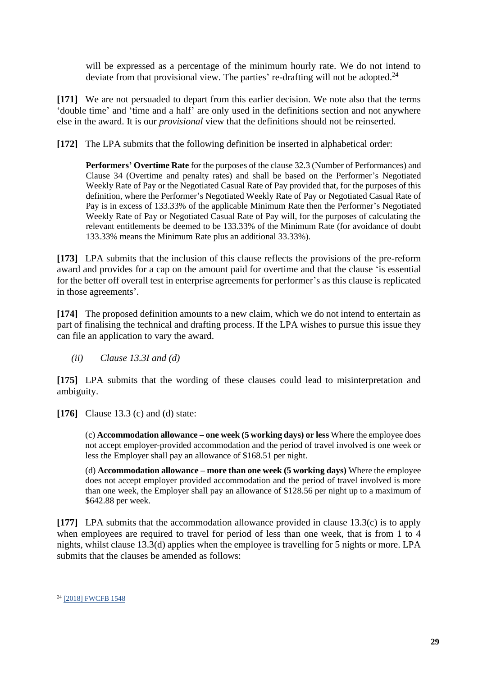will be expressed as a percentage of the minimum hourly rate. We do not intend to deviate from that provisional view. The parties' re-drafting will not be adopted.<sup>24</sup>

**[171]** We are not persuaded to depart from this earlier decision. We note also that the terms 'double time' and 'time and a half' are only used in the definitions section and not anywhere else in the award. It is our *provisional* view that the definitions should not be reinserted.

**[172]** The LPA submits that the following definition be inserted in alphabetical order:

**Performers' Overtime Rate** for the purposes of the clause 32.3 (Number of Performances) and Clause 34 (Overtime and penalty rates) and shall be based on the Performer's Negotiated Weekly Rate of Pay or the Negotiated Casual Rate of Pay provided that, for the purposes of this definition, where the Performer's Negotiated Weekly Rate of Pay or Negotiated Casual Rate of Pay is in excess of 133.33% of the applicable Minimum Rate then the Performer's Negotiated Weekly Rate of Pay or Negotiated Casual Rate of Pay will, for the purposes of calculating the relevant entitlements be deemed to be 133.33% of the Minimum Rate (for avoidance of doubt 133.33% means the Minimum Rate plus an additional 33.33%).

**[173]** LPA submits that the inclusion of this clause reflects the provisions of the pre-reform award and provides for a cap on the amount paid for overtime and that the clause 'is essential for the better off overall test in enterprise agreements for performer's as this clause is replicated in those agreements'.

**[174]** The proposed definition amounts to a new claim, which we do not intend to entertain as part of finalising the technical and drafting process. If the LPA wishes to pursue this issue they can file an application to vary the award.

*(ii) Clause 13.3I and (d)*

**[175]** LPA submits that the wording of these clauses could lead to misinterpretation and ambiguity.

**[176]** Clause 13.3 (c) and (d) state:

(c) **Accommodation allowance – one week (5 working days) or less** Where the employee does not accept employer-provided accommodation and the period of travel involved is one week or less the Employer shall pay an allowance of \$168.51 per night.

(d) **Accommodation allowance – more than one week (5 working days)** Where the employee does not accept employer provided accommodation and the period of travel involved is more than one week, the Employer shall pay an allowance of \$128.56 per night up to a maximum of \$642.88 per week.

**[177]** LPA submits that the accommodation allowance provided in clause 13.3(c) is to apply when employees are required to travel for period of less than one week, that is from 1 to 4 nights, whilst clause 13.3(d) applies when the employee is travelling for 5 nights or more. LPA submits that the clauses be amended as follows:

<sup>&</sup>lt;sup>24</sup> [\[2018\] FWCFB 1548](https://www.fwc.gov.au/documents/decisionssigned/html/2018fwcfb1548.htm#P2425_193638)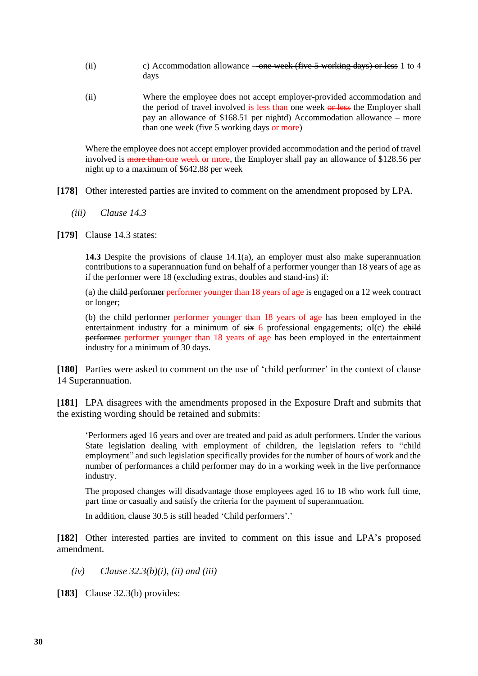- (ii) c) Accommodation allowance one week (five 5 working days) or less 1 to 4 days
- (ii) Where the employee does not accept employer-provided accommodation and the period of travel involved is less than one week or less the Employer shall pay an allowance of \$168.51 per nightd) Accommodation allowance – more than one week (five 5 working days or more)

Where the employee does not accept employer provided accommodation and the period of travel involved is more than one week or more, the Employer shall pay an allowance of \$128.56 per night up to a maximum of \$642.88 per week

- **[178]** Other interested parties are invited to comment on the amendment proposed by LPA.
	- *(iii) Clause 14.3*
- **[179]** Clause 14.3 states:

**14.3** Despite the provisions of clause 14.1(a), an employer must also make superannuation contributions to a superannuation fund on behalf of a performer younger than 18 years of age as if the performer were 18 (excluding extras, doubles and stand-ins) if:

(a) the child performer performer younger than 18 years of age is engaged on a 12 week contract or longer;

(b) the child performer performer younger than 18 years of age has been employed in the entertainment industry for a minimum of  $s\ddot{x}$  6 professional engagements; oI(c) the child performer performer younger than 18 years of age has been employed in the entertainment industry for a minimum of 30 days.

**[180]** Parties were asked to comment on the use of 'child performer' in the context of clause 14 Superannuation.

**[181]** LPA disagrees with the amendments proposed in the Exposure Draft and submits that the existing wording should be retained and submits:

'Performers aged 16 years and over are treated and paid as adult performers. Under the various State legislation dealing with employment of children, the legislation refers to "child employment" and such legislation specifically provides for the number of hours of work and the number of performances a child performer may do in a working week in the live performance industry.

The proposed changes will disadvantage those employees aged 16 to 18 who work full time, part time or casually and satisfy the criteria for the payment of superannuation.

In addition, clause 30.5 is still headed 'Child performers'.'

**[182]** Other interested parties are invited to comment on this issue and LPA's proposed amendment.

*(iv) Clause 32.3(b)(i), (ii) and (iii)*

**[183]** Clause 32.3(b) provides: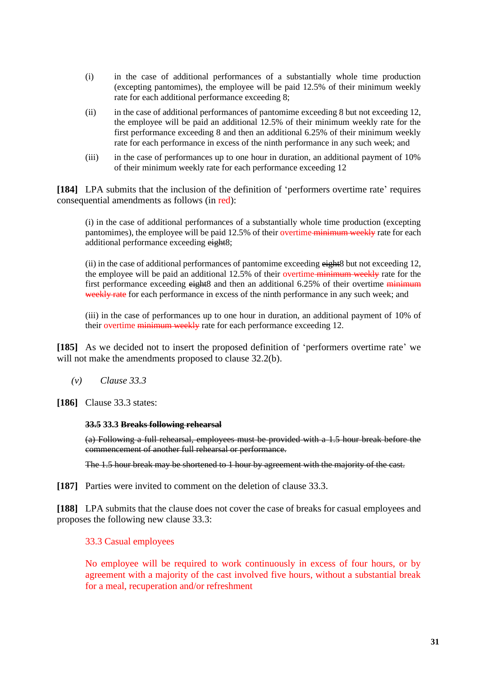- (i) in the case of additional performances of a substantially whole time production (excepting pantomimes), the employee will be paid 12.5% of their minimum weekly rate for each additional performance exceeding 8;
- (ii) in the case of additional performances of pantomime exceeding 8 but not exceeding 12, the employee will be paid an additional 12.5% of their minimum weekly rate for the first performance exceeding 8 and then an additional 6.25% of their minimum weekly rate for each performance in excess of the ninth performance in any such week; and
- (iii) in the case of performances up to one hour in duration, an additional payment of 10% of their minimum weekly rate for each performance exceeding 12

**[184]** LPA submits that the inclusion of the definition of 'performers overtime rate' requires consequential amendments as follows (in red):

(i) in the case of additional performances of a substantially whole time production (excepting pantomimes), the employee will be paid 12.5% of their overtime minimum weekly rate for each additional performance exceeding eight8;

(ii) in the case of additional performances of pantomime exceeding eight8 but not exceeding 12, the employee will be paid an additional 12.5% of their overtime-minimum weekly rate for the first performance exceeding eight8 and then an additional 6.25% of their overtime minimum weekly rate for each performance in excess of the ninth performance in any such week; and

(iii) in the case of performances up to one hour in duration, an additional payment of 10% of their overtime minimum weekly rate for each performance exceeding 12.

**[185]** As we decided not to insert the proposed definition of 'performers overtime rate' we will not make the amendments proposed to clause 32.2(b).

- *(v) Clause 33.3*
- **[186]** Clause 33.3 states:

#### **33.5 33.3 Breaks following rehearsal**

(a) Following a full rehearsal, employees must be provided with a 1.5 hour break before the commencement of another full rehearsal or performance.

The 1.5 hour break may be shortened to 1 hour by agreement with the majority of the cast.

**[187]** Parties were invited to comment on the deletion of clause 33.3.

**[188]** LPA submits that the clause does not cover the case of breaks for casual employees and proposes the following new clause 33.3:

#### 33.3 Casual employees

No employee will be required to work continuously in excess of four hours, or by agreement with a majority of the cast involved five hours, without a substantial break for a meal, recuperation and/or refreshment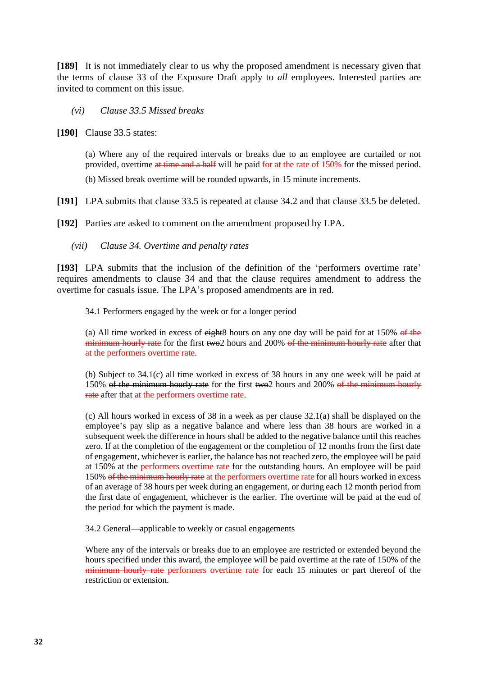**[189]** It is not immediately clear to us why the proposed amendment is necessary given that the terms of clause 33 of the Exposure Draft apply to *all* employees. Interested parties are invited to comment on this issue.

## *(vi) Clause 33.5 Missed breaks*

**[190]** Clause 33.5 states:

(a) Where any of the required intervals or breaks due to an employee are curtailed or not provided, overtime at time and a half will be paid for at the rate of 150% for the missed period.

(b) Missed break overtime will be rounded upwards, in 15 minute increments.

**[191]** LPA submits that clause 33.5 is repeated at clause 34.2 and that clause 33.5 be deleted.

**[192]** Parties are asked to comment on the amendment proposed by LPA.

*(vii) Clause 34. Overtime and penalty rates*

**[193]** LPA submits that the inclusion of the definition of the 'performers overtime rate' requires amendments to clause 34 and that the clause requires amendment to address the overtime for casuals issue. The LPA's proposed amendments are in red.

34.1 Performers engaged by the week or for a longer period

(a) All time worked in excess of  $\frac{e^{i\theta}}{e^{i\theta}}$  hours on any one day will be paid for at 150% of the minimum hourly rate for the first two2 hours and 200% of the minimum hourly rate after that at the performers overtime rate.

(b) Subject to 34.1(c) all time worked in excess of 38 hours in any one week will be paid at 150% of the minimum hourly rate for the first two2 hours and 200% of the minimum hourly rate after that at the performers overtime rate.

(c) All hours worked in excess of 38 in a week as per clause 32.1(a) shall be displayed on the employee's pay slip as a negative balance and where less than 38 hours are worked in a subsequent week the difference in hours shall be added to the negative balance until this reaches zero. If at the completion of the engagement or the completion of 12 months from the first date of engagement, whichever is earlier, the balance has not reached zero, the employee will be paid at 150% at the performers overtime rate for the outstanding hours. An employee will be paid 150% of the minimum hourly rate at the performers overtime rate for all hours worked in excess of an average of 38 hours per week during an engagement, or during each 12 month period from the first date of engagement, whichever is the earlier. The overtime will be paid at the end of the period for which the payment is made.

34.2 General—applicable to weekly or casual engagements

Where any of the intervals or breaks due to an employee are restricted or extended beyond the hours specified under this award, the employee will be paid overtime at the rate of 150% of the minimum hourly rate performers overtime rate for each 15 minutes or part thereof of the restriction or extension.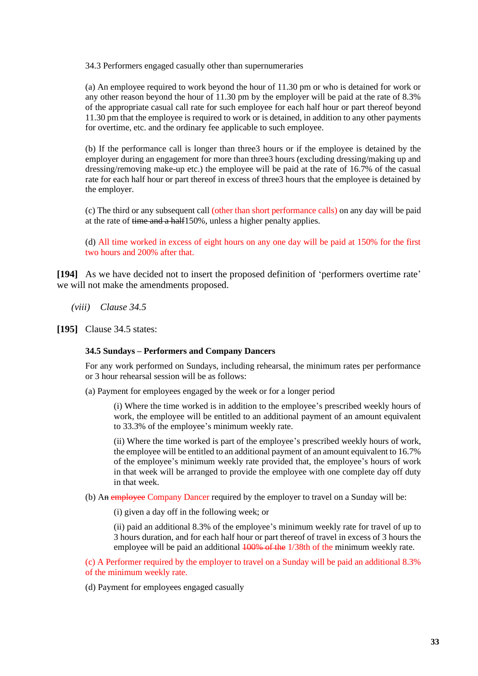34.3 Performers engaged casually other than supernumeraries

(a) An employee required to work beyond the hour of 11.30 pm or who is detained for work or any other reason beyond the hour of 11.30 pm by the employer will be paid at the rate of 8.3% of the appropriate casual call rate for such employee for each half hour or part thereof beyond 11.30 pm that the employee is required to work or is detained, in addition to any other payments for overtime, etc. and the ordinary fee applicable to such employee.

(b) If the performance call is longer than three3 hours or if the employee is detained by the employer during an engagement for more than three3 hours (excluding dressing/making up and dressing/removing make-up etc.) the employee will be paid at the rate of 16.7% of the casual rate for each half hour or part thereof in excess of three3 hours that the employee is detained by the employer.

(c) The third or any subsequent call (other than short performance calls) on any day will be paid at the rate of time and a half150%, unless a higher penalty applies.

(d) All time worked in excess of eight hours on any one day will be paid at 150% for the first two hours and 200% after that.

**[194]** As we have decided not to insert the proposed definition of 'performers overtime rate' we will not make the amendments proposed.

- *(viii) Clause 34.5*
- **[195]** Clause 34.5 states:

#### **34.5 Sundays – Performers and Company Dancers**

For any work performed on Sundays, including rehearsal, the minimum rates per performance or 3 hour rehearsal session will be as follows:

(a) Payment for employees engaged by the week or for a longer period

(i) Where the time worked is in addition to the employee's prescribed weekly hours of work, the employee will be entitled to an additional payment of an amount equivalent to 33.3% of the employee's minimum weekly rate.

(ii) Where the time worked is part of the employee's prescribed weekly hours of work, the employee will be entitled to an additional payment of an amount equivalent to 16.7% of the employee's minimum weekly rate provided that, the employee's hours of work in that week will be arranged to provide the employee with one complete day off duty in that week.

(b) An employee Company Dancer required by the employer to travel on a Sunday will be:

(i) given a day off in the following week; or

(ii) paid an additional 8.3% of the employee's minimum weekly rate for travel of up to 3 hours duration, and for each half hour or part thereof of travel in excess of 3 hours the employee will be paid an additional  $\frac{100\% \text{ of the 1}}{38}$  of the minimum weekly rate.

(c) A Performer required by the employer to travel on a Sunday will be paid an additional 8.3% of the minimum weekly rate.

(d) Payment for employees engaged casually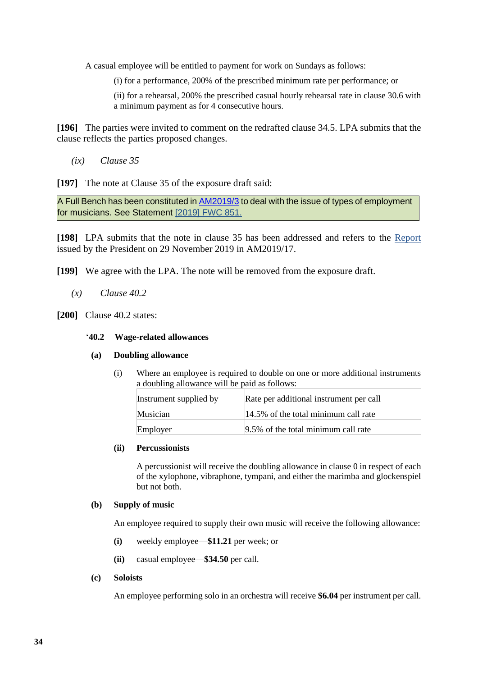A casual employee will be entitled to payment for work on Sundays as follows:

(i) for a performance, 200% of the prescribed minimum rate per performance; or

(ii) for a rehearsal, 200% the prescribed casual hourly rehearsal rate in clause 30.6 with a minimum payment as for 4 consecutive hours.

**[196]** The parties were invited to comment on the redrafted clause 34.5. LPA submits that the clause reflects the parties proposed changes.

*(ix) Clause 35*

**[197]** The note at Clause 35 of the exposure draft said:

A Full Bench has been constituted in **AM2019/3** to deal with the issue of types of employment for musicians. See Statement [\[2019\] FWC 851.](https://www.fwc.gov.au/documents/decisionssigned/html/2019fwc851.htm)

**[198]** LPA submits that the note in clause 35 has been addressed and refers to the [Report](https://www.fwc.gov.au/documents/sites/awardsmodernfouryr/am201917-report-live-291119.pdf) issued by the President on 29 November 2019 in AM2019/17.

**[199]** We agree with the LPA. The note will be removed from the exposure draft.

- *(x) Clause 40.2*
- <span id="page-33-0"></span>**[200]** Clause 40.2 states:

## '**40.2 Wage-related allowances**

#### **(a) Doubling allowance**

(i) Where an employee is required to double on one or more additional instruments a doubling allowance will be paid as follows:

| Instrument supplied by | Rate per additional instrument per call |
|------------------------|-----------------------------------------|
| Musician               | 14.5% of the total minimum call rate    |
| Employer               | 9.5% of the total minimum call rate     |

## **(ii) Percussionists**

A percussionist will receive the doubling allowance in clause [0](#page-33-0) in respect of each of the xylophone, vibraphone, tympani, and either the marimba and glockenspiel but not both.

#### **(b) Supply of music**

An employee required to supply their own music will receive the following allowance:

- **(i)** weekly employee—**\$11.21** per week; or
- **(ii)** casual employee—**\$34.50** per call.
- **(c) Soloists**

An employee performing solo in an orchestra will receive **\$6.04** per instrument per call.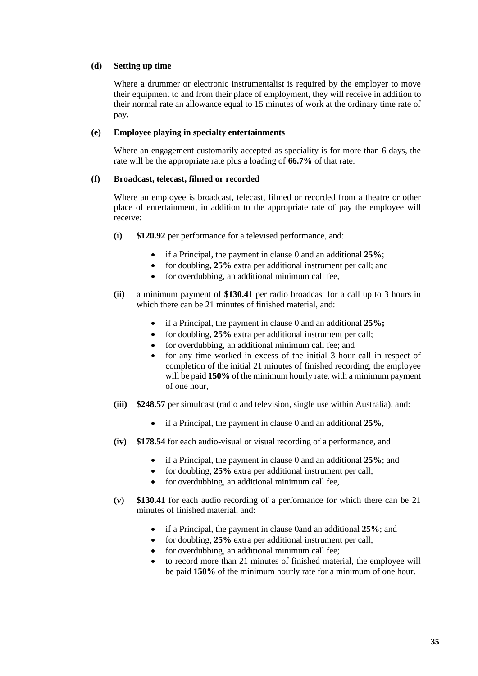#### **(d) Setting up time**

Where a drummer or electronic instrumentalist is required by the employer to move their equipment to and from their place of employment, they will receive in addition to their normal rate an allowance equal to 15 minutes of work at the ordinary time rate of pay.

#### **(e) Employee playing in specialty entertainments**

Where an engagement customarily accepted as speciality is for more than 6 days, the rate will be the appropriate rate plus a loading of **66.7%** of that rate.

#### <span id="page-34-5"></span>**(f) Broadcast, telecast, filmed or recorded**

Where an employee is broadcast, telecast, filmed or recorded from a theatre or other place of entertainment, in addition to the appropriate rate of pay the employee will receive:

- <span id="page-34-0"></span>**(i) \$120.92** per performance for a televised performance, and:
	- if a Principal, the payment in clause [0](#page-34-0) and an additional **25%**;
	- for doubling**, 25%** extra per additional instrument per call; and
	- for overdubbing, an additional minimum call fee,
- <span id="page-34-1"></span>**(ii)** a minimum payment of **\$130.41** per radio broadcast for a call up to 3 hours in which there can be 21 minutes of finished material, and:
	- if a Principal, the payment in clause [0](#page-34-1) and an additional **25%;**
	- for doubling, 25% extra per additional instrument per call;
	- for overdubbing, an additional minimum call fee; and
	- for any time worked in excess of the initial 3 hour call in respect of completion of the initial 21 minutes of finished recording, the employee will be paid **150%** of the minimum hourly rate, with a minimum payment of one hour,
- <span id="page-34-2"></span>**(iii) \$248.57** per simulcast (radio and television, single use within Australia), and:
	- if a Principal, the payment in clause [0](#page-34-2) and an additional **25%**,
- <span id="page-34-3"></span>**(iv) \$178.54** for each audio-visual or visual recording of a performance, and
	- if a Principal, the payment in clause [0](#page-34-3) and an additional **25%**; and
	- for doubling, **25%** extra per additional instrument per call;
	- for overdubbing, an additional minimum call fee,
- <span id="page-34-4"></span>**(v) \$130.41** for each audio recording of a performance for which there can be 21 minutes of finished material, and:
	- if a Principal, the payment in clause [0a](#page-34-4)nd an additional **25%**; and
	- for doubling, **25%** extra per additional instrument per call;
	- for overdubbing, an additional minimum call fee;
	- to record more than 21 minutes of finished material, the employee will be paid **150%** of the minimum hourly rate for a minimum of one hour.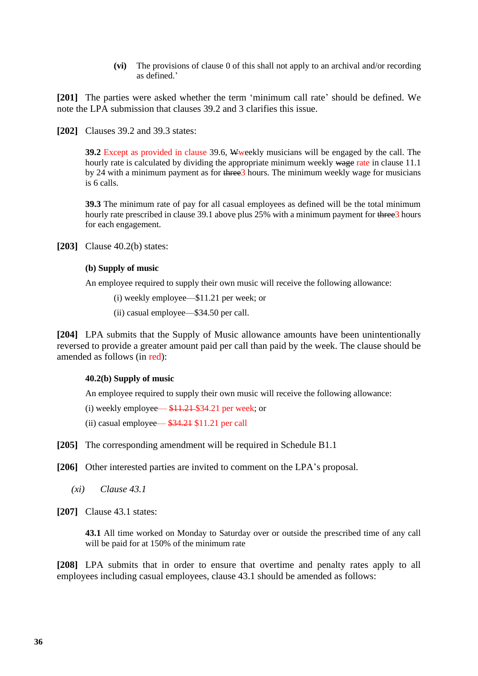**(vi)** The provisions of clause [0](#page-34-5) of this shall not apply to an archival and/or recording as defined.'

**[201]** The parties were asked whether the term 'minimum call rate' should be defined. We note the LPA submission that clauses 39.2 and 3 clarifies this issue.

**[202]** Clauses 39.2 and 39.3 states:

**39.2** Except as provided in clause 39.6, Wweekly musicians will be engaged by the call. The hourly rate is calculated by dividing the appropriate minimum weekly wage rate in clause 11.1 by 24 with a minimum payment as for three3 hours. The minimum weekly wage for musicians is 6 calls.

**39.3** The minimum rate of pay for all casual employees as defined will be the total minimum hourly rate prescribed in clause 39.1 above plus 25% with a minimum payment for three 3 hours for each engagement.

**[203]** Clause 40.2(b) states:

#### **(b) Supply of music**

An employee required to supply their own music will receive the following allowance:

(i) weekly employee—\$11.21 per week; or

(ii) casual employee—\$34.50 per call.

**[204]** LPA submits that the Supply of Music allowance amounts have been unintentionally reversed to provide a greater amount paid per call than paid by the week. The clause should be amended as follows (in red):

#### **40.2(b) Supply of music**

An employee required to supply their own music will receive the following allowance:

(i) weekly employee— $$11.21$34.21$  per week; or

(ii) casual employee— \$34.21 \$11.21 per call

**[205]** The corresponding amendment will be required in Schedule B1.1

**[206]** Other interested parties are invited to comment on the LPA's proposal.

*(xi) Clause 43.1*

**[207]** Clause 43.1 states:

**43.1** All time worked on Monday to Saturday over or outside the prescribed time of any call will be paid for at 150% of the minimum rate

**[208]** LPA submits that in order to ensure that overtime and penalty rates apply to all employees including casual employees, clause 43.1 should be amended as follows: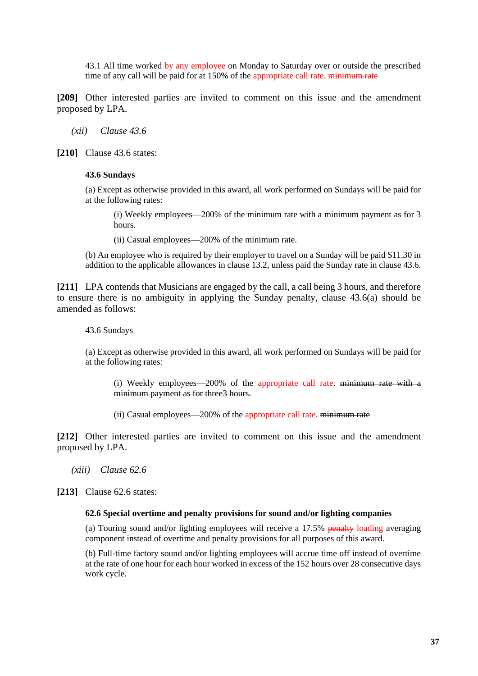43.1 All time worked by any employee on Monday to Saturday over or outside the prescribed time of any call will be paid for at 150% of the appropriate call rate. minimum rate

**[209]** Other interested parties are invited to comment on this issue and the amendment proposed by LPA.

*(xii) Clause 43.6*

**[210]** Clause 43.6 states:

### **43.6 Sundays**

(a) Except as otherwise provided in this award, all work performed on Sundays will be paid for at the following rates:

(i) Weekly employees—200% of the minimum rate with a minimum payment as for 3 hours.

(ii) Casual employees—200% of the minimum rate.

(b) An employee who is required by their employer to travel on a Sunday will be paid \$11.30 in addition to the applicable allowances in clause 13.2, unless paid the Sunday rate in clause 43.6.

**[211]** LPA contends that Musicians are engaged by the call, a call being 3 hours, and therefore to ensure there is no ambiguity in applying the Sunday penalty, clause 43.6(a) should be amended as follows:

43.6 Sundays

(a) Except as otherwise provided in this award, all work performed on Sundays will be paid for at the following rates:

(i) Weekly employees—200% of the appropriate call rate. minimum rate with a minimum payment as for three3 hours.

(ii) Casual employees—200% of the appropriate call rate. minimum rate

**[212]** Other interested parties are invited to comment on this issue and the amendment proposed by LPA.

*(xiii) Clause 62.6*

**[213]** Clause 62.6 states:

#### **62.6 Special overtime and penalty provisions for sound and/or lighting companies**

(a) Touring sound and/or lighting employees will receive a  $17.5\%$  penalty loading averaging component instead of overtime and penalty provisions for all purposes of this award.

(b) Full-time factory sound and/or lighting employees will accrue time off instead of overtime at the rate of one hour for each hour worked in excess of the 152 hours over 28 consecutive days work cycle.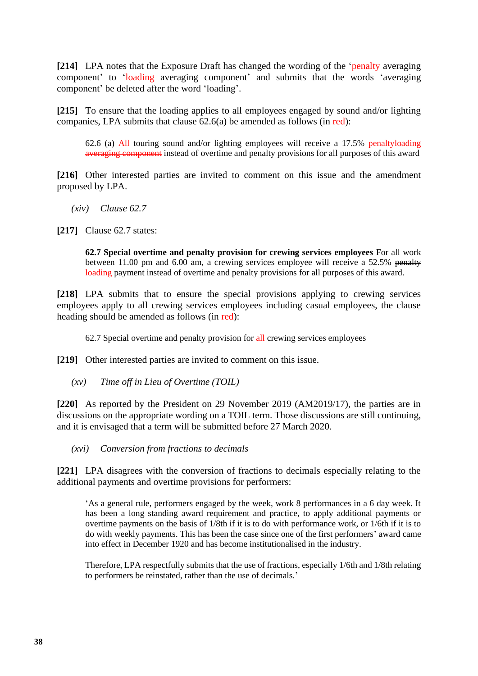**[214]** LPA notes that the Exposure Draft has changed the wording of the 'penalty averaging component' to 'loading averaging component' and submits that the words 'averaging component' be deleted after the word 'loading'.

**[215]** To ensure that the loading applies to all employees engaged by sound and/or lighting companies, LPA submits that clause 62.6(a) be amended as follows (in red):

62.6 (a) All touring sound and/or lighting employees will receive a 17.5% penaltyloading averaging component instead of overtime and penalty provisions for all purposes of this award

**[216]** Other interested parties are invited to comment on this issue and the amendment proposed by LPA.

- *(xiv) Clause 62.7*
- **[217]** Clause 62.7 states:

**62.7 Special overtime and penalty provision for crewing services employees** For all work between 11.00 pm and 6.00 am, a crewing services employee will receive a 52.5% penalty loading payment instead of overtime and penalty provisions for all purposes of this award.

**[218]** LPA submits that to ensure the special provisions applying to crewing services employees apply to all crewing services employees including casual employees, the clause heading should be amended as follows (in red):

62.7 Special overtime and penalty provision for all crewing services employees

**[219]** Other interested parties are invited to comment on this issue.

*(xv) Time off in Lieu of Overtime (TOIL)*

**[220]** As reported by the President on 29 November 2019 (AM2019/17), the parties are in discussions on the appropriate wording on a TOIL term. Those discussions are still continuing, and it is envisaged that a term will be submitted before 27 March 2020.

*(xvi) Conversion from fractions to decimals*

**[221]** LPA disagrees with the conversion of fractions to decimals especially relating to the additional payments and overtime provisions for performers:

'As a general rule, performers engaged by the week, work 8 performances in a 6 day week. It has been a long standing award requirement and practice, to apply additional payments or overtime payments on the basis of 1/8th if it is to do with performance work, or 1/6th if it is to do with weekly payments. This has been the case since one of the first performers' award came into effect in December 1920 and has become institutionalised in the industry.

Therefore, LPA respectfully submits that the use of fractions, especially 1/6th and 1/8th relating to performers be reinstated, rather than the use of decimals.'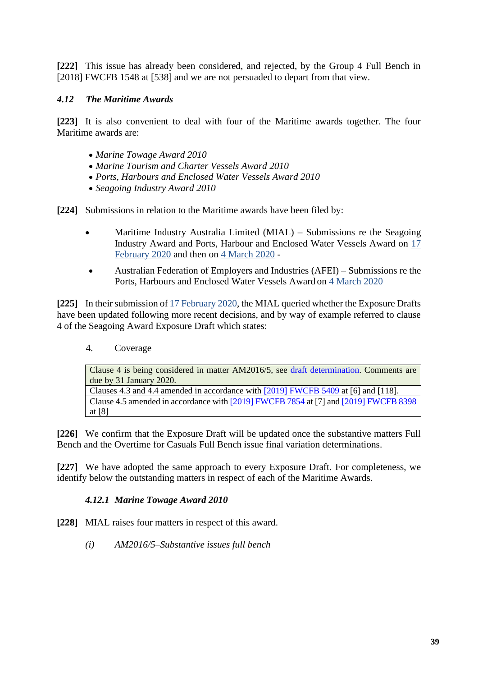**[222]** This issue has already been considered, and rejected, by the Group 4 Full Bench in [2018] FWCFB 1548 at [538] and we are not persuaded to depart from that view.

# *4.12 The Maritime Awards*

**[223]** It is also convenient to deal with four of the Maritime awards together. The four Maritime awards are:

- *Marine Towage Award 2010*
- *Marine Tourism and Charter Vessels Award 2010*
- *Ports, Harbours and Enclosed Water Vessels Award 2010*
- *Seagoing Industry Award 2010*

**[224]** Submissions in relation to the Maritime awards have been filed by:

- Maritime Industry Australia Limited (MIAL) Submissions re the Seagoing Industry Award and Ports, Harbour and Enclosed Water Vessels Award on [17](https://www.fwc.gov.au/sites/awardsmodernfouryr/am201917-243-sub-mial-170220.pdf)  [February 2020](https://www.fwc.gov.au/sites/awardsmodernfouryr/am201917-243-sub-mial-170220.pdf) and then on [4 March 2020](https://www.fwc.gov.au/documents/sites/awardsmodernfouryr/am201917-sub-mial-040320.pdf) -
- Australian Federation of Employers and Industries (AFEI) Submissions re the Ports, Harbours and Enclosed Water Vessels Award on [4 March 2020](https://www.fwc.gov.au/sites/awardsmodernfouryr/am2014241-sub-afei-040320.pdf)

**[225]** In their submission o[f 17 February 2020,](https://www.fwc.gov.au/sites/awardsmodernfouryr/am201917-243-sub-mial-170220.pdf) the MIAL queried whether the Exposure Drafts have been updated following more recent decisions, and by way of example referred to clause 4 of the Seagoing Award Exposure Draft which states:

4. Coverage

Clause 4 is being considered in matter AM2016/5, see draft determination. Comments are due by 31 January 2020. Clauses 4.3 and 4.4 amended in accordance with [2019] FWCFB 5409 at [6] and [118]. Clause 4.5 amended in accordance with [2019] FWCFB 7854 at [7] and [2019] FWCFB 8398 at [8]

**[226]** We confirm that the Exposure Draft will be updated once the substantive matters Full Bench and the Overtime for Casuals Full Bench issue final variation determinations.

**[227]** We have adopted the same approach to every Exposure Draft. For completeness, we identify below the outstanding matters in respect of each of the Maritime Awards.

# *4.12.1 Marine Towage Award 2010*

**[228]** MIAL raises four matters in respect of this award.

*(i) AM2016/5–Substantive issues full bench*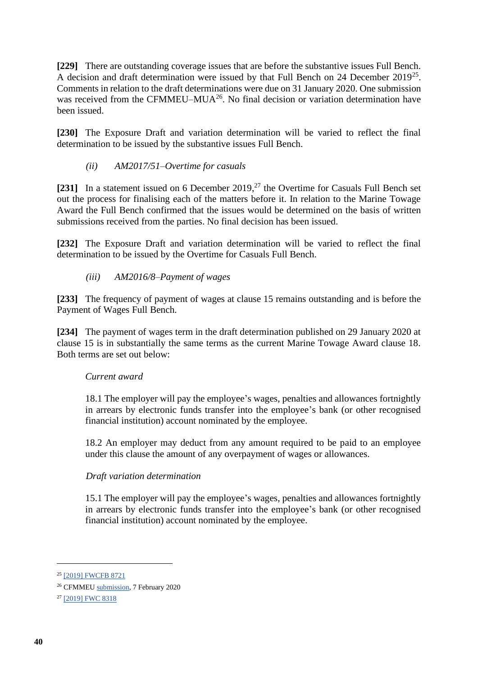**[229]** There are outstanding coverage issues that are before the substantive issues Full Bench. A decision and draft determination were issued by that Full Bench on 24 December 2019<sup>25</sup>. Comments in relation to the draft determinations were due on 31 January 2020. One submission was received from the CFMMEU–MUA<sup>26</sup>. No final decision or variation determination have been issued.

**[230]** The Exposure Draft and variation determination will be varied to reflect the final determination to be issued by the substantive issues Full Bench.

# *(ii) AM2017/51–Overtime for casuals*

[231] In a statement issued on 6 December 2019,<sup>27</sup> the Overtime for Casuals Full Bench set out the process for finalising each of the matters before it. In relation to the Marine Towage Award the Full Bench confirmed that the issues would be determined on the basis of written submissions received from the parties. No final decision has been issued.

**[232]** The Exposure Draft and variation determination will be varied to reflect the final determination to be issued by the Overtime for Casuals Full Bench.

# *(iii) AM2016/8–Payment of wages*

**[233]** The frequency of payment of wages at clause 15 remains outstanding and is before the Payment of Wages Full Bench.

**[234]** The payment of wages term in the draft determination published on 29 January 2020 at clause 15 is in substantially the same terms as the current Marine Towage Award clause 18. Both terms are set out below:

# *Current award*

18.1 The employer will pay the employee's wages, penalties and allowances fortnightly in arrears by electronic funds transfer into the employee's bank (or other recognised financial institution) account nominated by the employee.

18.2 An employer may deduct from any amount required to be paid to an employee under this clause the amount of any overpayment of wages or allowances.

# *Draft variation determination*

15.1 The employer will pay the employee's wages, penalties and allowances fortnightly in arrears by electronic funds transfer into the employee's bank (or other recognised financial institution) account nominated by the employee.

<sup>&</sup>lt;sup>25</sup> [\[2019\] FWCFB 8721](https://www.fwc.gov.au/documents/decisionssigned/html/2019fwcfb8721.htm?utm_medium=email&utm_campaign=2%20Significant%20decisions%20copy%2013&utm_content=2%20Significant%20decisions%20copy%2013+CID_d23e74350b22e2e0fe8da31a4b42f17a&utm_source=campaign%20monitor&utm_term=2019%20FWCFB%208721)

<sup>26</sup> CFMME[U submission,](https://www.fwc.gov.au/sites/awardsmodernfouryr/am20165-70-sub-cfmmeu-marine-070220.pdf) 7 February 2020

<sup>27</sup> [\[2019\] FWC 8318](https://www.fwc.gov.au/documents/decisionssigned/html/2019fwc8318.htm)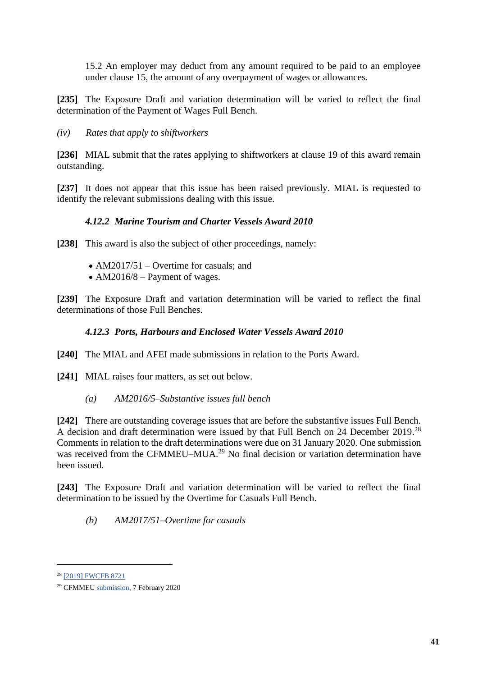15.2 An employer may deduct from any amount required to be paid to an employee under clause 15, the amount of any overpayment of wages or allowances.

**[235]** The Exposure Draft and variation determination will be varied to reflect the final determination of the Payment of Wages Full Bench.

*(iv) Rates that apply to shiftworkers*

**[236]** MIAL submit that the rates applying to shiftworkers at clause 19 of this award remain outstanding.

**[237]** It does not appear that this issue has been raised previously. MIAL is requested to identify the relevant submissions dealing with this issue.

# *4.12.2 Marine Tourism and Charter Vessels Award 2010*

**[238]** This award is also the subject of other proceedings, namely:

- AM2017/51 Overtime for casuals; and
- AM2016/8 Payment of wages.

**[239]** The Exposure Draft and variation determination will be varied to reflect the final determinations of those Full Benches.

# *4.12.3 Ports, Harbours and Enclosed Water Vessels Award 2010*

**[240]** The MIAL and AFEI made submissions in relation to the Ports Award.

- [241] MIAL raises four matters, as set out below.
	- *(a) AM2016/5–Substantive issues full bench*

**[242]** There are outstanding coverage issues that are before the substantive issues Full Bench. A decision and draft determination were issued by that Full Bench on 24 December 2019.<sup>28</sup> Comments in relation to the draft determinations were due on 31 January 2020. One submission was received from the CFMMEU–MUA.<sup>29</sup> No final decision or variation determination have been issued.

**[243]** The Exposure Draft and variation determination will be varied to reflect the final determination to be issued by the Overtime for Casuals Full Bench.

*(b) AM2017/51–Overtime for casuals*

<sup>28</sup> [\[2019\] FWCFB 8721](https://www.fwc.gov.au/documents/decisionssigned/html/2019fwcfb8721.htm?utm_medium=email&utm_campaign=2%20Significant%20decisions%20copy%2013&utm_content=2%20Significant%20decisions%20copy%2013+CID_d23e74350b22e2e0fe8da31a4b42f17a&utm_source=campaign%20monitor&utm_term=2019%20FWCFB%208721)

<sup>29</sup> CFMME[U submission,](https://www.fwc.gov.au/sites/awardsmodernfouryr/am20165-70-sub-cfmmeu-marine-070220.pdf) 7 February 2020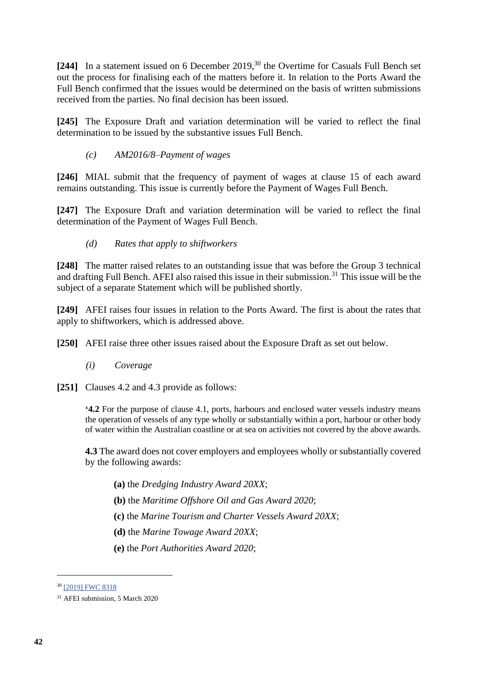**[244]** In a statement issued on 6 December 2019, <sup>30</sup> the Overtime for Casuals Full Bench set out the process for finalising each of the matters before it. In relation to the Ports Award the Full Bench confirmed that the issues would be determined on the basis of written submissions received from the parties. No final decision has been issued.

**[245]** The Exposure Draft and variation determination will be varied to reflect the final determination to be issued by the substantive issues Full Bench.

# *(c) AM2016/8–Payment of wages*

**[246]** MIAL submit that the frequency of payment of wages at clause 15 of each award remains outstanding. This issue is currently before the Payment of Wages Full Bench.

**[247]** The Exposure Draft and variation determination will be varied to reflect the final determination of the Payment of Wages Full Bench.

# *(d) Rates that apply to shiftworkers*

**[248]** The matter raised relates to an outstanding issue that was before the Group 3 technical and drafting Full Bench. AFEI also raised this issue in their submission.<sup>31</sup> This issue will be the subject of a separate Statement which will be published shortly.

**[249]** AFEI raises four issues in relation to the Ports Award. The first is about the rates that apply to shiftworkers, which is addressed above.

**[250]** AFEI raise three other issues raised about the Exposure Draft as set out below.

*(i) Coverage*

**[251]** Clauses 4.2 and 4.3 provide as follows:

**'4.2** For the purpose of clause 4.1, ports, harbours and enclosed water vessels industry means the operation of vessels of any type wholly or substantially within a port, harbour or other body of water within the Australian coastline or at sea on activities not covered by the above awards.

**4.3** The award does not cover employers and employees wholly or substantially covered by the following awards:

- **(a)** the *Dredging Industry Award 20XX*;
- **(b)** the *Maritime Offshore Oil and Gas Award 2020*;
- **(c)** the *Marine Tourism and Charter Vessels Award 20XX*;
- **(d)** the *Marine Towage Award 20XX*;
- **(e)** the *Port Authorities Award 2020*;

<sup>30</sup> [\[2019\] FWC 8318](https://www.fwc.gov.au/documents/decisionssigned/html/2019fwc8318.htm)

<sup>31</sup> AFEI submission, 5 March 2020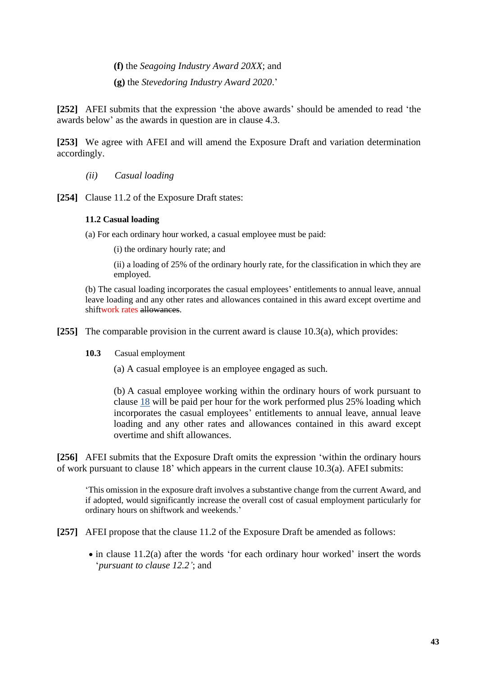**(f)** the *Seagoing Industry Award 20XX*; and

**(g)** the *Stevedoring Industry Award 2020*.'

**[252]** AFEI submits that the expression 'the above awards' should be amended to read 'the awards below' as the awards in question are in clause 4.3.

**[253]** We agree with AFEI and will amend the Exposure Draft and variation determination accordingly.

- *(ii) Casual loading*
- [254] Clause 11.2 of the Exposure Draft states:

#### **11.2 Casual loading**

(a) For each ordinary hour worked, a casual employee must be paid:

(i) the ordinary hourly rate; and

(ii) a loading of 25% of the ordinary hourly rate, for the classification in which they are employed.

(b) The casual loading incorporates the casual employees' entitlements to annual leave, annual leave loading and any other rates and allowances contained in this award except overtime and shiftwork rates allowances.

**[255]** The comparable provision in the current award is clause 10.3(a), which provides:

**10.3** Casual employment

(a) A casual employee is an employee engaged as such.

(b) A casual employee working within the ordinary hours of work pursuant to clause [18](https://www.fwc.gov.au/documents/documents/modern_awards/award/ma000052/ma000052-24.htm#P519_54114) will be paid per hour for the work performed plus 25% loading which incorporates the casual employees' entitlements to annual leave, annual leave loading and any other rates and allowances contained in this award except overtime and shift allowances.

**[256]** AFEI submits that the Exposure Draft omits the expression 'within the ordinary hours of work pursuant to clause 18' which appears in the current clause 10.3(a). AFEI submits:

'This omission in the exposure draft involves a substantive change from the current Award, and if adopted, would significantly increase the overall cost of casual employment particularly for ordinary hours on shiftwork and weekends.'

**[257]** AFEI propose that the clause 11.2 of the Exposure Draft be amended as follows:

• in clause 11.2(a) after the words 'for each ordinary hour worked' insert the words '*pursuant to clause 12.2'*; and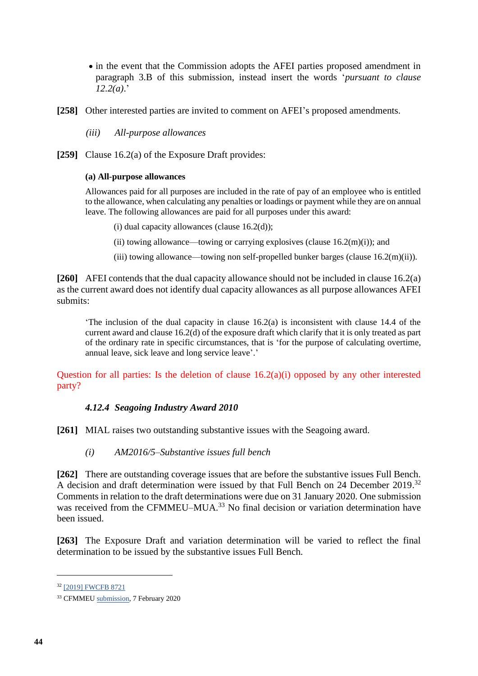- in the event that the Commission adopts the AFEI parties proposed amendment in paragraph 3.B of this submission, instead insert the words '*pursuant to clause 12.2(a)*.'
- **[258]** Other interested parties are invited to comment on AFEI's proposed amendments.

*(iii) All-purpose allowances*

**[259]** Clause 16.2(a) of the Exposure Draft provides:

### **(a) All-purpose allowances**

Allowances paid for all purposes are included in the rate of pay of an employee who is entitled to the allowance, when calculating any penalties or loadings or payment while they are on annual leave. The following allowances are paid for all purposes under this award:

- (i) dual capacity allowances (clause  $16.2<sub>(d)</sub>$ );
- (ii) towing allowance—towing or carrying explosives (clause  $16.2(m)(i)$ ); and
- (iii) towing allowance—towing non self-propelled bunker barges (clause 16.2(m)(ii)).

**[260]** AFEI contends that the dual capacity allowance should not be included in clause 16.2(a) as the current award does not identify dual capacity allowances as all purpose allowances AFEI submits:

The inclusion of the dual capacity in clause  $16.2(a)$  is inconsistent with clause 14.4 of the current award and clause 16.2(d) of the exposure draft which clarify that it is only treated as part of the ordinary rate in specific circumstances, that is 'for the purpose of calculating overtime, annual leave, sick leave and long service leave'.'

Question for all parties: Is the deletion of clause  $16.2(a)(i)$  opposed by any other interested party?

### *4.12.4 Seagoing Industry Award 2010*

**[261]** MIAL raises two outstanding substantive issues with the Seagoing award.

*(i) AM2016/5–Substantive issues full bench*

**[262]** There are outstanding coverage issues that are before the substantive issues Full Bench. A decision and draft determination were issued by that Full Bench on 24 December 2019.<sup>32</sup> Comments in relation to the draft determinations were due on 31 January 2020. One submission was received from the CFMMEU–MUA.<sup>33</sup> No final decision or variation determination have been issued.

**[263]** The Exposure Draft and variation determination will be varied to reflect the final determination to be issued by the substantive issues Full Bench.

<sup>32</sup> [\[2019\] FWCFB 8721](https://www.fwc.gov.au/documents/decisionssigned/html/2019fwcfb8721.htm?utm_medium=email&utm_campaign=2%20Significant%20decisions%20copy%2013&utm_content=2%20Significant%20decisions%20copy%2013+CID_d23e74350b22e2e0fe8da31a4b42f17a&utm_source=campaign%20monitor&utm_term=2019%20FWCFB%208721)

<sup>33</sup> CFMME[U submission,](https://www.fwc.gov.au/sites/awardsmodernfouryr/am20165-70-sub-cfmmeu-marine-070220.pdf) 7 February 2020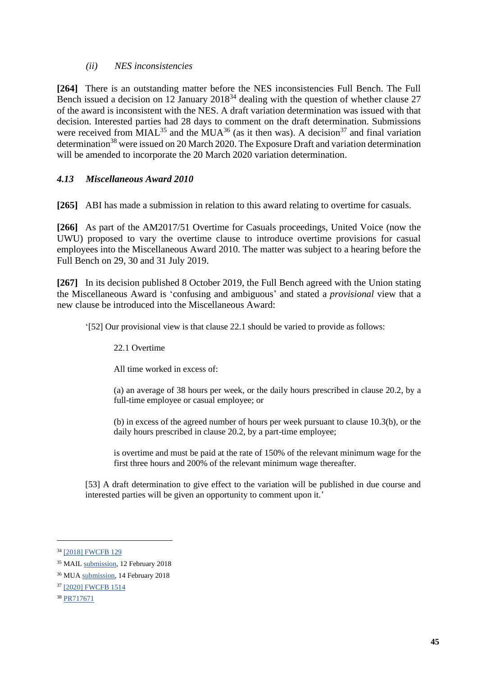# *(ii) NES inconsistencies*

**[264]** There is an outstanding matter before the NES inconsistencies Full Bench. The Full Bench issued a decision on 12 January 2018<sup>34</sup> dealing with the question of whether clause 27 of the award is inconsistent with the NES. A draft variation determination was issued with that decision. Interested parties had 28 days to comment on the draft determination. Submissions were received from  $MIAL^{35}$  and the  $MUA^{36}$  (as it then was). A decision<sup>37</sup> and final variation determination<sup>38</sup> were issued on 20 March 2020. The Exposure Draft and variation determination will be amended to incorporate the 20 March 2020 variation determination.

# *4.13 Miscellaneous Award 2010*

**[265]** ABI has made a submission in relation to this award relating to overtime for casuals.

**[266]** As part of the AM2017/51 Overtime for Casuals proceedings, United Voice (now the UWU) proposed to vary the overtime clause to introduce overtime provisions for casual employees into the Miscellaneous Award 2010. The matter was subject to a hearing before the Full Bench on 29, 30 and 31 July 2019.

**[267]** In its decision published 8 October 2019, the Full Bench agreed with the Union stating the Miscellaneous Award is 'confusing and ambiguous' and stated a *provisional* view that a new clause be introduced into the Miscellaneous Award:

'[52] Our provisional view is that clause 22.1 should be varied to provide as follows:

22.1 Overtime

All time worked in excess of:

(a) an average of 38 hours per week, or the daily hours prescribed in clause 20.2, by a full-time employee or casual employee; or

(b) in excess of the agreed number of hours per week pursuant to clause 10.3(b), or the daily hours prescribed in clause 20.2, by a part-time employee;

is overtime and must be paid at the rate of 150% of the relevant minimum wage for the first three hours and 200% of the relevant minimum wage thereafter.

[53] A draft determination to give effect to the variation will be published in due course and interested parties will be given an opportunity to comment upon it.'

<sup>34</sup> [\[2018\] FWCFB 129](https://www.fwc.gov.au/documents/decisionssigned/html/2018fwcfb129.htm)

<sup>&</sup>lt;sup>35</sup> MAI[L submission,](https://www.fwc.gov.au/documents/sites/awardsmodernfouryr/am2014243-sub-mia-120218.pdf) 12 February 2018

<sup>36</sup> MU[A submission,](https://www.fwc.gov.au/documents/sites/awardsmodernfouryr/am2014243-sub-mua-140218.pdf) 14 February 2018

<sup>37</sup> [\[2020\] FWCFB 1514](https://www.fwc.gov.au/documents/decisionssigned/html/2020fwcfb1514.htm)

<sup>38</sup> [PR717671](https://www.fwc.gov.au/documents/sites/awardsmodernfouryr/pr717671.pdf)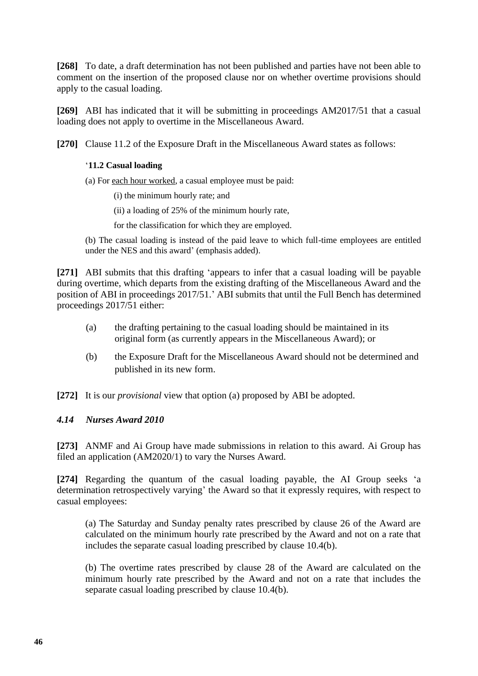**[268]** To date, a draft determination has not been published and parties have not been able to comment on the insertion of the proposed clause nor on whether overtime provisions should apply to the casual loading.

**[269]** ABI has indicated that it will be submitting in proceedings AM2017/51 that a casual loading does not apply to overtime in the Miscellaneous Award.

**[270]** Clause 11.2 of the Exposure Draft in the Miscellaneous Award states as follows:

### '**11.2 Casual loading**

(a) For each hour worked, a casual employee must be paid:

(i) the minimum hourly rate; and

(ii) a loading of 25% of the minimum hourly rate,

for the classification for which they are employed.

(b) The casual loading is instead of the paid leave to which full-time employees are entitled under the NES and this award' (emphasis added).

**[271]** ABI submits that this drafting 'appears to infer that a casual loading will be payable during overtime, which departs from the existing drafting of the Miscellaneous Award and the position of ABI in proceedings 2017/51.' ABI submits that until the Full Bench has determined proceedings 2017/51 either:

- (a) the drafting pertaining to the casual loading should be maintained in its original form (as currently appears in the Miscellaneous Award); or
- (b) the Exposure Draft for the Miscellaneous Award should not be determined and published in its new form.

**[272]** It is our *provisional* view that option (a) proposed by ABI be adopted.

### *4.14 Nurses Award 2010*

**[273]** ANMF and Ai Group have made submissions in relation to this award. Ai Group has filed an application (AM2020/1) to vary the Nurses Award.

**[274]** Regarding the quantum of the casual loading payable, the AI Group seeks 'a determination retrospectively varying' the Award so that it expressly requires, with respect to casual employees:

(a) The Saturday and Sunday penalty rates prescribed by clause 26 of the Award are calculated on the minimum hourly rate prescribed by the Award and not on a rate that includes the separate casual loading prescribed by clause 10.4(b).

(b) The overtime rates prescribed by clause 28 of the Award are calculated on the minimum hourly rate prescribed by the Award and not on a rate that includes the separate casual loading prescribed by clause 10.4(b).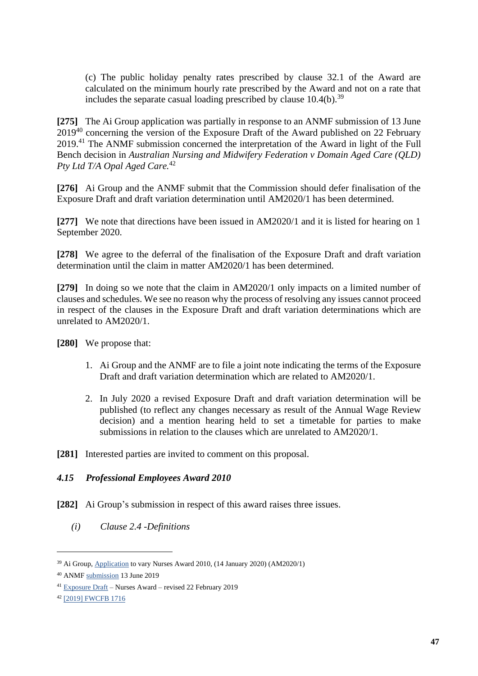(c) The public holiday penalty rates prescribed by clause 32.1 of the Award are calculated on the minimum hourly rate prescribed by the Award and not on a rate that includes the separate casual loading prescribed by clause  $10.4(b)$ .<sup>39</sup>

**[275]** The Ai Group application was partially in response to an ANMF submission of 13 June 2019<sup>40</sup> concerning the version of the Exposure Draft of the Award published on 22 February 2019. <sup>41</sup> The ANMF submission concerned the interpretation of the Award in light of the Full Bench decision in *Australian Nursing and Midwifery Federation v Domain Aged Care (QLD) Pty Ltd T/A Opal Aged Care.*<sup>42</sup>

**[276]** Ai Group and the ANMF submit that the Commission should defer finalisation of the Exposure Draft and draft variation determination until AM2020/1 has been determined.

**[277]** We note that directions have been issued in AM2020/1 and it is listed for hearing on 1 September 2020.

**[278]** We agree to the deferral of the finalisation of the Exposure Draft and draft variation determination until the claim in matter AM2020/1 has been determined.

**[279]** In doing so we note that the claim in AM2020/1 only impacts on a limited number of clauses and schedules. We see no reason why the process of resolving any issues cannot proceed in respect of the clauses in the Exposure Draft and draft variation determinations which are unrelated to AM2020/1.

**[280]** We propose that:

- 1. Ai Group and the ANMF are to file a joint note indicating the terms of the Exposure Draft and draft variation determination which are related to AM2020/1.
- 2. In July 2020 a revised Exposure Draft and draft variation determination will be published (to reflect any changes necessary as result of the Annual Wage Review decision) and a mention hearing held to set a timetable for parties to make submissions in relation to the clauses which are unrelated to AM2020/1.
- **[281]** Interested parties are invited to comment on this proposal.

# *4.15 Professional Employees Award 2010*

- **[282]** Ai Group's submission in respect of this award raises three issues.
	- *(i) Clause 2.4 -Definitions*

<sup>&</sup>lt;sup>39</sup> Ai Group, [Application](https://www.fwc.gov.au/documents/documents/awardmod/variations/2020/am20201-application-aig-060120.pdf) to vary Nurses Award 2010, (14 January 2020) (AM2020/1)

<sup>40</sup> ANM[F submission](https://www.fwc.gov.au/documents/sites/awardsmodernfouryr/am2014207-sub-anmf-130619.pdf) 13 June 2019

<sup>41</sup> [Exposure Draft](https://www.fwc.gov.au/documents/sites/awardsmodernfouryr/exposure-draft-nurses-revised-220219.pdf) – Nurses Award – revised 22 February 2019

<sup>42</sup> [\[2019\] FWCFB 1716](https://www.fwc.gov.au/documents/decisionssigned/html/2019fwcfb1716.htm)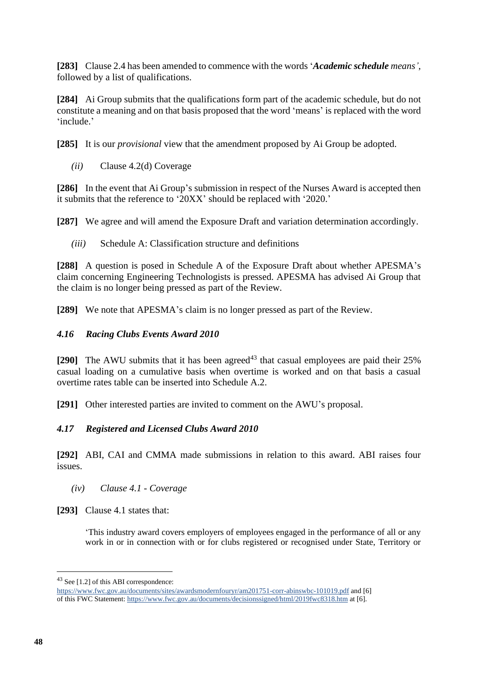**[283]** Clause 2.4 has been amended to commence with the words '*Academic schedule means'*, followed by a list of qualifications.

**[284]** Ai Group submits that the qualifications form part of the academic schedule, but do not constitute a meaning and on that basis proposed that the word 'means' is replaced with the word 'include.'

**[285]** It is our *provisional* view that the amendment proposed by Ai Group be adopted.

*(ii)* Clause 4.2(d) Coverage

**[286]** In the event that Ai Group's submission in respect of the Nurses Award is accepted then it submits that the reference to '20XX' should be replaced with '2020.'

**[287]** We agree and will amend the Exposure Draft and variation determination accordingly.

*(iii)* Schedule A: Classification structure and definitions

**[288]** A question is posed in Schedule A of the Exposure Draft about whether APESMA's claim concerning Engineering Technologists is pressed. APESMA has advised Ai Group that the claim is no longer being pressed as part of the Review.

**[289]** We note that APESMA's claim is no longer pressed as part of the Review.

# *4.16 Racing Clubs Events Award 2010*

[290] The AWU submits that it has been agreed<sup>43</sup> that casual employees are paid their 25% casual loading on a cumulative basis when overtime is worked and on that basis a casual overtime rates table can be inserted into Schedule A.2.

**[291]** Other interested parties are invited to comment on the AWU's proposal.

# *4.17 Registered and Licensed Clubs Award 2010*

**[292]** ABI, CAI and CMMA made submissions in relation to this award. ABI raises four issues.

# *(iv) Clause 4.1 - Coverage*

**[293]** Clause 4.1 states that:

'This industry award covers employers of employees engaged in the performance of all or any work in or in connection with or for clubs registered or recognised under State, Territory or

<sup>43</sup> See [1.2] of this ABI correspondence:

<https://www.fwc.gov.au/documents/sites/awardsmodernfouryr/am201751-corr-abinswbc-101019.pdf> and [6] of this FWC Statement[: https://www.fwc.gov.au/documents/decisionssigned/html/2019fwc8318.htm](https://www.fwc.gov.au/documents/decisionssigned/html/2019fwc8318.htm) at [6].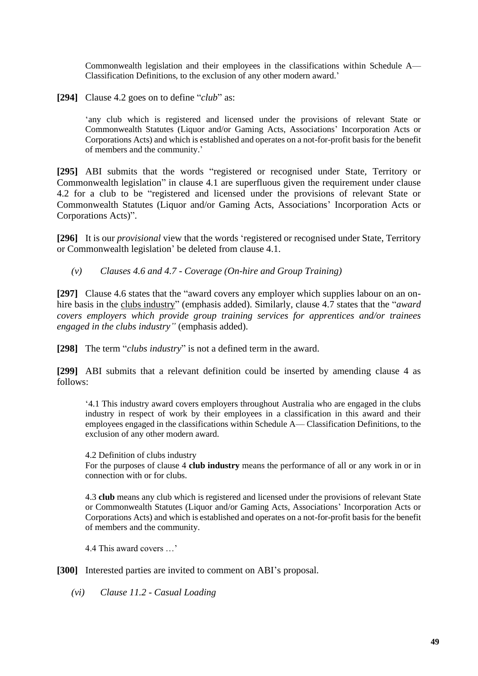Commonwealth legislation and their employees in the classifications within Schedule A— Classification Definitions, to the exclusion of any other modern award.'

**[294]** Clause 4.2 goes on to define "*club*" as:

'any club which is registered and licensed under the provisions of relevant State or Commonwealth Statutes (Liquor and/or Gaming Acts, Associations' Incorporation Acts or Corporations Acts) and which is established and operates on a not-for-profit basis for the benefit of members and the community.'

**[295]** ABI submits that the words "registered or recognised under State, Territory or Commonwealth legislation" in clause 4.1 are superfluous given the requirement under clause 4.2 for a club to be "registered and licensed under the provisions of relevant State or Commonwealth Statutes (Liquor and/or Gaming Acts, Associations' Incorporation Acts or Corporations Acts)".

**[296]** It is our *provisional* view that the words 'registered or recognised under State, Territory or Commonwealth legislation' be deleted from clause 4.1.

*(v) Clauses 4.6 and 4.7 - Coverage (On-hire and Group Training)* 

**[297]** Clause 4.6 states that the "award covers any employer which supplies labour on an onhire basis in the clubs industry" (emphasis added). Similarly, clause 4.7 states that the "*award covers employers which provide group training services for apprentices and/or trainees engaged in the clubs industry"* (emphasis added).

**[298]** The term "*clubs industry*" is not a defined term in the award.

**[299]** ABI submits that a relevant definition could be inserted by amending clause 4 as follows:

'4.1 This industry award covers employers throughout Australia who are engaged in the clubs industry in respect of work by their employees in a classification in this award and their employees engaged in the classifications within Schedule A— Classification Definitions, to the exclusion of any other modern award.

4.2 Definition of clubs industry

For the purposes of clause 4 **club industry** means the performance of all or any work in or in connection with or for clubs.

4.3 **club** means any club which is registered and licensed under the provisions of relevant State or Commonwealth Statutes (Liquor and/or Gaming Acts, Associations' Incorporation Acts or Corporations Acts) and which is established and operates on a not-for-profit basis for the benefit of members and the community.

4.4 This award covers …'

**[300]** Interested parties are invited to comment on ABI's proposal.

*(vi) Clause 11.2 - Casual Loading*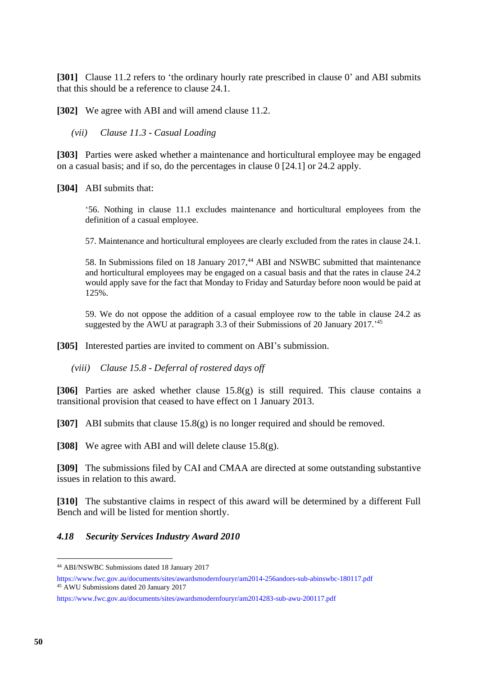**[301]** Clause 11.2 refers to 'the ordinary hourly rate prescribed in clause 0' and ABI submits that this should be a reference to clause 24.1.

**[302]** We agree with ABI and will amend clause 11.2.

*(vii) Clause 11.3 - Casual Loading* 

**[303]** Parties were asked whether a maintenance and horticultural employee may be engaged on a casual basis; and if so, do the percentages in clause 0 [24.1] or 24.2 apply.

**[304]** ABI submits that:

'56. Nothing in clause 11.1 excludes maintenance and horticultural employees from the definition of a casual employee.

57. Maintenance and horticultural employees are clearly excluded from the rates in clause 24.1.

58. In Submissions filed on 18 January 2017,<sup>44</sup> ABI and NSWBC submitted that maintenance and horticultural employees may be engaged on a casual basis and that the rates in clause 24.2 would apply save for the fact that Monday to Friday and Saturday before noon would be paid at 125%.

59. We do not oppose the addition of a casual employee row to the table in clause 24.2 as suggested by the AWU at paragraph 3.3 of their Submissions of 20 January 2017.<sup>145</sup>

**[305]** Interested parties are invited to comment on ABI's submission.

*(viii) Clause 15.8 - Deferral of rostered days off* 

**[306]** Parties are asked whether clause 15.8(g) is still required. This clause contains a transitional provision that ceased to have effect on 1 January 2013.

**[307]** ABI submits that clause 15.8(g) is no longer required and should be removed.

**[308]** We agree with ABI and will delete clause 15.8(g).

**[309]** The submissions filed by CAI and CMAA are directed at some outstanding substantive issues in relation to this award.

**[310]** The substantive claims in respect of this award will be determined by a different Full Bench and will be listed for mention shortly.

### *4.18 Security Services Industry Award 2010*

<sup>44</sup> ABI/NSWBC Submissions dated 18 January 2017

https://www.fwc.gov.au/documents/sites/awardsmodernfouryr/am2014-256andors-sub-abinswbc-180117.pdf <sup>45</sup> AWU Submissions dated 20 January 2017

https://www.fwc.gov.au/documents/sites/awardsmodernfouryr/am2014283-sub-awu-200117.pdf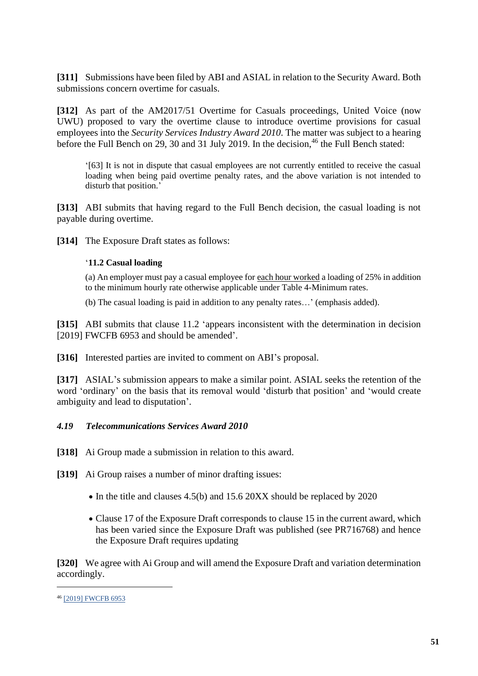**[311]** Submissions have been filed by ABI and ASIAL in relation to the Security Award. Both submissions concern overtime for casuals.

**[312]** As part of the AM2017/51 Overtime for Casuals proceedings, United Voice (now UWU) proposed to vary the overtime clause to introduce overtime provisions for casual employees into the *Security Services Industry Award 2010*. The matter was subject to a hearing before the Full Bench on 29, 30 and 31 July 2019. In the decision,<sup>46</sup> the Full Bench stated:

'[63] It is not in dispute that casual employees are not currently entitled to receive the casual loading when being paid overtime penalty rates, and the above variation is not intended to disturb that position.'

**[313]** ABI submits that having regard to the Full Bench decision, the casual loading is not payable during overtime.

**[314]** The Exposure Draft states as follows:

### '**11.2 Casual loading**

(a) An employer must pay a casual employee for each hour worked a loading of 25% in addition to the minimum hourly rate otherwise applicable under Table 4-Minimum rates.

(b) The casual loading is paid in addition to any penalty rates…' (emphasis added).

**[315]** ABI submits that clause 11.2 'appears inconsistent with the determination in decision [2019] FWCFB 6953 and should be amended'.

**[316]** Interested parties are invited to comment on ABI's proposal.

**[317]** ASIAL's submission appears to make a similar point. ASIAL seeks the retention of the word 'ordinary' on the basis that its removal would 'disturb that position' and 'would create ambiguity and lead to disputation'.

### *4.19 Telecommunications Services Award 2010*

**[318]** Ai Group made a submission in relation to this award.

**[319]** Ai Group raises a number of minor drafting issues:

- In the title and clauses 4.5(b) and 15.6 20XX should be replaced by 2020
- Clause 17 of the Exposure Draft corresponds to clause 15 in the current award, which has been varied since the Exposure Draft was published (see PR716768) and hence the Exposure Draft requires updating

**[320]** We agree with Ai Group and will amend the Exposure Draft and variation determination accordingly.

<sup>46</sup> [\[2019\] FWCFB 6953](https://www.fwc.gov.au/documents/decisionssigned/html/2019fwcfb6953.htm)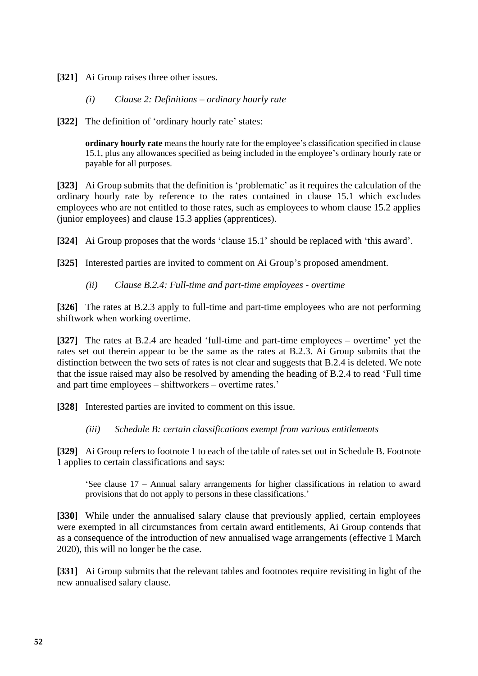**[321]** Ai Group raises three other issues.

## *(i) Clause 2: Definitions – ordinary hourly rate*

**[322]** The definition of 'ordinary hourly rate' states:

**ordinary hourly rate** means the hourly rate for the employee's classification specified in clause 15.1, plus any allowances specified as being included in the employee's ordinary hourly rate or payable for all purposes.

**[323]** Ai Group submits that the definition is 'problematic' as it requires the calculation of the ordinary hourly rate by reference to the rates contained in clause 15.1 which excludes employees who are not entitled to those rates, such as employees to whom clause 15.2 applies (junior employees) and clause 15.3 applies (apprentices).

**[324]** Ai Group proposes that the words 'clause 15.1' should be replaced with 'this award'.

**[325]** Interested parties are invited to comment on Ai Group's proposed amendment.

## *(ii) Clause B.2.4: Full-time and part-time employees - overtime*

**[326]** The rates at B.2.3 apply to full-time and part-time employees who are not performing shiftwork when working overtime.

**[327]** The rates at B.2.4 are headed 'full-time and part-time employees – overtime' yet the rates set out therein appear to be the same as the rates at B.2.3. Ai Group submits that the distinction between the two sets of rates is not clear and suggests that B.2.4 is deleted. We note that the issue raised may also be resolved by amending the heading of B.2.4 to read 'Full time and part time employees – shiftworkers – overtime rates.'

**[328]** Interested parties are invited to comment on this issue.

### *(iii) Schedule B: certain classifications exempt from various entitlements*

**[329]** Ai Group refers to footnote 1 to each of the table of rates set out in Schedule B. Footnote 1 applies to certain classifications and says:

'See clause 17 – Annual salary arrangements for higher classifications in relation to award provisions that do not apply to persons in these classifications.'

[330] While under the annualised salary clause that previously applied, certain employees were exempted in all circumstances from certain award entitlements, Ai Group contends that as a consequence of the introduction of new annualised wage arrangements (effective 1 March 2020), this will no longer be the case.

**[331]** Ai Group submits that the relevant tables and footnotes require revisiting in light of the new annualised salary clause.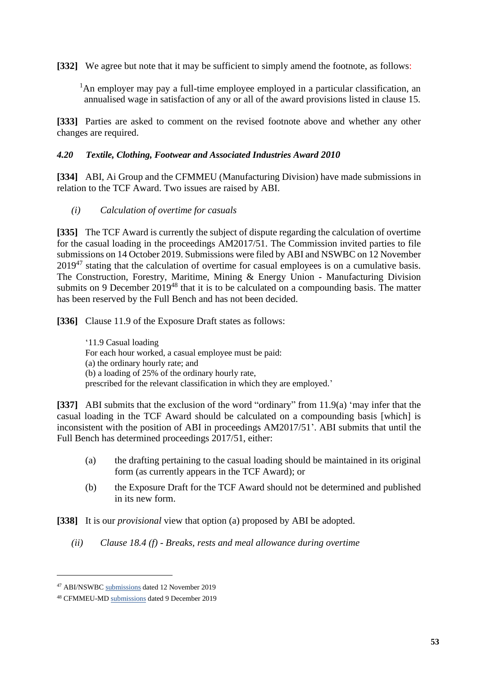**[332]** We agree but note that it may be sufficient to simply amend the footnote, as follows:

<sup>1</sup>An employer may pay a full-time employee employed in a particular classification, an annualised wage in satisfaction of any or all of the award provisions listed in clause 15.

**[333]** Parties are asked to comment on the revised footnote above and whether any other changes are required.

## *4.20 Textile, Clothing, Footwear and Associated Industries Award 2010*

**[334]** ABI, Ai Group and the CFMMEU (Manufacturing Division) have made submissions in relation to the TCF Award. Two issues are raised by ABI.

*(i) Calculation of overtime for casuals*

**[335]** The TCF Award is currently the subject of dispute regarding the calculation of overtime for the casual loading in the proceedings AM2017/51. The Commission invited parties to file submissions on 14 October 2019. Submissions were filed by ABI and NSWBC on 12 November  $2019<sup>47</sup>$  stating that the calculation of overtime for casual employees is on a cumulative basis. The Construction, Forestry, Maritime, Mining & Energy Union - Manufacturing Division submits on 9 December 2019<sup>48</sup> that it is to be calculated on a compounding basis. The matter has been reserved by the Full Bench and has not been decided.

**[336]** Clause 11.9 of the Exposure Draft states as follows:

'11.9 Casual loading For each hour worked, a casual employee must be paid: (a) the ordinary hourly rate; and (b) a loading of 25% of the ordinary hourly rate, prescribed for the relevant classification in which they are employed.'

**[337]** ABI submits that the exclusion of the word "ordinary" from 11.9(a) 'may infer that the casual loading in the TCF Award should be calculated on a compounding basis [which] is inconsistent with the position of ABI in proceedings AM2017/51'. ABI submits that until the Full Bench has determined proceedings 2017/51, either:

- (a) the drafting pertaining to the casual loading should be maintained in its original form (as currently appears in the TCF Award); or
- (b) the Exposure Draft for the TCF Award should not be determined and published in its new form.

**[338]** It is our *provisional* view that option (a) proposed by ABI be adopted.

*(ii) Clause 18.4 (f) - Breaks, rests and meal allowance during overtime* 

<sup>47</sup> ABI/NSWB[C submissions](https://www.fwc.gov.au/documents/sites/awardsmodernfouryr/am201751-sub-abinswbc-121119.pdf) dated 12 November 2019

<sup>48</sup> CFMMEU-MD [submissions](https://www.fwc.gov.au/documents/sites/awardsmodernfouryr/am201751-sub-reply-cfmmeu-091219.pdf) dated 9 December 2019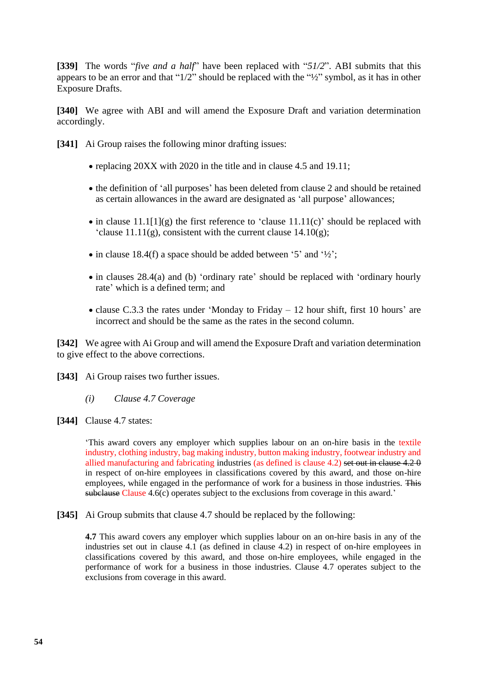**[339]** The words "*five and a half*" have been replaced with "*51/2*". ABI submits that this appears to be an error and that "1/2" should be replaced with the "½" symbol, as it has in other Exposure Drafts.

**[340]** We agree with ABI and will amend the Exposure Draft and variation determination accordingly.

**[341]** Ai Group raises the following minor drafting issues:

- replacing 20XX with 2020 in the title and in clause 4.5 and 19.11;
- the definition of 'all purposes' has been deleted from clause 2 and should be retained as certain allowances in the award are designated as 'all purpose' allowances;
- in clause  $11.1[1](g)$  the first reference to 'clause  $11.11(c)$ ' should be replaced with 'clause  $11.11(g)$ , consistent with the current clause  $14.10(g)$ ;
- in clause 18.4(f) a space should be added between '5' and ' $\frac{1}{2}$ ';
- in clauses 28.4(a) and (b) 'ordinary rate' should be replaced with 'ordinary hourly rate' which is a defined term; and
- clause C.3.3 the rates under 'Monday to Friday 12 hour shift, first 10 hours' are incorrect and should be the same as the rates in the second column.

**[342]** We agree with Ai Group and will amend the Exposure Draft and variation determination to give effect to the above corrections.

**[343]** Ai Group raises two further issues.

*(i) Clause 4.7 Coverage*

**[344]** Clause 4.7 states:

'This award covers any employer which supplies labour on an on-hire basis in the textile industry, clothing industry, bag making industry, button making industry, footwear industry and allied manufacturing and fabricating industries (as defined is clause 4.2) set out in clause 4.2 0 in respect of on-hire employees in classifications covered by this award, and those on-hire employees, while engaged in the performance of work for a business in those industries. This subclause Clause 4.6(c) operates subject to the exclusions from coverage in this award.'

**[345]** Ai Group submits that clause 4.7 should be replaced by the following:

**4.7** This award covers any employer which supplies labour on an on-hire basis in any of the industries set out in clause 4.1 (as defined in clause 4.2) in respect of on-hire employees in classifications covered by this award, and those on-hire employees, while engaged in the performance of work for a business in those industries. Clause 4.7 operates subject to the exclusions from coverage in this award.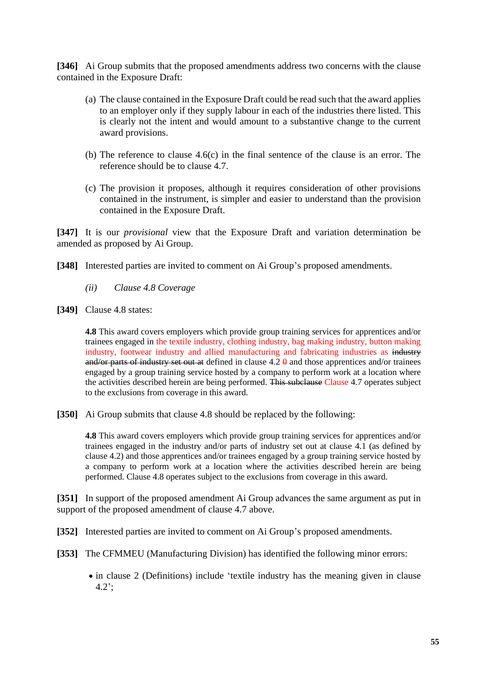**[346]** Ai Group submits that the proposed amendments address two concerns with the clause contained in the Exposure Draft:

- (a) The clause contained in the Exposure Draft could be read such that the award applies to an employer only if they supply labour in each of the industries there listed. This is clearly not the intent and would amount to a substantive change to the current award provisions.
- (b) The reference to clause 4.6(c) in the final sentence of the clause is an error. The reference should be to clause 4.7.
- (c) The provision it proposes, although it requires consideration of other provisions contained in the instrument, is simpler and easier to understand than the provision contained in the Exposure Draft.

**[347]** It is our *provisional* view that the Exposure Draft and variation determination be amended as proposed by Ai Group.

- **[348]** Interested parties are invited to comment on Ai Group's proposed amendments.
	- *(ii) Clause 4.8 Coverage*
- **[349]** Clause 4.8 states:

**4.8** This award covers employers which provide group training services for apprentices and/or trainees engaged in the textile industry, clothing industry, bag making industry, button making industry, footwear industry and allied manufacturing and fabricating industries as industry and/or parts of industry set out at defined in clause  $4.2 \theta$  and those apprentices and/or trainees engaged by a group training service hosted by a company to perform work at a location where the activities described herein are being performed. This subclause Clause 4.7 operates subject to the exclusions from coverage in this award.

**[350]** Ai Group submits that clause 4.8 should be replaced by the following:

**4.8** This award covers employers which provide group training services for apprentices and/or trainees engaged in the industry and/or parts of industry set out at clause 4.1 (as defined by clause 4.2) and those apprentices and/or trainees engaged by a group training service hosted by a company to perform work at a location where the activities described herein are being performed. Clause 4.8 operates subject to the exclusions from coverage in this award.

**[351]** In support of the proposed amendment Ai Group advances the same argument as put in support of the proposed amendment of clause 4.7 above.

**[352]** Interested parties are invited to comment on Ai Group's proposed amendments.

**[353]** The CFMMEU (Manufacturing Division) has identified the following minor errors:

• in clause 2 (Definitions) include 'textile industry has the meaning given in clause 4.2';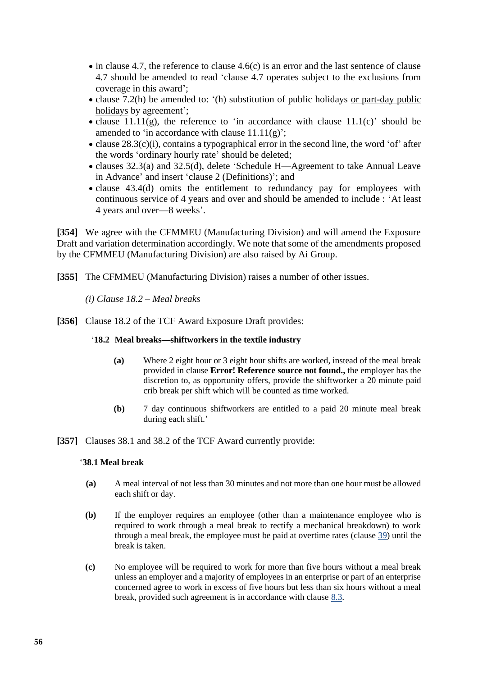- in clause 4.7, the reference to clause 4.6(c) is an error and the last sentence of clause 4.7 should be amended to read 'clause 4.7 operates subject to the exclusions from coverage in this award';
- clause 7.2(h) be amended to: '(h) substitution of public holidays or part-day public holidays by agreement';
- clause  $11.11(g)$ , the reference to 'in accordance with clause  $11.1(c)$ ' should be amended to 'in accordance with clause  $11.11(g)$ ';
- clause 28.3(c)(i), contains a typographical error in the second line, the word 'of' after the words 'ordinary hourly rate' should be deleted;
- clauses 32.3(a) and 32.5(d), delete 'Schedule H—Agreement to take Annual Leave in Advance' and insert 'clause 2 (Definitions)'; and
- clause 43.4(d) omits the entitlement to redundancy pay for employees with continuous service of 4 years and over and should be amended to include : 'At least 4 years and over—8 weeks'.

**[354]** We agree with the CFMMEU (Manufacturing Division) and will amend the Exposure Draft and variation determination accordingly. We note that some of the amendments proposed by the CFMMEU (Manufacturing Division) are also raised by Ai Group.

**[355]** The CFMMEU (Manufacturing Division) raises a number of other issues.

*(i) Clause 18.2 – Meal breaks*

**[356]** Clause 18.2 of the TCF Award Exposure Draft provides:

### '**18.2 Meal breaks—shiftworkers in the textile industry**

- **(a)** Where 2 eight hour or 3 eight hour shifts are worked, instead of the meal break provided in clause **Error! Reference source not found.,** the employer has the discretion to, as opportunity offers, provide the shiftworker a 20 minute paid crib break per shift which will be counted as time worked.
- **(b)** 7 day continuous shiftworkers are entitled to a paid 20 minute meal break during each shift.'
- **[357]** Clauses 38.1 and 38.2 of the TCF Award currently provide:

### '**38.1 Meal break**

- **(a)** A meal interval of not less than 30 minutes and not more than one hour must be allowed each shift or day.
- **(b)** If the employer requires an employee (other than a maintenance employee who is required to work through a meal break to rectify a mechanical breakdown) to work through a meal break, the employee must be paid at overtime rates (clause [39\)](https://www.fwc.gov.au/documents/documents/modern_awards/award/ma000017/ma000017-46.htm#P1135_96258) until the break is taken.
- **(c)** No employee will be required to work for more than five hours without a meal break unless an employer and a majority of employees in an enterprise or part of an enterprise concerned agree to work in excess of five hours but less than six hours without a meal break, provided such agreement is in accordance with clause [8.3.](https://www.fwc.gov.au/documents/documents/modern_awards/award/ma000017/ma000017-09.htm#P297_22289)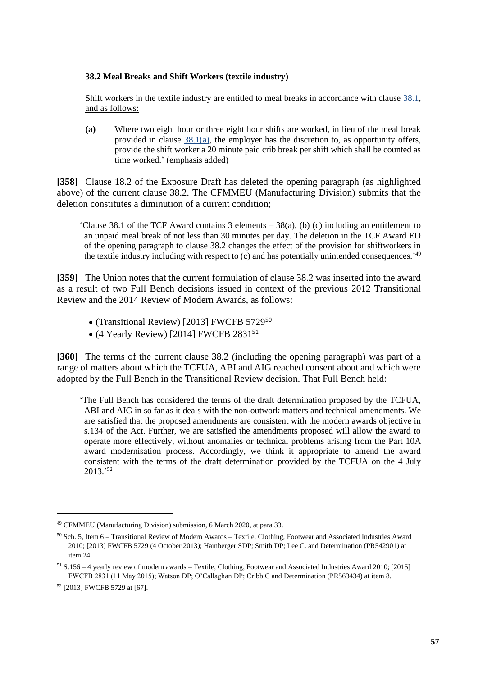### **38.2 Meal Breaks and Shift Workers (textile industry)**

Shift workers in the textile industry are entitled to meal breaks in accordance with clause [38.1,](https://www.fwc.gov.au/documents/documents/modern_awards/award/ma000017/ma000017-45.htm#P1122_94557) and as follows:

**(a)** Where two eight hour or three eight hour shifts are worked, in lieu of the meal break provided in clause  $38.1(a)$ , the employer has the discretion to, as opportunity offers, provide the shift worker a 20 minute paid crib break per shift which shall be counted as time worked.' (emphasis added)

**[358]** Clause 18.2 of the Exposure Draft has deleted the opening paragraph (as highlighted above) of the current clause 38.2. The CFMMEU (Manufacturing Division) submits that the deletion constitutes a diminution of a current condition;

'Clause 38.1 of the TCF Award contains 3 elements – 38(a), (b) (c) including an entitlement to an unpaid meal break of not less than 30 minutes per day. The deletion in the TCF Award ED of the opening paragraph to clause 38.2 changes the effect of the provision for shiftworkers in the textile industry including with respect to  $(c)$  and has potentially unintended consequences.<sup>149</sup>

**[359]** The Union notes that the current formulation of clause 38.2 was inserted into the award as a result of two Full Bench decisions issued in context of the previous 2012 Transitional Review and the 2014 Review of Modern Awards, as follows:

- (Transitional Review) [2013] FWCFB 5729<sup>50</sup>
- (4 Yearly Review) [2014] FWCFB 2831<sup>51</sup>

**[360]** The terms of the current clause 38.2 (including the opening paragraph) was part of a range of matters about which the TCFUA, ABI and AIG reached consent about and which were adopted by the Full Bench in the Transitional Review decision. That Full Bench held:

'The Full Bench has considered the terms of the draft determination proposed by the TCFUA, ABI and AIG in so far as it deals with the non-outwork matters and technical amendments. We are satisfied that the proposed amendments are consistent with the modern awards objective in s.134 of the Act. Further, we are satisfied the amendments proposed will allow the award to operate more effectively, without anomalies or technical problems arising from the Part 10A award modernisation process. Accordingly, we think it appropriate to amend the award consistent with the terms of the draft determination provided by the TCFUA on the 4 July 2013.' 52

<sup>49</sup> CFMMEU (Manufacturing Division) submission, 6 March 2020, at para 33.

<sup>50</sup> Sch. 5, Item 6 – Transitional Review of Modern Awards – Textile, Clothing, Footwear and Associated Industries Award 2010; [2013] FWCFB 5729 (4 October 2013); Hamberger SDP; Smith DP; Lee C. and Determination (PR542901) at item 24.

 $51$  S.156 – 4 yearly review of modern awards – Textile, Clothing, Footwear and Associated Industries Award 2010; [2015] FWCFB 2831 (11 May 2015); Watson DP; O'Callaghan DP; Cribb C and Determination (PR563434) at item 8.

<sup>52</sup> [2013] FWCFB 5729 at [67].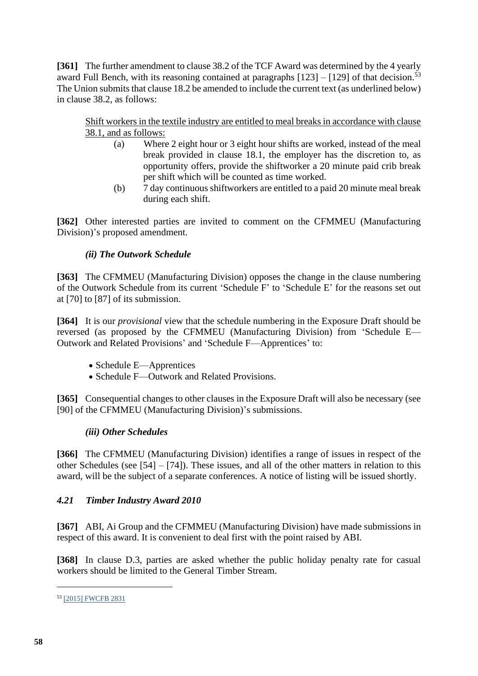**[361]** The further amendment to clause 38.2 of the TCF Award was determined by the 4 yearly award Full Bench, with its reasoning contained at paragraphs  $[123] - [129]$  of that decision.<sup>53</sup> The Union submits that clause 18.2 be amended to include the current text (as underlined below) in clause 38.2, as follows:

Shift workers in the textile industry are entitled to meal breaks in accordance with clause 38.1, and as follows:

- (a) Where 2 eight hour or 3 eight hour shifts are worked, instead of the meal break provided in clause 18.1, the employer has the discretion to, as opportunity offers, provide the shiftworker a 20 minute paid crib break per shift which will be counted as time worked.
- (b) 7 day continuous shiftworkers are entitled to a paid 20 minute meal break during each shift.

**[362]** Other interested parties are invited to comment on the CFMMEU (Manufacturing Division)'s proposed amendment.

# *(ii) The Outwork Schedule*

**[363]** The CFMMEU (Manufacturing Division) opposes the change in the clause numbering of the Outwork Schedule from its current 'Schedule F' to 'Schedule E' for the reasons set out at [70] to [87] of its submission.

**[364]** It is our *provisional* view that the schedule numbering in the Exposure Draft should be reversed (as proposed by the CFMMEU (Manufacturing Division) from 'Schedule E— Outwork and Related Provisions' and 'Schedule F—Apprentices' to:

- Schedule E—Apprentices
- Schedule F—Outwork and Related Provisions.

**[365]** Consequential changes to other clauses in the Exposure Draft will also be necessary (see [90] of the CFMMEU (Manufacturing Division)'s submissions.

# *(iii) Other Schedules*

**[366]** The CFMMEU (Manufacturing Division) identifies a range of issues in respect of the other Schedules (see [54] – [74]). These issues, and all of the other matters in relation to this award, will be the subject of a separate conferences. A notice of listing will be issued shortly.

# *4.21 Timber Industry Award 2010*

**[367]** ABI, Ai Group and the CFMMEU (Manufacturing Division) have made submissions in respect of this award. It is convenient to deal first with the point raised by ABI.

**[368]** In clause D.3, parties are asked whether the public holiday penalty rate for casual workers should be limited to the General Timber Stream.

<sup>53</sup> [\[2015\] FWCFB 2831](https://www.fwc.gov.au/documents/decisionssigned/html/2015fwcfb2831.htm)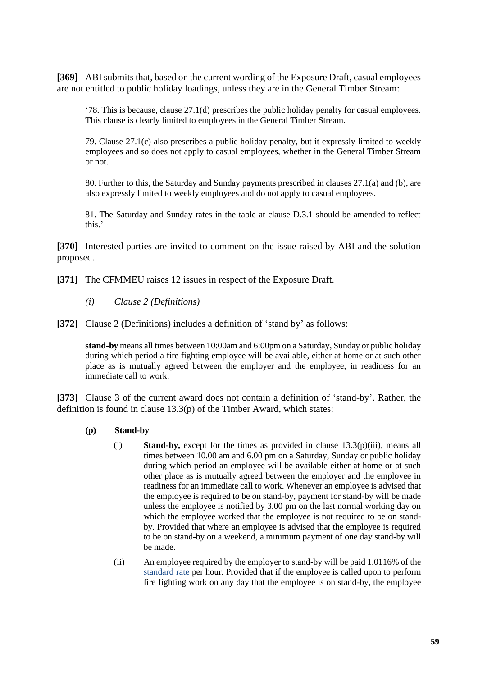**[369]** ABI submits that, based on the current wording of the Exposure Draft, casual employees are not entitled to public holiday loadings, unless they are in the General Timber Stream:

'78. This is because, clause 27.1(d) prescribes the public holiday penalty for casual employees. This clause is clearly limited to employees in the General Timber Stream.

79. Clause 27.1(c) also prescribes a public holiday penalty, but it expressly limited to weekly employees and so does not apply to casual employees, whether in the General Timber Stream or not.

80. Further to this, the Saturday and Sunday payments prescribed in clauses 27.1(a) and (b), are also expressly limited to weekly employees and do not apply to casual employees.

81. The Saturday and Sunday rates in the table at clause D.3.1 should be amended to reflect this.'

**[370]** Interested parties are invited to comment on the issue raised by ABI and the solution proposed.

**[371]** The CFMMEU raises 12 issues in respect of the Exposure Draft.

- *(i) Clause 2 (Definitions)*
- **[372]** Clause 2 (Definitions) includes a definition of 'stand by' as follows:

**stand-by** means all times between 10:00am and 6:00pm on a Saturday, Sunday or public holiday during which period a fire fighting employee will be available, either at home or at such other place as is mutually agreed between the employer and the employee, in readiness for an immediate call to work.

**[373]** Clause 3 of the current award does not contain a definition of 'stand-by'. Rather, the definition is found in clause 13.3(p) of the Timber Award, which states:

- **(p) Stand-by**
	- (i) **Stand-by,** except for the times as provided in clause  $13.3(p)(iii)$ , means all times between 10.00 am and 6.00 pm on a Saturday, Sunday or public holiday during which period an employee will be available either at home or at such other place as is mutually agreed between the employer and the employee in readiness for an immediate call to work. Whenever an employee is advised that the employee is required to be on stand-by, payment for stand-by will be made unless the employee is notified by 3.00 pm on the last normal working day on which the employee worked that the employee is not required to be on standby. Provided that where an employee is advised that the employee is required to be on stand-by on a weekend, a minimum payment of one day stand-by will be made.
	- (ii) An employee required by the employer to stand-by will be paid 1.0116% of the standard rate per hour. Provided that if the employee is called upon to perform fire fighting work on any day that the employee is on stand-by, the employee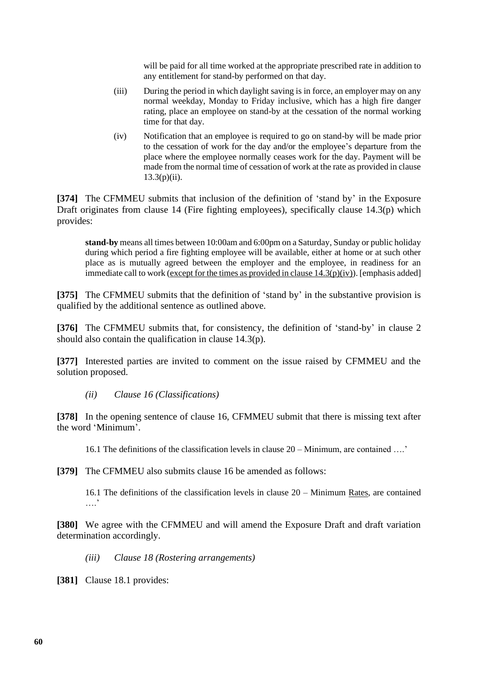will be paid for all time worked at the appropriate prescribed rate in addition to any entitlement for stand-by performed on that day.

- (iii) During the period in which daylight saving is in force, an employer may on any normal weekday, Monday to Friday inclusive, which has a high fire danger rating, place an employee on stand-by at the cessation of the normal working time for that day.
- (iv) Notification that an employee is required to go on stand-by will be made prior to the cessation of work for the day and/or the employee's departure from the place where the employee normally ceases work for the day. Payment will be made from the normal time of cessation of work at the rate as provided in clause  $13.3(p)(ii)$ .

**[374]** The CFMMEU submits that inclusion of the definition of 'stand by' in the Exposure Draft originates from clause 14 (Fire fighting employees), specifically clause 14.3(p) which provides:

**stand-by** means all times between 10:00am and 6:00pm on a Saturday, Sunday or public holiday during which period a fire fighting employee will be available, either at home or at such other place as is mutually agreed between the employer and the employee, in readiness for an immediate call to work (except for the times as provided in clause  $14.3(p)(iv)$ ). [emphasis added]

**[375]** The CFMMEU submits that the definition of 'stand by' in the substantive provision is qualified by the additional sentence as outlined above.

**[376]** The CFMMEU submits that, for consistency, the definition of 'stand-by' in clause 2 should also contain the qualification in clause 14.3(p).

**[377]** Interested parties are invited to comment on the issue raised by CFMMEU and the solution proposed.

*(ii) Clause 16 (Classifications)*

**[378]** In the opening sentence of clause 16, CFMMEU submit that there is missing text after the word 'Minimum'.

16.1 The definitions of the classification levels in clause 20 – Minimum, are contained ….'

**[379]** The CFMMEU also submits clause 16 be amended as follows:

16.1 The definitions of the classification levels in clause 20 – Minimum Rates, are contained ….<sup>'</sup>

**[380]** We agree with the CFMMEU and will amend the Exposure Draft and draft variation determination accordingly.

*(iii) Clause 18 (Rostering arrangements)*

**[381]** Clause 18.1 provides: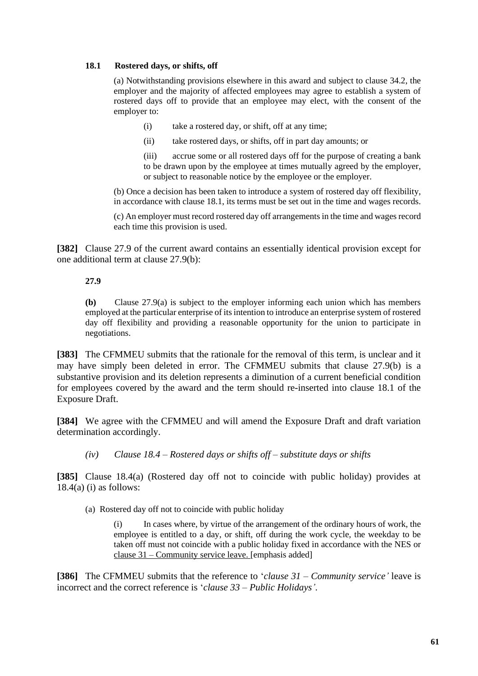### **18.1 Rostered days, or shifts, off**

(a) Notwithstanding provisions elsewhere in this award and subject to clause 34.2, the employer and the majority of affected employees may agree to establish a system of rostered days off to provide that an employee may elect, with the consent of the employer to:

- (i) take a rostered day, or shift, off at any time;
- (ii) take rostered days, or shifts, off in part day amounts; or

(iii) accrue some or all rostered days off for the purpose of creating a bank to be drawn upon by the employee at times mutually agreed by the employer, or subject to reasonable notice by the employee or the employer.

(b) Once a decision has been taken to introduce a system of rostered day off flexibility, in accordance with clause 18.1, its terms must be set out in the time and wages records.

(c) An employer must record rostered day off arrangements in the time and wages record each time this provision is used.

**[382]** Clause 27.9 of the current award contains an essentially identical provision except for one additional term at clause 27.9(b):

## **27.9**

**(b)** Clause 27.9(a) is subject to the employer informing each union which has members employed at the particular enterprise of its intention to introduce an enterprise system of rostered day off flexibility and providing a reasonable opportunity for the union to participate in negotiations.

**[383]** The CFMMEU submits that the rationale for the removal of this term, is unclear and it may have simply been deleted in error. The CFMMEU submits that clause 27.9(b) is a substantive provision and its deletion represents a diminution of a current beneficial condition for employees covered by the award and the term should re-inserted into clause 18.1 of the Exposure Draft.

**[384]** We agree with the CFMMEU and will amend the Exposure Draft and draft variation determination accordingly.

## *(iv) Clause 18.4 – Rostered days or shifts off – substitute days or shifts*

**[385]** Clause 18.4(a) (Rostered day off not to coincide with public holiday) provides at  $18.4(a)$  (i) as follows:

(a) Rostered day off not to coincide with public holiday

(i) In cases where, by virtue of the arrangement of the ordinary hours of work, the employee is entitled to a day, or shift, off during the work cycle, the weekday to be taken off must not coincide with a public holiday fixed in accordance with the NES or clause 31 – Community service leave. [emphasis added]

**[386]** The CFMMEU submits that the reference to '*clause 31 – Community service'* leave is incorrect and the correct reference is '*clause 33 – Public Holidays'*.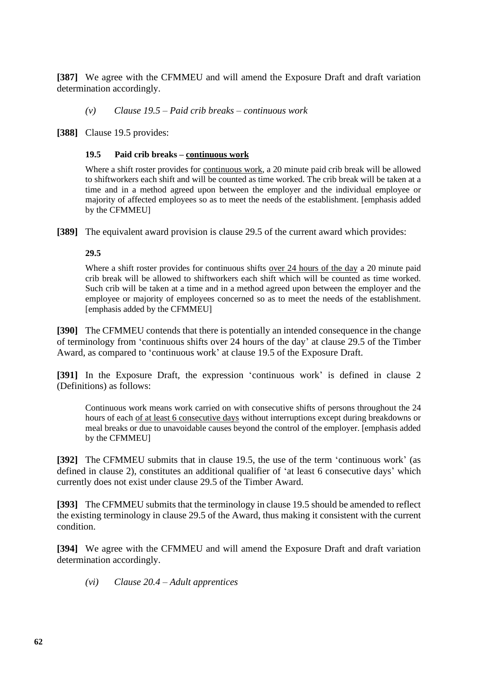**[387]** We agree with the CFMMEU and will amend the Exposure Draft and draft variation determination accordingly.

*(v) Clause 19.5 – Paid crib breaks – continuous work*

**[388]** Clause 19.5 provides:

### **19.5 Paid crib breaks – continuous work**

Where a shift roster provides for continuous work, a 20 minute paid crib break will be allowed to shiftworkers each shift and will be counted as time worked. The crib break will be taken at a time and in a method agreed upon between the employer and the individual employee or majority of affected employees so as to meet the needs of the establishment. [emphasis added by the CFMMEU]

**[389]** The equivalent award provision is clause 29.5 of the current award which provides:

### **29.5**

Where a shift roster provides for continuous shifts over 24 hours of the day a 20 minute paid crib break will be allowed to shiftworkers each shift which will be counted as time worked. Such crib will be taken at a time and in a method agreed upon between the employer and the employee or majority of employees concerned so as to meet the needs of the establishment. [emphasis added by the CFMMEU]

**[390]** The CFMMEU contends that there is potentially an intended consequence in the change of terminology from 'continuous shifts over 24 hours of the day' at clause 29.5 of the Timber Award, as compared to 'continuous work' at clause 19.5 of the Exposure Draft.

**[391]** In the Exposure Draft, the expression 'continuous work' is defined in clause 2 (Definitions) as follows:

Continuous work means work carried on with consecutive shifts of persons throughout the 24 hours of each of at least 6 consecutive days without interruptions except during breakdowns or meal breaks or due to unavoidable causes beyond the control of the employer. [emphasis added by the CFMMEU]

**[392]** The CFMMEU submits that in clause 19.5, the use of the term 'continuous work' (as defined in clause 2), constitutes an additional qualifier of 'at least 6 consecutive days' which currently does not exist under clause 29.5 of the Timber Award.

**[393]** The CFMMEU submits that the terminology in clause 19.5 should be amended to reflect the existing terminology in clause 29.5 of the Award, thus making it consistent with the current condition.

**[394]** We agree with the CFMMEU and will amend the Exposure Draft and draft variation determination accordingly.

*(vi) Clause 20.4 – Adult apprentices*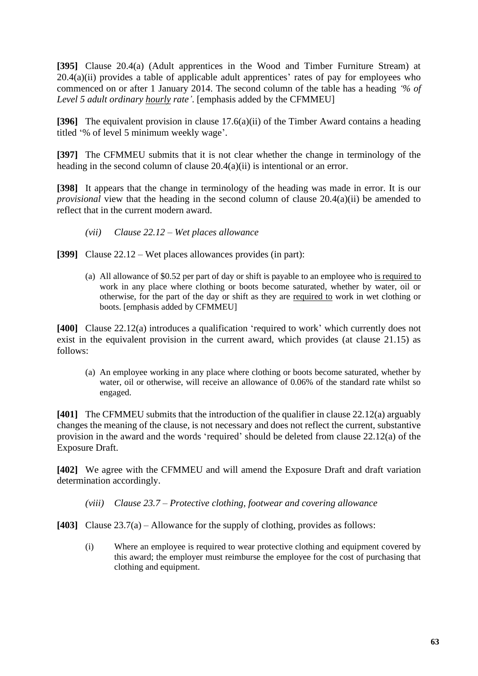**[395]** Clause 20.4(a) (Adult apprentices in the Wood and Timber Furniture Stream) at 20.4(a)(ii) provides a table of applicable adult apprentices' rates of pay for employees who commenced on or after 1 January 2014. The second column of the table has a heading *'% of Level 5 adult ordinary hourly rate'*. [emphasis added by the CFMMEU]

**[396]** The equivalent provision in clause 17.6(a)(ii) of the Timber Award contains a heading titled '% of level 5 minimum weekly wage'.

**[397]** The CFMMEU submits that it is not clear whether the change in terminology of the heading in the second column of clause 20.4(a)(ii) is intentional or an error.

**[398]** It appears that the change in terminology of the heading was made in error. It is our *provisional* view that the heading in the second column of clause 20.4(a)(ii) be amended to reflect that in the current modern award.

- *(vii) Clause 22.12 – Wet places allowance*
- **[399]** Clause 22.12 Wet places allowances provides (in part):
	- (a) All allowance of \$0.52 per part of day or shift is payable to an employee who is required to work in any place where clothing or boots become saturated, whether by water, oil or otherwise, for the part of the day or shift as they are required to work in wet clothing or boots. [emphasis added by CFMMEU]

**[400]** Clause 22.12(a) introduces a qualification 'required to work' which currently does not exist in the equivalent provision in the current award, which provides (at clause 21.15) as follows:

(a) An employee working in any place where clothing or boots become saturated, whether by water, oil or otherwise, will receive an allowance of 0.06% of the standard rate whilst so engaged.

**[401]** The CFMMEU submits that the introduction of the qualifier in clause 22.12(a) arguably changes the meaning of the clause, is not necessary and does not reflect the current, substantive provision in the award and the words 'required' should be deleted from clause 22.12(a) of the Exposure Draft.

**[402]** We agree with the CFMMEU and will amend the Exposure Draft and draft variation determination accordingly.

*(viii) Clause 23.7 – Protective clothing, footwear and covering allowance*

**[403]** Clause 23.7(a) – Allowance for the supply of clothing, provides as follows:

(i) Where an employee is required to wear protective clothing and equipment covered by this award; the employer must reimburse the employee for the cost of purchasing that clothing and equipment.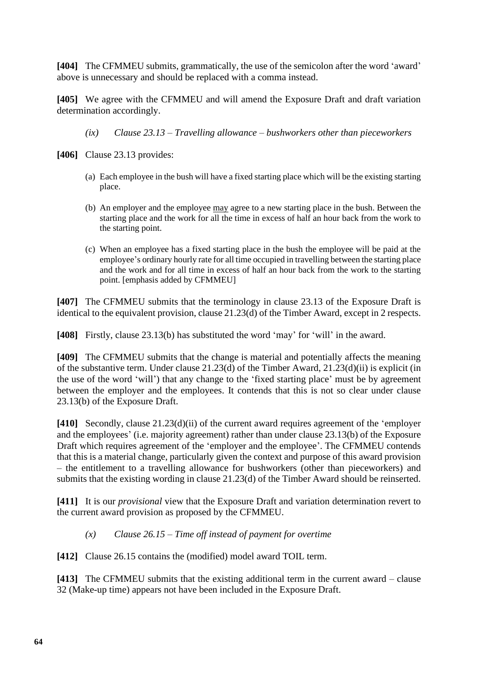**[404]** The CFMMEU submits, grammatically, the use of the semicolon after the word 'award' above is unnecessary and should be replaced with a comma instead.

**[405]** We agree with the CFMMEU and will amend the Exposure Draft and draft variation determination accordingly.

*(ix) Clause 23.13 – Travelling allowance – bushworkers other than pieceworkers*

- **[406]** Clause 23.13 provides:
	- (a) Each employee in the bush will have a fixed starting place which will be the existing starting place.
	- (b) An employer and the employee may agree to a new starting place in the bush. Between the starting place and the work for all the time in excess of half an hour back from the work to the starting point.
	- (c) When an employee has a fixed starting place in the bush the employee will be paid at the employee's ordinary hourly rate for all time occupied in travelling between the starting place and the work and for all time in excess of half an hour back from the work to the starting point. [emphasis added by CFMMEU]

**[407]** The CFMMEU submits that the terminology in clause 23.13 of the Exposure Draft is identical to the equivalent provision, clause 21.23(d) of the Timber Award, except in 2 respects.

**[408]** Firstly, clause 23.13(b) has substituted the word 'may' for 'will' in the award.

**[409]** The CFMMEU submits that the change is material and potentially affects the meaning of the substantive term. Under clause 21.23(d) of the Timber Award, 21.23(d)(ii) is explicit (in the use of the word 'will') that any change to the 'fixed starting place' must be by agreement between the employer and the employees. It contends that this is not so clear under clause 23.13(b) of the Exposure Draft.

**[410]** Secondly, clause 21.23(d)(ii) of the current award requires agreement of the 'employer and the employees' (i.e. majority agreement) rather than under clause 23.13(b) of the Exposure Draft which requires agreement of the 'employer and the employee'. The CFMMEU contends that this is a material change, particularly given the context and purpose of this award provision – the entitlement to a travelling allowance for bushworkers (other than pieceworkers) and submits that the existing wording in clause 21.23(d) of the Timber Award should be reinserted.

**[411]** It is our *provisional* view that the Exposure Draft and variation determination revert to the current award provision as proposed by the CFMMEU.

*(x) Clause 26.15 – Time off instead of payment for overtime*

**[412]** Clause 26.15 contains the (modified) model award TOIL term.

**[413]** The CFMMEU submits that the existing additional term in the current award – clause 32 (Make-up time) appears not have been included in the Exposure Draft.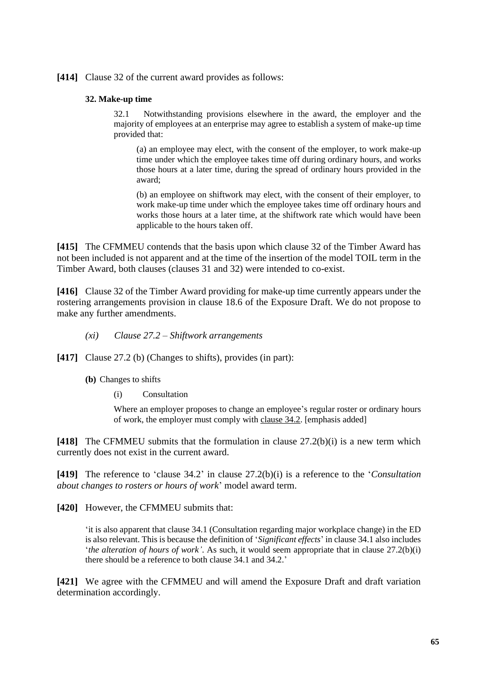### **[414]** Clause 32 of the current award provides as follows:

#### **32. Make-up time**

32.1 Notwithstanding provisions elsewhere in the award, the employer and the majority of employees at an enterprise may agree to establish a system of make-up time provided that:

(a) an employee may elect, with the consent of the employer, to work make-up time under which the employee takes time off during ordinary hours, and works those hours at a later time, during the spread of ordinary hours provided in the award;

(b) an employee on shiftwork may elect, with the consent of their employer, to work make-up time under which the employee takes time off ordinary hours and works those hours at a later time, at the shiftwork rate which would have been applicable to the hours taken off.

**[415]** The CFMMEU contends that the basis upon which clause 32 of the Timber Award has not been included is not apparent and at the time of the insertion of the model TOIL term in the Timber Award, both clauses (clauses 31 and 32) were intended to co-exist.

**[416]** Clause 32 of the Timber Award providing for make-up time currently appears under the rostering arrangements provision in clause 18.6 of the Exposure Draft. We do not propose to make any further amendments.

- *(xi) Clause 27.2 – Shiftwork arrangements*
- **[417]** Clause 27.2 (b) (Changes to shifts), provides (in part):
	- **(b)** Changes to shifts
		- (i) Consultation

Where an employer proposes to change an employee's regular roster or ordinary hours of work, the employer must comply with clause 34.2. [emphasis added]

**[418]** The CFMMEU submits that the formulation in clause 27.2(b)(i) is a new term which currently does not exist in the current award.

**[419]** The reference to 'clause 34.2' in clause 27.2(b)(i) is a reference to the '*Consultation about changes to rosters or hours of work*' model award term.

**[420]** However, the CFMMEU submits that:

'it is also apparent that clause 34.1 (Consultation regarding major workplace change) in the ED is also relevant. This is because the definition of '*Significant effects*' in clause 34.1 also includes '*the alteration of hours of work'*. As such, it would seem appropriate that in clause 27.2(b)(i) there should be a reference to both clause 34.1 and 34.2.'

**[421]** We agree with the CFMMEU and will amend the Exposure Draft and draft variation determination accordingly.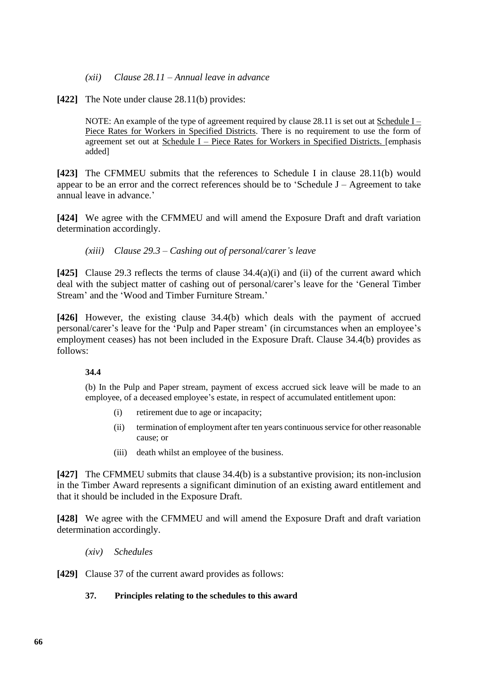- *(xii) Clause 28.11 – Annual leave in advance*
- **[422]** The Note under clause 28.11(b) provides:

NOTE: An example of the type of agreement required by clause 28.11 is set out at Schedule  $I -$ Piece Rates for Workers in Specified Districts. There is no requirement to use the form of agreement set out at Schedule I – Piece Rates for Workers in Specified Districts. [emphasis added]

**[423]** The CFMMEU submits that the references to Schedule I in clause 28.11(b) would appear to be an error and the correct references should be to 'Schedule J – Agreement to take annual leave in advance.'

**[424]** We agree with the CFMMEU and will amend the Exposure Draft and draft variation determination accordingly.

*(xiii) Clause 29.3 – Cashing out of personal/carer's leave*

**[425]** Clause 29.3 reflects the terms of clause 34.4(a)(i) and (ii) of the current award which deal with the subject matter of cashing out of personal/carer's leave for the 'General Timber Stream' and the 'Wood and Timber Furniture Stream.'

**[426]** However, the existing clause 34.4(b) which deals with the payment of accrued personal/carer's leave for the 'Pulp and Paper stream' (in circumstances when an employee's employment ceases) has not been included in the Exposure Draft. Clause 34.4(b) provides as follows:

### **34.4**

(b) In the Pulp and Paper stream, payment of excess accrued sick leave will be made to an employee, of a deceased employee's estate, in respect of accumulated entitlement upon:

- (i) retirement due to age or incapacity;
- (ii) termination of employment after ten years continuous service for other reasonable cause; or
- (iii) death whilst an employee of the business.

**[427]** The CFMMEU submits that clause 34.4(b) is a substantive provision; its non-inclusion in the Timber Award represents a significant diminution of an existing award entitlement and that it should be included in the Exposure Draft.

**[428]** We agree with the CFMMEU and will amend the Exposure Draft and draft variation determination accordingly.

*(xiv) Schedules*

**[429]** Clause 37 of the current award provides as follows:

### **37. Principles relating to the schedules to this award**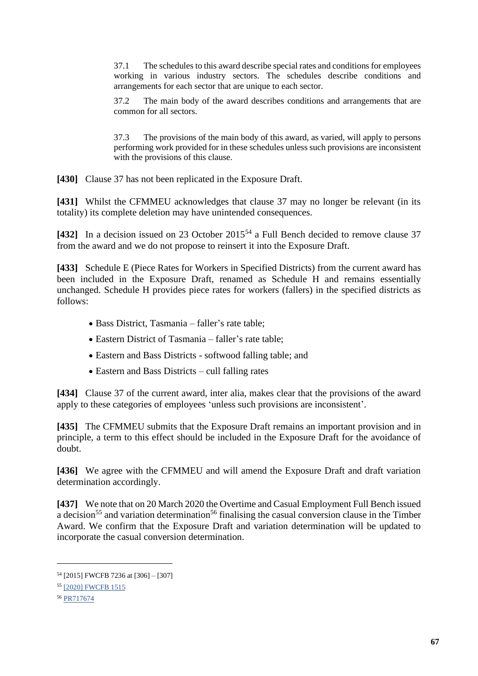37.1 The schedules to this award describe special rates and conditions for employees working in various industry sectors. The schedules describe conditions and arrangements for each sector that are unique to each sector.

37.2 The main body of the award describes conditions and arrangements that are common for all sectors.

37.3 The provisions of the main body of this award, as varied, will apply to persons performing work provided for in these schedules unless such provisions are inconsistent with the provisions of this clause.

**[430]** Clause 37 has not been replicated in the Exposure Draft.

**[431]** Whilst the CFMMEU acknowledges that clause 37 may no longer be relevant (in its totality) its complete deletion may have unintended consequences.

[432] In a decision issued on 23 October 2015<sup>54</sup> a Full Bench decided to remove clause 37 from the award and we do not propose to reinsert it into the Exposure Draft.

**[433]** Schedule E (Piece Rates for Workers in Specified Districts) from the current award has been included in the Exposure Draft, renamed as Schedule H and remains essentially unchanged. Schedule H provides piece rates for workers (fallers) in the specified districts as follows:

- Bass District, Tasmania faller's rate table;
- Eastern District of Tasmania faller's rate table;
- Eastern and Bass Districts softwood falling table; and
- Eastern and Bass Districts cull falling rates

**[434]** Clause 37 of the current award, inter alia, makes clear that the provisions of the award apply to these categories of employees 'unless such provisions are inconsistent'.

**[435]** The CFMMEU submits that the Exposure Draft remains an important provision and in principle, a term to this effect should be included in the Exposure Draft for the avoidance of doubt.

**[436]** We agree with the CFMMEU and will amend the Exposure Draft and draft variation determination accordingly.

**[437]** We note that on 20 March 2020 the Overtime and Casual Employment Full Bench issued a decision<sup>55</sup> and variation determination<sup>56</sup> finalising the casual conversion clause in the Timber Award. We confirm that the Exposure Draft and variation determination will be updated to incorporate the casual conversion determination.

<sup>54</sup> [2015] FWCFB 7236 at [306] – [307]

<sup>55</sup> [\[2020\] FWCFB 1515](https://www.fwc.gov.au/documents/decisionssigned/html/2020fwcfb1515.htm)

<sup>56</sup> [PR717674](https://www.fwc.gov.au/documents/sites/awardsmodernfouryr/pr717674.pdf)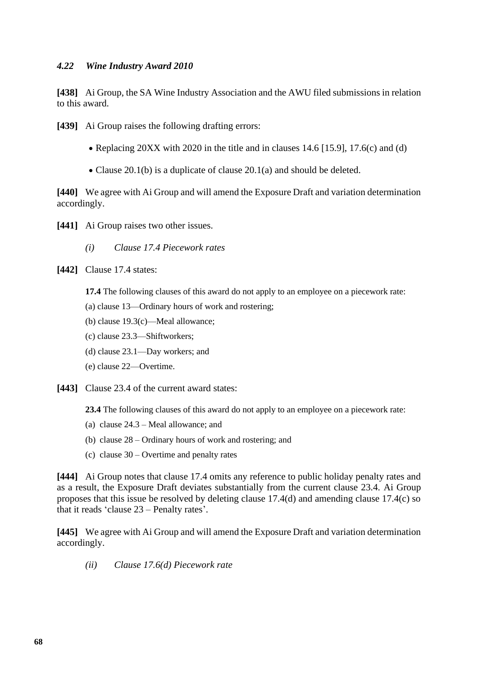## *4.22 Wine Industry Award 2010*

**[438]** Ai Group, the SA Wine Industry Association and the AWU filed submissions in relation to this award.

**[439]** Ai Group raises the following drafting errors:

- Replacing 20XX with 2020 in the title and in clauses 14.6 [15.9], 17.6(c) and (d)
- Clause 20.1(b) is a duplicate of clause 20.1(a) and should be deleted.

**[440]** We agree with Ai Group and will amend the Exposure Draft and variation determination accordingly.

- [441] Ai Group raises two other issues.
	- *(i) Clause 17.4 Piecework rates*

**[442]** Clause 17.4 states:

**17.4** The following clauses of this award do not apply to an employee on a piecework rate:

- (a) clause 13—Ordinary hours of work and rostering;
- (b) clause 19.3(c)—Meal allowance;
- (c) clause 23.3—Shiftworkers;
- (d) clause 23.1—Day workers; and
- (e) clause 22—Overtime.
- **[443]** Clause 23.4 of the current award states:

**23.4** The following clauses of this award do not apply to an employee on a piecework rate:

- (a) clause 24.3 Meal allowance; and
- (b) clause 28 Ordinary hours of work and rostering; and
- (c) clause  $30 -$  Overtime and penalty rates

**[444]** Ai Group notes that clause 17.4 omits any reference to public holiday penalty rates and as a result, the Exposure Draft deviates substantially from the current clause 23.4. Ai Group proposes that this issue be resolved by deleting clause 17.4(d) and amending clause 17.4(c) so that it reads 'clause 23 – Penalty rates'.

**[445]** We agree with Ai Group and will amend the Exposure Draft and variation determination accordingly.

*(ii) Clause 17.6(d) Piecework rate*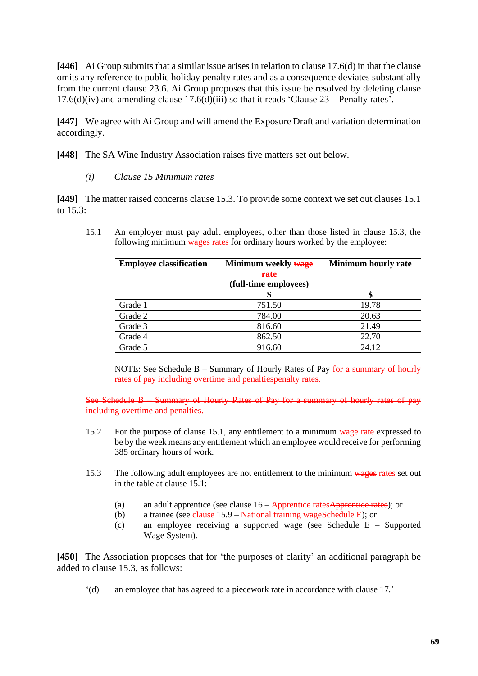**[446]** Ai Group submits that a similar issue arises in relation to clause 17.6(d) in that the clause omits any reference to public holiday penalty rates and as a consequence deviates substantially from the current clause 23.6. Ai Group proposes that this issue be resolved by deleting clause 17.6(d)(iv) and amending clause 17.6(d)(iii) so that it reads 'Clause  $23$  – Penalty rates'.

**[447]** We agree with Ai Group and will amend the Exposure Draft and variation determination accordingly.

**[448]** The SA Wine Industry Association raises five matters set out below.

*(i) Clause 15 Minimum rates*

**[449]** The matter raised concerns clause 15.3. To provide some context we set out clauses 15.1 to 15.3:

15.1 An employer must pay adult employees, other than those listed in clause 15.3, the following minimum wages rates for ordinary hours worked by the employee:

| <b>Employee classification</b> | Minimum weekly wage   | Minimum hourly rate |
|--------------------------------|-----------------------|---------------------|
|                                | rate                  |                     |
|                                | (full-time employees) |                     |
|                                |                       |                     |
| Grade 1                        | 751.50                | 19.78               |
| Grade 2                        | 784.00                | 20.63               |
| Grade 3                        | 816.60                | 21.49               |
| Grade 4                        | 862.50                | 22.70               |
| Grade 5                        | 916.60                | 24.12               |

NOTE: See Schedule B – Summary of Hourly Rates of Pay for a summary of hourly rates of pay including overtime and penaltiespenalty rates.

See Schedule B – Summary of Hourly Rates of Pay for a summary of hourly rates of pay including overtime and penalties.

- 15.2 For the purpose of clause 15.1, any entitlement to a minimum wage rate expressed to be by the week means any entitlement which an employee would receive for performing 385 ordinary hours of work.
- 15.3 The following adult employees are not entitlement to the minimum wages rates set out in the table at clause 15.1:
	- (a) an adult apprentice (see clause  $16 -$ Apprentice ratesApprentice rates); or
	- (b) a trainee (see clause  $15.9 -$  National training wageSchedule E); or
	- (c) an employee receiving a supported wage (see Schedule E Supported Wage System).

**[450]** The Association proposes that for 'the purposes of clarity' an additional paragraph be added to clause 15.3, as follows:

'(d) an employee that has agreed to a piecework rate in accordance with clause 17.'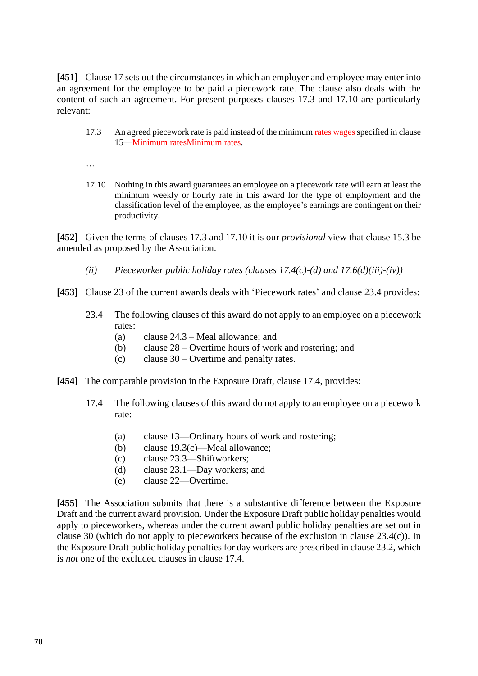**[451]** Clause 17 sets out the circumstances in which an employer and employee may enter into an agreement for the employee to be paid a piecework rate. The clause also deals with the content of such an agreement. For present purposes clauses 17.3 and 17.10 are particularly relevant:

- 17.3 An agreed piecework rate is paid instead of the minimum rates wages specified in clause 15—Minimum ratesMinimum rates.
- …
- 17.10 Nothing in this award guarantees an employee on a piecework rate will earn at least the minimum weekly or hourly rate in this award for the type of employment and the classification level of the employee, as the employee's earnings are contingent on their productivity.

**[452]** Given the terms of clauses 17.3 and 17.10 it is our *provisional* view that clause 15.3 be amended as proposed by the Association.

- *(ii) Pieceworker public holiday rates (clauses 17.4(c)-(d) and 17.6(d)(iii)-(iv))*
- **[453]** Clause 23 of the current awards deals with 'Piecework rates' and clause 23.4 provides:
	- 23.4 The following clauses of this award do not apply to an employee on a piecework rates:
		- (a) clause 24.3 Meal allowance; and
		- (b) clause 28 Overtime hours of work and rostering; and
		- (c) clause 30 Overtime and penalty rates.
- **[454]** The comparable provision in the Exposure Draft, clause 17.4, provides:
	- 17.4 The following clauses of this award do not apply to an employee on a piecework rate:
		- (a) clause 13—Ordinary hours of work and rostering;
		- (b) clause 19.3(c)—Meal allowance;
		- (c) clause 23.3—Shiftworkers;
		- (d) clause 23.1—Day workers; and
		- (e) clause 22—Overtime.

**[455]** The Association submits that there is a substantive difference between the Exposure Draft and the current award provision. Under the Exposure Draft public holiday penalties would apply to pieceworkers, whereas under the current award public holiday penalties are set out in clause 30 (which do not apply to pieceworkers because of the exclusion in clause 23.4(c)). In the Exposure Draft public holiday penalties for day workers are prescribed in clause 23.2, which is *not* one of the excluded clauses in clause 17.4.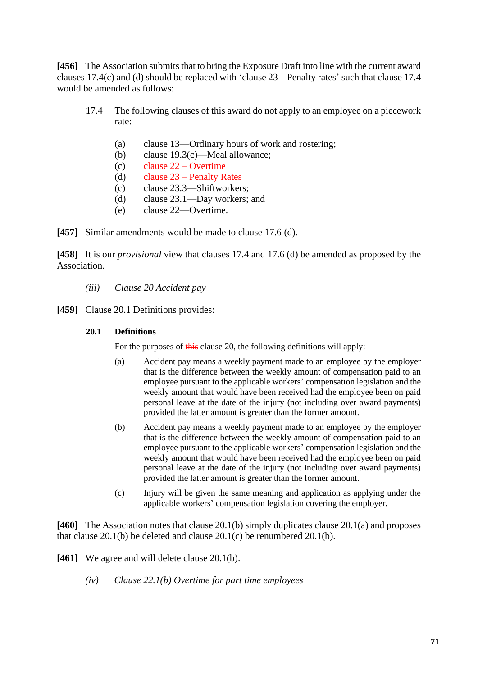**[456]** The Association submits that to bring the Exposure Draft into line with the current award clauses 17.4(c) and (d) should be replaced with 'clause 23 – Penalty rates' such that clause 17.4 would be amended as follows:

- 17.4 The following clauses of this award do not apply to an employee on a piecework rate:
	- (a) clause 13—Ordinary hours of work and rostering;
	- (b) clause 19.3(c)—Meal allowance;
	- (c) clause  $22 -$  Overtime
	- (d) clause 23 Penalty Rates
	- (c) clause 23.3—Shiftworkers;
	- (d) clause 23.1—Day workers; and
	- (e) clause 22—Overtime.

**[457]** Similar amendments would be made to clause 17.6 (d).

**[458]** It is our *provisional* view that clauses 17.4 and 17.6 (d) be amended as proposed by the Association.

- *(iii) Clause 20 Accident pay*
- **[459]** Clause 20.1 Definitions provides:

### **20.1 Definitions**

For the purposes of this clause 20, the following definitions will apply:

- (a) Accident pay means a weekly payment made to an employee by the employer that is the difference between the weekly amount of compensation paid to an employee pursuant to the applicable workers' compensation legislation and the weekly amount that would have been received had the employee been on paid personal leave at the date of the injury (not including over award payments) provided the latter amount is greater than the former amount.
- (b) Accident pay means a weekly payment made to an employee by the employer that is the difference between the weekly amount of compensation paid to an employee pursuant to the applicable workers' compensation legislation and the weekly amount that would have been received had the employee been on paid personal leave at the date of the injury (not including over award payments) provided the latter amount is greater than the former amount.
- (c) Injury will be given the same meaning and application as applying under the applicable workers' compensation legislation covering the employer.

**[460]** The Association notes that clause 20.1(b) simply duplicates clause 20.1(a) and proposes that clause 20.1(b) be deleted and clause 20.1(c) be renumbered 20.1(b).

[461] We agree and will delete clause 20.1(b).

*(iv) Clause 22.1(b) Overtime for part time employees*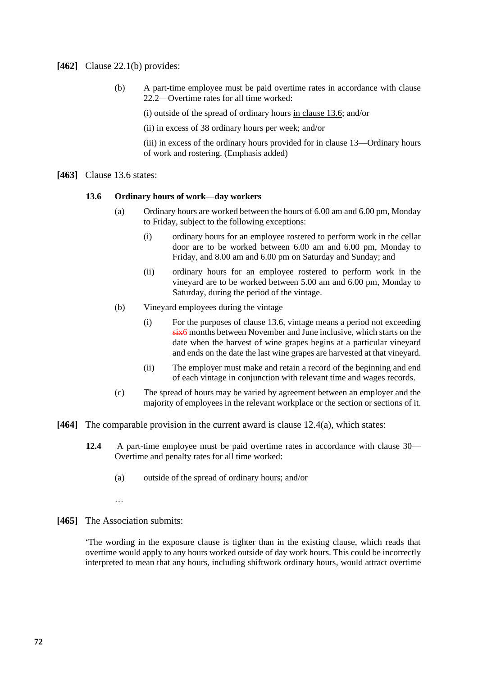### **[462]** Clause 22.1(b) provides:

(b) A part-time employee must be paid overtime rates in accordance with clause 22.2—Overtime rates for all time worked:

(i) outside of the spread of ordinary hours in clause 13.6; and/or

(ii) in excess of 38 ordinary hours per week; and/or

(iii) in excess of the ordinary hours provided for in clause 13—Ordinary hours of work and rostering. (Emphasis added)

**[463]** Clause 13.6 states:

#### **13.6 Ordinary hours of work—day workers**

- (a) Ordinary hours are worked between the hours of 6.00 am and 6.00 pm, Monday to Friday, subject to the following exceptions:
	- (i) ordinary hours for an employee rostered to perform work in the cellar door are to be worked between 6.00 am and 6.00 pm, Monday to Friday, and 8.00 am and 6.00 pm on Saturday and Sunday; and
	- (ii) ordinary hours for an employee rostered to perform work in the vineyard are to be worked between 5.00 am and 6.00 pm, Monday to Saturday, during the period of the vintage.
- (b) Vineyard employees during the vintage
	- (i) For the purposes of clause 13.6, vintage means a period not exceeding six6 months between November and June inclusive, which starts on the date when the harvest of wine grapes begins at a particular vineyard and ends on the date the last wine grapes are harvested at that vineyard.
	- (ii) The employer must make and retain a record of the beginning and end of each vintage in conjunction with relevant time and wages records.
- (c) The spread of hours may be varied by agreement between an employer and the majority of employees in the relevant workplace or the section or sections of it.
- **[464]** The comparable provision in the current award is clause 12.4(a), which states:
	- **12.4** A part-time employee must be paid overtime rates in accordance with clause 30— Overtime and penalty rates for all time worked:
		- (a) outside of the spread of ordinary hours; and/or
		- …
- **[465]** The Association submits:

'The wording in the exposure clause is tighter than in the existing clause, which reads that overtime would apply to any hours worked outside of day work hours. This could be incorrectly interpreted to mean that any hours, including shiftwork ordinary hours, would attract overtime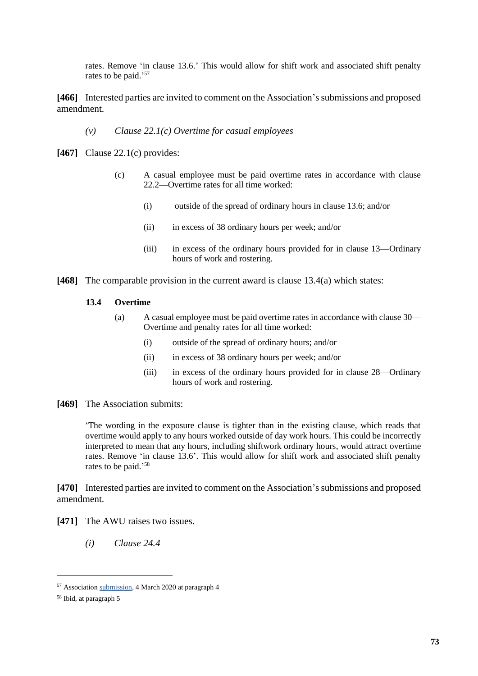rates. Remove 'in clause 13.6.' This would allow for shift work and associated shift penalty rates to be paid.' 57

[466] Interested parties are invited to comment on the Association's submissions and proposed amendment.

### *(v) Clause 22.1(c) Overtime for casual employees*

**[467]** Clause 22.1(c) provides:

- (c) A casual employee must be paid overtime rates in accordance with clause 22.2—Overtime rates for all time worked:
	- (i) outside of the spread of ordinary hours in clause 13.6; and/or
	- (ii) in excess of 38 ordinary hours per week; and/or
	- (iii) in excess of the ordinary hours provided for in clause 13—Ordinary hours of work and rostering.
- **[468]** The comparable provision in the current award is clause 13.4(a) which states:

#### **13.4 Overtime**

- (a) A casual employee must be paid overtime rates in accordance with clause 30— Overtime and penalty rates for all time worked:
	- (i) outside of the spread of ordinary hours; and/or
	- (ii) in excess of 38 ordinary hours per week; and/or
	- (iii) in excess of the ordinary hours provided for in clause 28—Ordinary hours of work and rostering.
- **[469]** The Association submits:

'The wording in the exposure clause is tighter than in the existing clause, which reads that overtime would apply to any hours worked outside of day work hours. This could be incorrectly interpreted to mean that any hours, including shiftwork ordinary hours, would attract overtime rates. Remove 'in clause 13.6'. This would allow for shift work and associated shift penalty rates to be paid.' 58

**[470]** Interested parties are invited to comment on the Association's submissions and proposed amendment.

**[471]** The AWU raises two issues.

*(i) Clause 24.4*

<sup>57</sup> Association [submission,](https://www.fwc.gov.au/sites/awardsmodernfouryr/am201917-249-sub-sawia-040320.pdf) 4 March 2020 at paragraph 4

<sup>58</sup> Ibid, at paragraph 5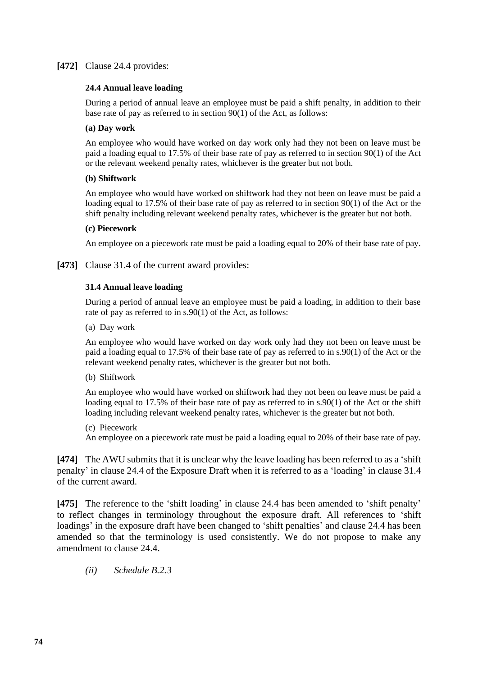## **[472]** Clause 24.4 provides:

#### **24.4 Annual leave loading**

During a period of annual leave an employee must be paid a shift penalty, in addition to their base rate of pay as referred to in section 90(1) of the Act, as follows:

#### **(a) Day work**

An employee who would have worked on day work only had they not been on leave must be paid a loading equal to 17.5% of their base rate of pay as referred to in section 90(1) of the Act or the relevant weekend penalty rates, whichever is the greater but not both.

#### **(b) Shiftwork**

An employee who would have worked on shiftwork had they not been on leave must be paid a loading equal to 17.5% of their base rate of pay as referred to in section 90(1) of the Act or the shift penalty including relevant weekend penalty rates, whichever is the greater but not both.

#### **(c) Piecework**

An employee on a piecework rate must be paid a loading equal to 20% of their base rate of pay.

**[473]** Clause 31.4 of the current award provides:

#### **31.4 Annual leave loading**

During a period of annual leave an employee must be paid a loading, in addition to their base rate of pay as referred to in s.90(1) of the Act, as follows:

(a) Day work

An employee who would have worked on day work only had they not been on leave must be paid a loading equal to 17.5% of their base rate of pay as referred to in s.90(1) of the Act or the relevant weekend penalty rates, whichever is the greater but not both.

(b) Shiftwork

An employee who would have worked on shiftwork had they not been on leave must be paid a loading equal to 17.5% of their base rate of pay as referred to in s.90(1) of the Act or the shift loading including relevant weekend penalty rates, whichever is the greater but not both.

(c) Piecework

An employee on a piecework rate must be paid a loading equal to 20% of their base rate of pay.

**[474]** The AWU submits that it is unclear why the leave loading has been referred to as a 'shift penalty' in clause 24.4 of the Exposure Draft when it is referred to as a 'loading' in clause 31.4 of the current award.

**[475]** The reference to the 'shift loading' in clause 24.4 has been amended to 'shift penalty' to reflect changes in terminology throughout the exposure draft. All references to 'shift loadings' in the exposure draft have been changed to 'shift penalties' and clause 24.4 has been amended so that the terminology is used consistently. We do not propose to make any amendment to clause 24.4.

*(ii) Schedule B.2.3*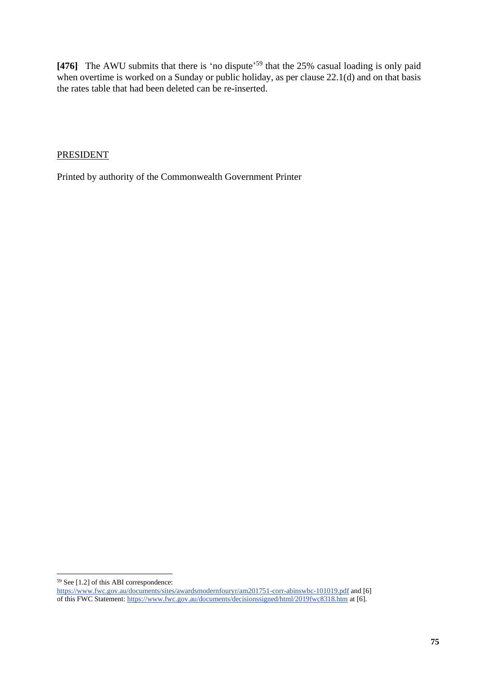[476] The AWU submits that there is 'no dispute'<sup>59</sup> that the 25% casual loading is only paid when overtime is worked on a Sunday or public holiday, as per clause  $22.1(d)$  and on that basis the rates table that had been deleted can be re-inserted.

## PRESIDENT

Printed by authority of the Commonwealth Government Printer

<sup>59</sup> See [1.2] of this ABI correspondence:

<https://www.fwc.gov.au/documents/sites/awardsmodernfouryr/am201751-corr-abinswbc-101019.pdf> and [6] of this FWC Statement[: https://www.fwc.gov.au/documents/decisionssigned/html/2019fwc8318.htm](https://www.fwc.gov.au/documents/decisionssigned/html/2019fwc8318.htm) at [6].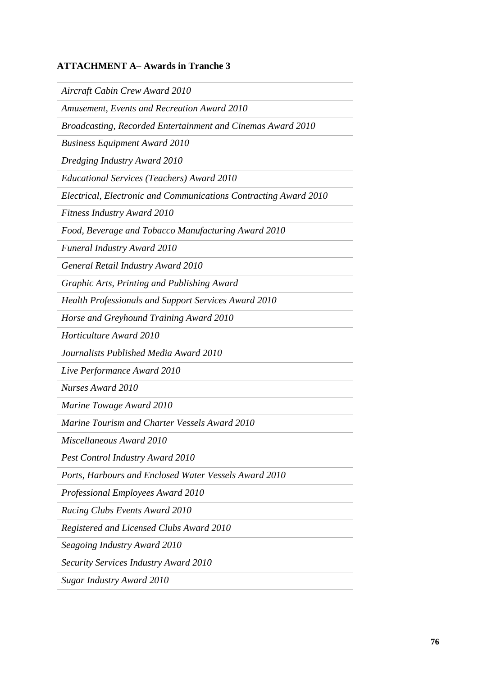# **ATTACHMENT A– Awards in Tranche 3**

*Aircraft Cabin Crew Award 2010*

*Amusement, Events and Recreation Award 2010*

*Broadcasting, Recorded Entertainment and Cinemas Award 2010*

*Business Equipment Award 2010*

*Dredging Industry Award 2010*

*Educational Services (Teachers) Award 2010*

*Electrical, Electronic and Communications Contracting Award 2010*

*Fitness Industry Award 2010*

*Food, Beverage and Tobacco Manufacturing Award 2010*

*Funeral Industry Award 2010*

*General Retail Industry Award 2010*

*Graphic Arts, Printing and Publishing Award*

*Health Professionals and Support Services Award 2010*

*Horse and Greyhound Training Award 2010*

*Horticulture Award 2010*

*Journalists Published Media Award 2010*

*Live Performance Award 2010*

*Nurses Award 2010*

*Marine Towage Award 2010*

*Marine Tourism and Charter Vessels Award 2010*

*Miscellaneous Award 2010*

*Pest Control Industry Award 2010*

*Ports, Harbours and Enclosed Water Vessels Award 2010*

*Professional Employees Award 2010*

*Racing Clubs Events Award 2010*

*Registered and Licensed Clubs Award 2010*

*Seagoing Industry Award 2010*

*Security Services Industry Award 2010*

*Sugar Industry Award 2010*